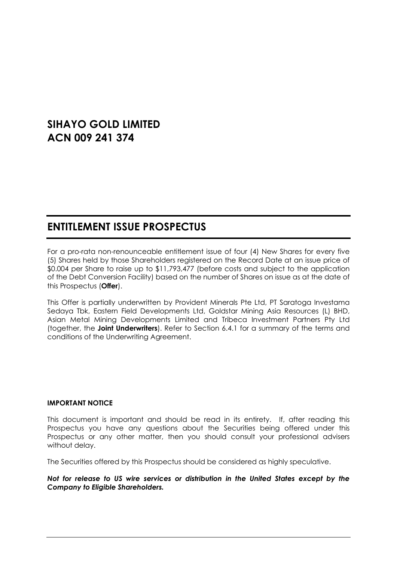# **SIHAYO GOLD LIMITED ACN 009 241 374**

# **ENTITLEMENT ISSUE PROSPECTUS**

For a pro-rata non-renounceable entitlement issue of four (4) New Shares for every five (5) Shares held by those Shareholders registered on the Record Date at an issue price of \$0.004 per Share to raise up to \$11,793,477 (before costs and subject to the application of the Debt Conversion Facility) based on the number of Shares on issue as at the date of this Prospectus (**Offer**).

This Offer is partially underwritten by Provident Minerals Pte Ltd, PT Saratoga Investama Sedaya Tbk, Eastern Field Developments Ltd, Goldstar Mining Asia Resources (L) BHD, Asian Metal Mining Developments Limited and Tribeca Investment Partners Pty Ltd (together, the **Joint Underwriters**). Refer to Section [6.4.1](#page-50-0) for a summary of the terms and conditions of the Underwriting Agreement.

#### **IMPORTANT NOTICE**

This document is important and should be read in its entirety. If, after reading this Prospectus you have any questions about the Securities being offered under this Prospectus or any other matter, then you should consult your professional advisers without delay.

The Securities offered by this Prospectus should be considered as highly speculative.

#### *Not for release to US wire services or distribution in the United States except by the Company to Eligible Shareholders.*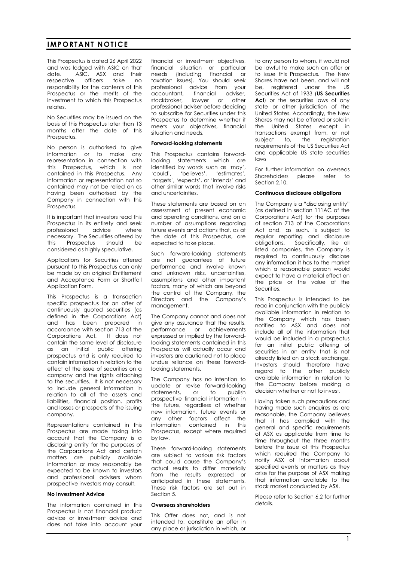#### **IMPORTANT NOTICE**

This Prospectus is dated 26 April 2022 and was lodged with ASIC on that date. ASIC, ASX and their respective officers take no responsibility for the contents of this Prospectus or the merits of the investment to which this Prospectus relates.

No Securities may be issued on the basis of this Prospectus later than 13 months after the date of this Prospectus.

No person is authorised to give information or to make any representation in connection with this Prospectus, which is not contained in this Prospectus. Any information or representation not so contained may not be relied on as having been authorised by the Company in connection with this Prospectus.

It is important that investors read this Prospectus in its entirety and seek<br>professional advice where professional advice where necessary. The Securities offered by this Prospectus should be considered as highly speculative.

Applications for Securities offered pursuant to this Prospectus can only be made by an original Entitlement and Acceptance Form or Shortfall Application Form.

This Prospectus is a transaction specific prospectus for an offer of continuously quoted securities (as defined in the Corporations Act) and has been prepared in accordance with section 713 of the Corporations Act. It does not contain the same level of disclosure as an initial public offering prospectus and is only required to contain information in relation to the effect of the issue of securities on a company and the rights attaching to the securities. It is not necessary to include general information in relation to all of the assets and liabilities, financial position, profits and losses or prospects of the issuing company.

Representations contained in this Prospectus are made taking into account that the Company is a disclosing entity for the purposes of the Corporations Act and certain matters are publicly available information or may reasonably be expected to be known to investors and professional advisers whom prospective investors may consult.

#### **No Investment Advice**

The information contained in this Prospectus is not financial product advice or investment advice and does not take into account your

financial or investment objectives, financial situation or particular needs (including financial or taxation issues). You should seek professional advice from your accountant, financial adviser, stockbroker, lawyer or other professional adviser before deciding to subscribe for Securities under this Prospectus to determine whether it meets your objectives, financial situation and needs.

#### **Forward**-**looking statements**

This Prospectus contains forwardlooking statements which are identified by words such as 'may', 'could', 'believes', 'estimates', 'targets', 'expects', or 'intends' and other similar words that involve risks and uncertainties.

These statements are based on an assessment of present economic and operating conditions, and on a number of assumptions regarding future events and actions that, as at the date of this Prospectus, are expected to take place.

Such forward-looking statements are not guarantees of future performance and involve known and unknown risks, uncertainties, assumptions and other important factors, many of which are beyond the control of the Company, the Directors and the Company's management.

The Company cannot and does not give any assurance that the results, performance or achievements expressed or implied by the forwardlooking statements contained in this Prospectus will actually occur and investors are cautioned not to place undue reliance on these forwardlooking statements.

The Company has no intention to update or revise forward-looking statements, or to publish prospective financial information in the future, regardless of whether new information, future events or any other factors affect the information contained in this Prospectus, except where required by law.

These forward-looking statements are subject to various risk factors that could cause the Company's actual results to differ materially from the results expressed or anticipated in these statements. These risk factors are set out in Section [5.](#page-37-0)

#### **Overseas shareholders**

This Offer does not, and is not intended to, constitute an offer in any place or jurisdiction in which, or to any person to whom, it would not be lawful to make such an offer or to issue this Prospectus. The New Shares have not been, and will not be, registered under the US Securities Act of 1933 (**US Securities**  Act) or the securities laws of any state or other jurisdiction of the United States. Accordingly, the New Shares may not be offered or sold in the United States except in transactions exempt from, or not subject to, the registration requirements of the US Securities Act and applicable US state securities laws

For further information on overseas Shareholders please refer to Section [2.10.](#page-22-0)

#### **Continuous disclosure obligations**

The Company is a "disclosing entity" (as defined in section 111AC of the Corporations Act) for the purposes of section 713 of the Corporations Act and, as such, is subject to regular reporting and disclosure obligations. Specifically, like all listed companies, the Company is required to continuously disclose any information it has to the market which a reasonable person would expect to have a material effect on the price or the value of the Securities.

This Prospectus is intended to be read in conjunction with the publicly available information in relation to the Company which has been notified to ASX and does not include all of the information that would be included in a prospectus for an initial public offering of securities in an entity that is not already listed on a stock exchange. Investors should therefore have regard to the other publicly available information in relation to the Company before making a decision whether or not to invest.

Having taken such precautions and having made such enquires as are reasonable, the Company believes that it has complied with the general and specific requirements of ASX as applicable from time to time throughout the three months before the issue of this Prospectus which required the Company to notify ASX of information about specified events or matters as they arise for the purpose of ASX making that information available to the stock market conducted by ASX.

Please refer to Section [6.2](#page-48-0) for further details.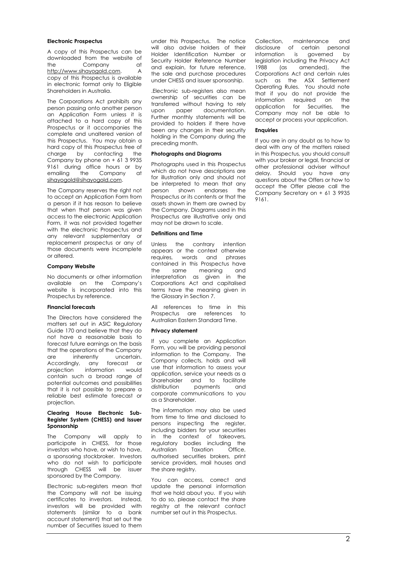#### **Electronic Prospectus**

A copy of this Prospectus can be downloaded from the website of the Company at [http://www.sihayogold.com.](http://www.sihayogold.com/) A copy of this Prospectus is available in electronic format only to Eligible Shareholders in Australia.

The Corporations Act prohibits any person passing onto another person an Application Form unless it is attached to a hard copy of this Prospectus or it accompanies the complete and unaltered version of this Prospectus. You may obtain a hard copy of this Prospectus free of charge by contacting the Company by phone on + 61 3 9935 9161 during office hours or by emailing the Company at [sihayogold@sihayogold.com.](mailto:sihayogold@sihayogold.com)

The Company reserves the right not to accept an Application Form from a person if it has reason to believe that when that person was given access to the electronic Application Form, it was not provided together with the electronic Prospectus and any relevant supplementary or replacement prospectus or any of those documents were incomplete or altered.

#### **Company Website**

No documents or other information available on the Company's website is incorporated into this Prospectus by reference.

#### **Financial forecasts**

The Directors have considered the matters set out in ASIC Regulatory Guide 170 and believe that they do not have a reasonable basis to forecast future earnings on the basis that the operations of the Company are inherently uncertain.<br>Accordinaly any forecast or Accordingly, projection information would contain such a broad range of potential outcomes and possibilities that it is not possible to prepare a reliable best estimate forecast or projection.

#### **Clearing House Electronic Sub-Register System (CHESS) and Issuer Sponsorship**

The Company will apply to participate in CHESS, for those investors who have, or wish to have, a sponsoring stockbroker. Investors who do not wish to participate through CHESS will be issuer sponsored by the Company.

Electronic sub-registers mean that the Company will not be issuing certificates to investors. Instead, investors will be provided with statements (similar to a bank account statement) that set out the number of Securities issued to them

under this Prospectus. The notice will also advise holders of their Holder Identification Number or Security Holder Reference Number and explain, for future reference, the sale and purchase procedures under CHESS and issuer sponsorship.

.Electronic sub-registers also mean ownership of securities can be transferred without having to rely upon paper documentation. Further monthly statements will be provided to holders if there have been any changes in their security holding in the Company during the preceding month.

#### **Photographs and Diagrams**

Photographs used in this Prospectus which do not have descriptions are for illustration only and should not be interpreted to mean that any person shown endorses the Prospectus or its contents or that the assets shown in them are owned by the Company. Diagrams used in this Prospectus are illustrative only and may not be drawn to scale.

#### **Definitions and Time**

Unless the contrary intention appears or the context otherwise requires, words and phrases contained in this Prospectus have the same meaning and interpretation as given in the Corporations Act and capitalised terms have the meaning given in the Glossary in Section [7.](#page-64-0)

All references to time in this Prospectus are references to Australian Eastern Standard Time.

#### **Privacy statement**

If you complete an Application Form, you will be providing personal information to the Company. The Company collects, holds and will use that information to assess your application, service your needs as a Shareholder and to facilitate distribution payments and corporate communications to you as a Shareholder.

The information may also be used from time to time and disclosed to persons inspecting the register, including bidders for your securities in the context of takeovers, regulatory bodies including the<br>Australian Taxation Office, Australian authorised securities brokers, print service providers, mail houses and the share registry.

You can access, correct and update the personal information that we hold about you. If you wish to do so, please contact the share registry at the relevant contact number set out in this Prospectus.

Collection, maintenance and disclosure of certain personal information is governed by legislation including the Privacy Act 1988 (as amended), the Corporations Act and certain rules such as the ASX Settlement Operating Rules. You should note that if you do not provide the information required on the application for Securities, the Company may not be able to accept or process your application.

#### **Enquiries**

If you are in any doubt as to how to deal with any of the matters raised in this Prospectus, you should consult with your broker or legal, financial or other professional adviser without delay. Should you have any questions about the Offers or how to accept the Offer please call the Company Secretary on + 61 3 9935 9161.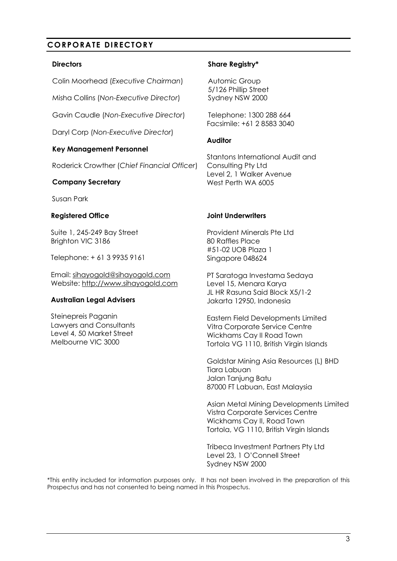# **CORPORATE DIRECTORY**

#### **Directors**

Colin Moorhead (*Executive Chairman*)

Misha Collins (*Non-Executive Director*)

Gavin Caudle (*Non-Executive Director*)

Daryl Corp (*Non-Executive Director*)

#### **Key Management Personnel**

Roderick Crowther (*Chief Financial Officer*)

#### **Company Secretary**

Susan Park

#### **Registered Office**

Suite 1, 245-249 Bay Street Brighton VIC 3186

Telephone: + 61 3 9935 9161

Email: [sihayogold@sihayogold.com](mailto:sihayogold@sihayogold.com) Website[: http://www.sihayogold.com](http://www.sihayogold.com/)

#### **Australian Legal Advisers**

Steinepreis Paganin Lawyers and Consultants Level 4, 50 Market Street Melbourne VIC 3000

#### **Share Registry\***

Automic Group 5/126 Phillip Street Sydney NSW 2000

Telephone: 1300 288 664 Facsimile: +61 2 8583 3040

#### **Auditor**

Stantons International Audit and Consulting Pty Ltd Level 2, 1 Walker Avenue West Perth WA 6005

#### **Joint Underwriters**

Provident Minerals Pte Ltd 80 Raffles Place #51-02 UOB Plaza 1 Singapore 048624

PT Saratoga Investama Sedaya Level 15, Menara Karya JL HR Rasuna Said Block X5/1-2 Jakarta 12950, Indonesia

Eastern Field Developments Limited Vitra Corporate Service Centre Wickhams Cay II Road Town Tortola VG 1110, British Virgin Islands

Goldstar Mining Asia Resources (L) BHD Tiara Labuan Jalan Tanjung Batu 87000 FT Labuan, East Malaysia

Asian Metal Mining Developments Limited Vistra Corporate Services Centre Wickhams Cay II, Road Town Tortola, VG 1110, British Virgin Islands

Tribeca Investment Partners Pty Ltd Level 23, 1 O'Connell Street Sydney NSW 2000

\*This entity included for information purposes only. It has not been involved in the preparation of this Prospectus and has not consented to being named in this Prospectus.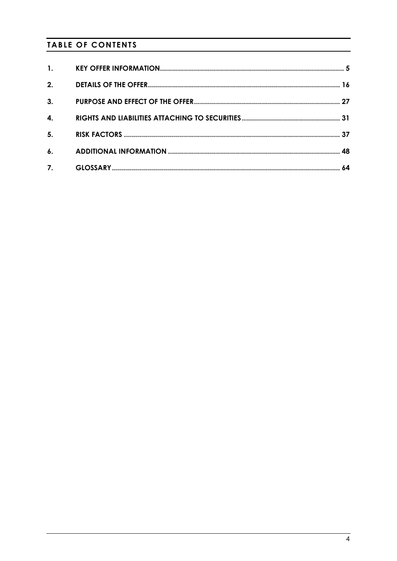# **TABLE OF CONTENTS**

| $\mathbf{1}$ . |  |
|----------------|--|
| 2.             |  |
| 3.             |  |
| 4.             |  |
| 5 <sub>1</sub> |  |
| $\mathbf{6}$ . |  |
| 7.             |  |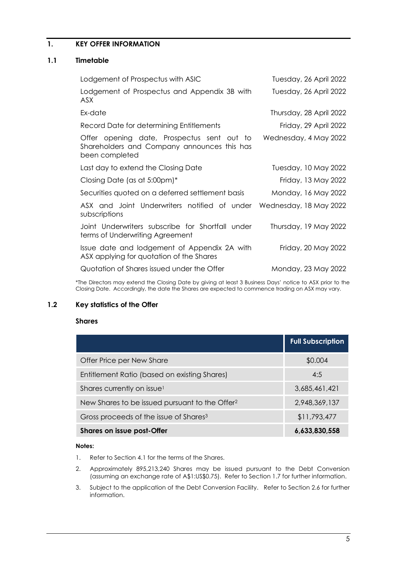# <span id="page-5-0"></span>**1. KEY OFFER INFORMATION**

#### <span id="page-5-1"></span>**1.1 Timetable**

| Lodgement of Prospectus with ASIC                                                                           | Tuesday, 26 April 2022  |
|-------------------------------------------------------------------------------------------------------------|-------------------------|
| Lodgement of Prospectus and Appendix 3B with<br><b>ASX</b>                                                  | Tuesday, 26 April 2022  |
| Ex-date                                                                                                     | Thursday, 28 April 2022 |
| Record Date for determining Entitlements                                                                    | Friday, 29 April 2022   |
| Offer opening date, Prospectus sent out to<br>Shareholders and Company announces this has<br>been completed | Wednesday, 4 May 2022   |
| Last day to extend the Closing Date                                                                         | Tuesday, 10 May 2022    |
| Closing Date (as at 5:00pm)*                                                                                | Friday, 13 May 2022     |
| Securities quoted on a deferred settlement basis                                                            | Monday, 16 May 2022     |
| ASX and Joint Underwriters notified of under<br>subscriptions                                               | Wednesday, 18 May 2022  |
| Joint Underwriters subscribe for Shortfall under<br>terms of Underwriting Agreement                         | Thursday, 19 May 2022   |
| Issue date and lodgement of Appendix 2A with<br>ASX applying for quotation of the Shares                    | Friday, 20 May 2022     |
| Quotation of Shares issued under the Offer                                                                  | Monday, 23 May 2022     |

\*The Directors may extend the Closing Date by giving at least 3 Business Days' notice to ASX prior to the Closing Date. Accordingly, the date the Shares are expected to commence trading on ASX may vary.

### **1.2 Key statistics of the Offer**

#### **Shares**

|                                                            | <b>Full Subscription</b> |
|------------------------------------------------------------|--------------------------|
| Offer Price per New Share                                  | \$0.004                  |
| Entitlement Ratio (based on existing Shares)               | 4:5                      |
| Shares currently on issue <sup>1</sup>                     | 3,685,461,421            |
| New Shares to be issued pursuant to the Offer <sup>2</sup> | 2,948,369,137            |
| Gross proceeds of the issue of Shares <sup>3</sup>         | \$11,793,477             |
| <b>Shares on issue post-Offer</b>                          | 6,633,830,558            |

#### **Notes:**

- 1. Refer to Section [4.1](#page-31-1) for the terms of the Shares.
- 2. Approximately 895,213,240 Shares may be issued pursuant to the Debt Conversion (assuming an exchange rate of A\$1:US\$0.75). Refer to Section [1.7](#page-9-0) for further information.
- 3. Subject to the application of the Debt Conversion Facility. Refer to Section [2.6](#page-20-0) for further information.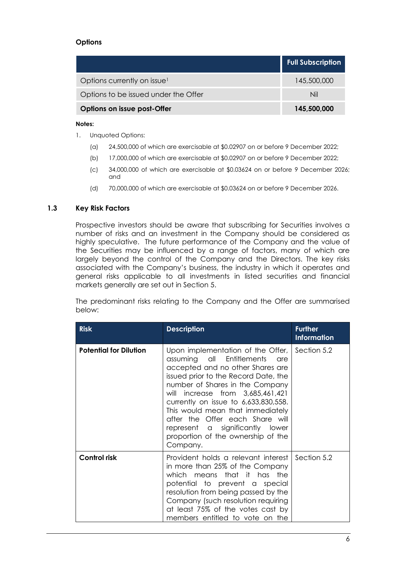## **Options**

|                                         | <b>Full Subscription</b> |
|-----------------------------------------|--------------------------|
| Options currently on issue <sup>1</sup> | 145,500,000              |
| Options to be issued under the Offer    | Nil                      |
| Options on issue post-Offer             | 145,500,000              |

#### **Notes:**

- 1. Unquoted Options:
	- (a) 24,500,000 of which are exercisable at \$0.02907 on or before 9 December 2022;
	- (b) 17,000,000 of which are exercisable at \$0.02907 on or before 9 December 2022;
	- (c) 34,000,000 of which are exercisable at \$0.03624 on or before 9 December 2026; and
	- (d) 70,000,000 of which are exercisable at \$0.03624 on or before 9 December 2026.

## **1.3 Key Risk Factors**

Prospective investors should be aware that subscribing for Securities involves a number of risks and an investment in the Company should be considered as highly speculative. The future performance of the Company and the value of the Securities may be influenced by a range of factors, many of which are largely beyond the control of the Company and the Directors. The key risks associated with the Company's business, the industry in which it operates and general risks applicable to all investments in listed securities and financial markets generally are set out in Section [5.](#page-37-0)

The predominant risks relating to the Company and the Offer are summarised below:

| <b>Risk</b>                   | <b>Description</b>                                                                                                                                                                                                                                                                                                                                                                                                              | <b>Further</b><br><b>Information</b> |
|-------------------------------|---------------------------------------------------------------------------------------------------------------------------------------------------------------------------------------------------------------------------------------------------------------------------------------------------------------------------------------------------------------------------------------------------------------------------------|--------------------------------------|
| <b>Potential for Dilution</b> | Upon implementation of the Offer,<br>assuming all<br>Entitlements<br>are<br>accepted and no other Shares are<br>issued prior to the Record Date, the<br>number of Shares in the Company<br>will increase from 3,685,461,421<br>currently on issue to 6,633,830,558.<br>This would mean that immediately<br>after the Offer each Share will<br>represent a significantly lower<br>proportion of the ownership of the<br>Company. | Section 5.2                          |
| <b>Control risk</b>           | Provident holds a relevant interest<br>in more than 25% of the Company<br>which means that it has the<br>potential to prevent a special<br>resolution from being passed by the<br>Company (such resolution requiring<br>at least 75% of the votes cast by<br>members entitled to vote on the                                                                                                                                    | Section 5.2                          |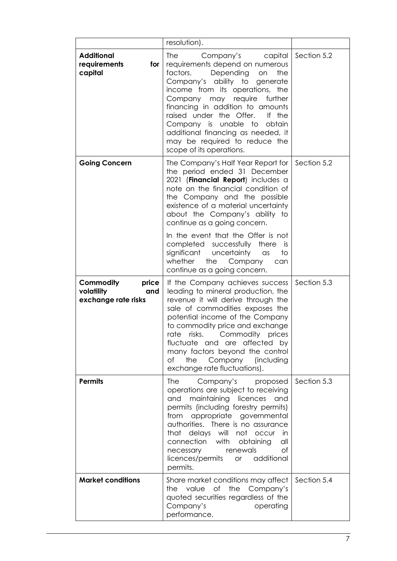|                                                                | resolution).                                                                                                                                                                                                                                                                                                                                                                                                                                                                                     |             |
|----------------------------------------------------------------|--------------------------------------------------------------------------------------------------------------------------------------------------------------------------------------------------------------------------------------------------------------------------------------------------------------------------------------------------------------------------------------------------------------------------------------------------------------------------------------------------|-------------|
| <b>Additional</b><br>requirements<br>for<br>capital            | <b>The</b><br>Company's capital<br>requirements depend on numerous<br>Depending<br>factors.<br>on<br>the<br>Company's ability to generate<br>income from its operations, the<br>Company may require further<br>financing in addition to amounts<br>raised under the Offer.<br>If the<br>Company is unable to<br>obtain<br>additional financing as needed, it<br>may be required to reduce the<br>scope of its operations.                                                                        | Section 5.2 |
| <b>Going Concern</b>                                           | The Company's Half Year Report for<br>the period ended 31 December<br>2021 (Financial Report) includes a<br>note on the financial condition of<br>the Company and the possible<br>existence of a material uncertainty<br>about the Company's ability to<br>continue as a going concern.<br>In the event that the Offer is not<br>completed successfully<br>there<br><b>IS</b><br>significant<br>uncertainty<br>$\alpha$ s<br>to<br>whether<br>the Company<br>can<br>continue as a going concern. | Section 5.2 |
| Commodity<br>price<br>volatility<br>and<br>exchange rate risks | If the Company achieves success<br>leading to mineral production, the<br>revenue it will derive through the<br>sale of commodities exposes the<br>potential income of the Company<br>to commodity price and exchange<br>rate risks. Commodity prices<br>fluctuate and are affected by<br>many factors beyond the control<br>the<br>Company<br><i>(including</i><br>Оf<br>exchange rate fluctuations).                                                                                            | Section 5.3 |
| <b>Permits</b>                                                 | The<br>Company's<br>proposed<br>operations are subject to receiving<br>maintaining licences<br>and<br>and<br>permits (including forestry permits)<br>appropriate governmental<br>from<br>authorities. There is no assurance<br>that delays will not occur<br>in<br>with obtaining<br>connection<br>all<br>renewals<br>necessary<br>Οf<br>licences/permits<br>additional<br><b>or</b><br>permits.                                                                                                 | Section 5.3 |
| <b>Market conditions</b>                                       | Share market conditions may affect<br>value<br>Оf<br>the<br>Company's<br>the<br>quoted securities regardless of the<br>Company's<br>operating<br>performance.                                                                                                                                                                                                                                                                                                                                    | Section 5.4 |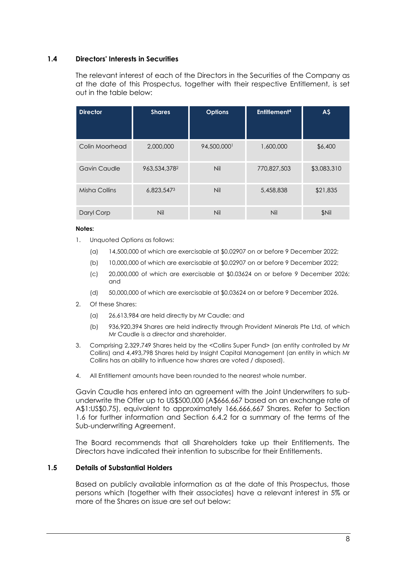### <span id="page-8-1"></span>**1.4 Directors' Interests in Securities**

The relevant interest of each of the Directors in the Securities of the Company as at the date of this Prospectus, together with their respective Entitlement, is set out in the table below:

| <b>Director</b>     | <b>Shares</b> | <b>Options</b> | Entitlement <sup>4</sup> | A\$         |
|---------------------|---------------|----------------|--------------------------|-------------|
| Colin Moorhead      | 2,000,000     | 94,500,000     | 1,600,000                | \$6,400     |
| <b>Gavin Caudle</b> | 963,534,3782  | <b>Nil</b>     | 770,827,503              | \$3,083,310 |
| Misha Collins       | 6,823,5473    | <b>Nil</b>     | 5,458,838                | \$21,835    |
| Daryl Corp          | Nil           | Nil            | Nil                      | \$Nil       |

#### **Notes:**

- 1. Unquoted Options as follows:
	- (a) 14,500,000 of which are exercisable at \$0.02907 on or before 9 December 2022;
	- (b) 10,000,000 of which are exercisable at \$0.02907 on or before 9 December 2022;
	- (c) 20,000,000 of which are exercisable at \$0.03624 on or before 9 December 2026; and
	- (d) 50,000,000 of which are exercisable at \$0.03624 on or before 9 December 2026.
- 2. Of these Shares:
	- (a) 26,613,984 are held directly by Mr Caudle; and
	- (b) 936,920,394 Shares are held indirectly through Provident Minerals Pte Ltd, of which Mr Caudle is a director and shareholder.
- 3. Comprising 2,329,749 Shares held by the <Collins Super Fund> (an entity controlled by Mr Collins) and 4,493,798 Shares held by Insight Capital Management (an entity in which Mr Collins has an ability to influence how shares are voted / disposed).
- 4. All Entitlement amounts have been rounded to the nearest whole number.

Gavin Caudle has entered into an agreement with the Joint Underwriters to subunderwrite the Offer up to US\$500,000 (A\$666,667 based on an exchange rate of A\$1:US\$0.75), equivalent to approximately 166,666,667 Shares. Refer to Section [1.6](#page-9-1) for further information and Section [6.4.2](#page-52-0) for a summary of the terms of the Sub-underwriting Agreement.

The Board recommends that all Shareholders take up their Entitlements. The Directors have indicated their intention to subscribe for their Entitlements.

#### <span id="page-8-0"></span>**1.5 Details of Substantial Holders**

Based on publicly available information as at the date of this Prospectus, those persons which (together with their associates) have a relevant interest in 5% or more of the Shares on issue are set out below: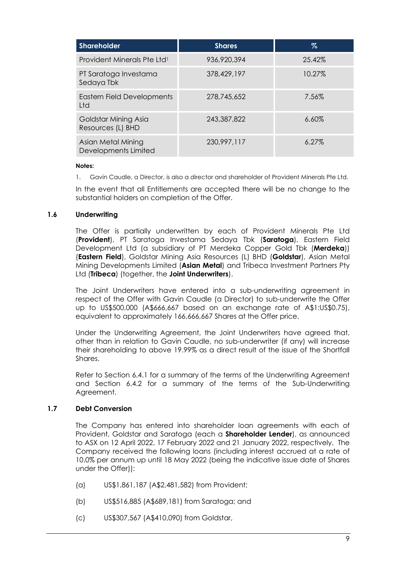| <b>Shareholder</b>                         | <b>Shares</b> | $\%$     |
|--------------------------------------------|---------------|----------|
| Provident Minerals Pte Ltd <sup>1</sup>    | 936,920,394   | 25.42%   |
| PT Saratoga Investama<br>Sedaya Tbk        | 378,429,197   | 10.27%   |
| Eastern Field Developments<br>Ltd          | 278,745,652   | 7.56%    |
| Goldstar Mining Asia<br>Resources (L) BHD  | 243,387,822   | $6.60\%$ |
| Asian Metal Mining<br>Developments Limited | 230,997,117   | 6.27%    |

#### **Notes:**

1. Gavin Caudle, a Director, is also a director and shareholder of Provident Minerals Pte Ltd.

In the event that all Entitlements are accepted there will be no change to the substantial holders on completion of the Offer.

#### <span id="page-9-1"></span>**1.6 Underwriting**

The Offer is partially underwritten by each of Provident Minerals Pte Ltd (**Provident**), PT Saratoga Investama Sedaya Tbk (**Saratoga**), Eastern Field Development Ltd (a subsidiary of PT Merdeka Copper Gold Tbk (**Merdeka**)) (**Eastern Field**), Goldstar Mining Asia Resources (L) BHD (**Goldstar**), Asian Metal Mining Developments Limited (**Asian Metal**) and Tribeca Investment Partners Pty Ltd (**Tribeca**) (together, the **Joint Underwriters**).

The Joint Underwriters have entered into a sub-underwriting agreement in respect of the Offer with Gavin Caudle (a Director) to sub-underwrite the Offer up to US\$500,000 (A\$666,667 based on an exchange rate of A\$1:US\$0.75), equivalent to approximately 166,666,667 Shares at the Offer price.

Under the Underwriting Agreement, the Joint Underwriters have agreed that, other than in relation to Gavin Caudle, no sub-underwriter (if any) will increase their shareholding to above 19.99% as a direct result of the issue of the Shortfall Shares.

Refer to Section [6.4.1](#page-50-0) for a summary of the terms of the Underwriting Agreement and Section [6.4.2](#page-52-0) for a summary of the terms of the Sub-Underwriting Agreement.

#### <span id="page-9-0"></span>**1.7 Debt Conversion**

The Company has entered into shareholder loan agreements with each of Provident, Goldstar and Saratoga (each a **Shareholder Lender**), as announced to ASX on 12 April 2022, 17 February 2022 and 21 January 2022, respectively. The Company received the following loans (including interest accrued at a rate of 10.0% per annum up until 18 May 2022 (being the indicative issue date of Shares under the Offer)):

- (a) US\$1,861,187 (A\$2,481,582) from Provident;
- (b) US\$516,885 (A\$689,181) from Saratoga; and
- (c) US\$307,567 (A\$410,090) from Goldstar,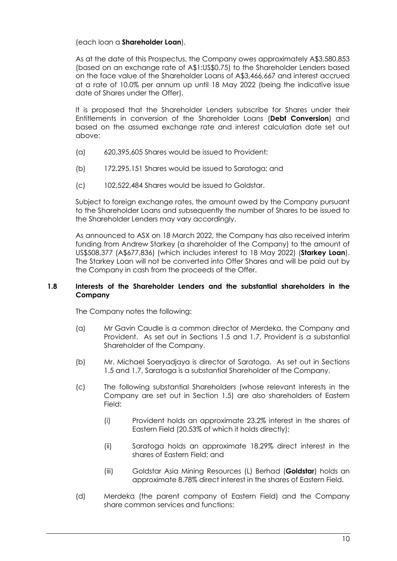(each loan a **Shareholder Loan**).

As at the date of this Prospectus, the Company owes approximately A\$3,580,853 (based on an exchange rate of A\$1:US\$0.75) to the Shareholder Lenders based on the face value of the Shareholder Loans of A\$3,466,667 and interest accrued at a rate of 10.0% per annum up until 18 May 2022 (being the indicative issue date of Shares under the Offer).

It is proposed that the Shareholder Lenders subscribe for Shares under their Entitlements in conversion of the Shareholder Loans (**Debt Conversion**) and based on the assumed exchange rate and interest calculation date set out above:

- (a) 620,395,605 Shares would be issued to Provident;
- (b) 172,295,151 Shares would be issued to Saratoga; and
- (c) 102,522,484 Shares would be issued to Goldstar.

Subject to foreign exchange rates, the amount owed by the Company pursuant to the Shareholder Loans and subsequently the number of Shares to be issued to the Shareholder Lenders may vary accordingly.

As announced to ASX on 18 March 2022, the Company has also received interim funding from Andrew Starkey (a shareholder of the Company) to the amount of US\$508,377 (A\$677,836) (which includes interest to 18 May 2022) (**Starkey Loan**). The Starkey Loan will not be converted into Offer Shares and will be paid out by the Company in cash from the proceeds of the Offer.

## <span id="page-10-0"></span>**1.8 Interests of the Shareholder Lenders and the substantial shareholders in the Company**

The Company notes the following:

- (a) Mr Gavin Caudle is a common director of Merdeka, the Company and Provident. As set out in Sections [1.5](#page-8-0) and [1.7,](#page-9-0) Provident is a substantial Shareholder of the Company.
- (b) Mr. Michael Soeryadjaya is director of Saratoga. As set out in Sections [1.5](#page-8-0) and [1.7,](#page-9-0) Saratoga is a substantial Shareholder of the Company.
- (c) The following substantial Shareholders (whose relevant interests in the Company are set out in Section [1.5\)](#page-8-0) are also shareholders of Eastern Field:
	- (i) Provident holds an approximate 23.2% interest in the shares of Eastern Field (20.53% of which it holds directly);
	- (ii) Saratoga holds an approximate 18.29% direct interest in the shares of Eastern Field; and
	- (iii) Goldstar Asia Mining Resources (L) Berhad (**Goldstar**) holds an approximate 8.78% direct interest in the shares of Eastern Field.
- (d) Merdeka (the parent company of Eastern Field) and the Company share common services and functions: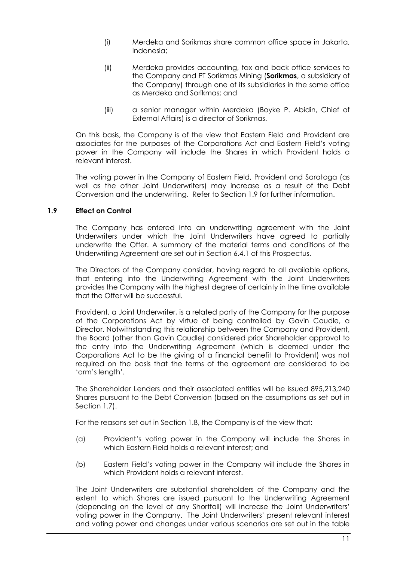- (i) Merdeka and Sorikmas share common office space in Jakarta, Indonesia;
- (ii) Merdeka provides accounting, tax and back office services to the Company and PT Sorikmas Mining (**Sorikmas**, a subsidiary of the Company) through one of its subsidiaries in the same office as Merdeka and Sorikmas; and
- (iii) a senior manager within Merdeka (Boyke P. Abidin, Chief of External Affairs) is a director of Sorikmas.

On this basis, the Company is of the view that Eastern Field and Provident are associates for the purposes of the Corporations Act and Eastern Field's voting power in the Company will include the Shares in which Provident holds a relevant interest.

The voting power in the Company of Eastern Field, Provident and Saratoga (as well as the other Joint Underwriters) may increase as a result of the Debt Conversion and the underwriting. Refer to Section [1.9](#page-11-0) for further information.

## <span id="page-11-0"></span>**1.9 Effect on Control**

The Company has entered into an underwriting agreement with the Joint Underwriters under which the Joint Underwriters have agreed to partially underwrite the Offer. A summary of the material terms and conditions of the Underwriting Agreement are set out in Section [6.4.1](#page-50-0) of this Prospectus.

The Directors of the Company consider, having regard to all available options, that entering into the Underwriting Agreement with the Joint Underwriters provides the Company with the highest degree of certainty in the time available that the Offer will be successful.

Provident, a Joint Underwriter, is a related party of the Company for the purpose of the Corporations Act by virtue of being controlled by Gavin Caudle, a Director. Notwithstanding this relationship between the Company and Provident, the Board (other than Gavin Caudle) considered prior Shareholder approval to the entry into the Underwriting Agreement (which is deemed under the Corporations Act to be the giving of a financial benefit to Provident) was not required on the basis that the terms of the agreement are considered to be 'arm's length'.

The Shareholder Lenders and their associated entities will be issued 895,213,240 Shares pursuant to the Debt Conversion (based on the assumptions as set out in Section [1.7\)](#page-9-0).

For the reasons set out in Section [1.8,](#page-10-0) the Company is of the view that:

- (a) Provident's voting power in the Company will include the Shares in which Eastern Field holds a relevant interest; and
- (b) Eastern Field's voting power in the Company will include the Shares in which Provident holds a relevant interest.

The Joint Underwriters are substantial shareholders of the Company and the extent to which Shares are issued pursuant to the Underwriting Agreement (depending on the level of any Shortfall) will increase the Joint Underwriters' voting power in the Company. The Joint Underwriters' present relevant interest and voting power and changes under various scenarios are set out in the table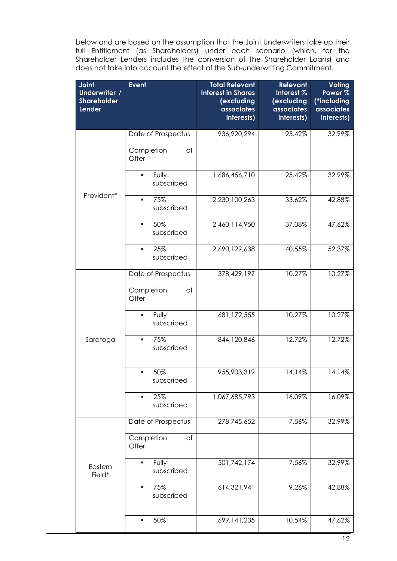below and are based on the assumption that the Joint Underwriters take up their full Entitlement (as Shareholders) under each scenario (which, for the Shareholder Lenders includes the conversion of the Shareholder Loans) and does not take into account the effect of the Sub-underwriting Commitment.

| <b>Joint</b><br>Underwriter /<br><b>Shareholder</b><br><b>Lender</b> | <b>Event</b>                          | <b>Total Relevant</b><br><b>Interest in Shares</b><br>(excluding<br>associates<br>interests) | <b>Relevant</b><br>Interest %<br>(excluding<br>associates<br>interests) | Voting<br>Power <sub>%</sub><br>(*including<br>associates<br>interests) |
|----------------------------------------------------------------------|---------------------------------------|----------------------------------------------------------------------------------------------|-------------------------------------------------------------------------|-------------------------------------------------------------------------|
|                                                                      | Date of Prospectus                    | 936,920,294                                                                                  | 25.42%                                                                  | 32.99%                                                                  |
|                                                                      | Completion<br>of<br>Offer             |                                                                                              |                                                                         |                                                                         |
|                                                                      | Fully<br>$\blacksquare$<br>subscribed | 1,686,456,710                                                                                | 25.42%                                                                  | 32.99%                                                                  |
| Provident*                                                           | 75%<br>$\blacksquare$<br>subscribed   | 2,230,100,263                                                                                | 33.62%                                                                  | 42.88%                                                                  |
|                                                                      | 50%<br>٠<br>subscribed                | 2,460,114,950                                                                                | 37.08%                                                                  | 47.62%                                                                  |
|                                                                      | 25%<br>$\blacksquare$<br>subscribed   | 2,690,129,638                                                                                | 40.55%                                                                  | 52.37%                                                                  |
|                                                                      | Date of Prospectus                    | 378,429,197                                                                                  | 10.27%                                                                  | 10.27%                                                                  |
|                                                                      | Completion<br>of<br>Offer             |                                                                                              |                                                                         |                                                                         |
|                                                                      | Fully<br>$\blacksquare$<br>subscribed | 681,172,555                                                                                  | 10.27%                                                                  | 10.27%                                                                  |
| Saratoga                                                             | 75%<br>$\blacksquare$<br>subscribed   | 844,120,846                                                                                  | 12.72%                                                                  | 12.72%                                                                  |
|                                                                      | 50%<br>subscribed                     | 955,903,319                                                                                  | 14.14%                                                                  | 14.14%                                                                  |
|                                                                      | 25%<br>٠<br>subscribed                | 1,067,685,793                                                                                | 16.09%                                                                  | 16.09%                                                                  |
|                                                                      | Date of Prospectus                    | 278,745,652                                                                                  | 7.56%                                                                   | 32.99%                                                                  |
|                                                                      | Completion<br>of<br>Offer             |                                                                                              |                                                                         |                                                                         |
| Eastern<br>Field*                                                    | Fully<br>$\blacksquare$<br>subscribed | 501,742,174                                                                                  | 7.56%                                                                   | 32.99%                                                                  |
|                                                                      | 75%<br>٠<br>subscribed                | 614,321,941                                                                                  | 9.26%                                                                   | 42.88%                                                                  |
|                                                                      | 50%<br>٠                              | 699, 141, 235                                                                                | 10.54%                                                                  | 47.62%                                                                  |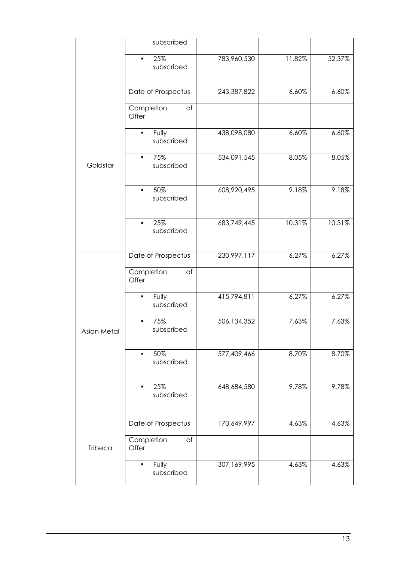|             | subscribed                            |             |        |        |
|-------------|---------------------------------------|-------------|--------|--------|
|             | 25%<br>٠<br>subscribed                | 783,960,530 | 11.82% | 52.37% |
|             | Date of Prospectus                    | 243,387,822 | 6.60%  | 6.60%  |
|             | Completion<br>of<br>Offer             |             |        |        |
|             | Fully<br>$\blacksquare$<br>subscribed | 438,098,080 | 6.60%  | 6.60%  |
| Goldstar    | 75%<br>subscribed                     | 534,091,545 | 8.05%  | 8.05%  |
|             | 50%<br>$\blacksquare$<br>subscribed   | 608,920,495 | 9.18%  | 9.18%  |
|             | 25%<br>$\blacksquare$<br>subscribed   | 683,749,445 | 10.31% | 10.31% |
|             | Date of Prospectus                    | 230,997,117 | 6.27%  | 6.27%  |
|             | Completion<br>of<br>Offer             |             |        |        |
|             | Fully<br>٠<br>subscribed              | 415,794,811 | 6.27%  | 6.27%  |
| Asian Metal | 75%<br>٠<br>subscribed                | 506,134,352 | 7.63%  | 7.63%  |
|             | 50%<br>subscribed                     | 577,409,466 | 8.70%  | 8.70%  |
|             | 25%<br>$\blacksquare$<br>subscribed   | 648,684,580 | 9.78%  | 9.78%  |
|             | Date of Prospectus                    | 170,649,997 | 4.63%  | 4.63%  |
| Tribeca     | Completion<br>of<br>Offer             |             |        |        |
|             | Fully<br>subscribed                   | 307,169,995 | 4.63%  | 4.63%  |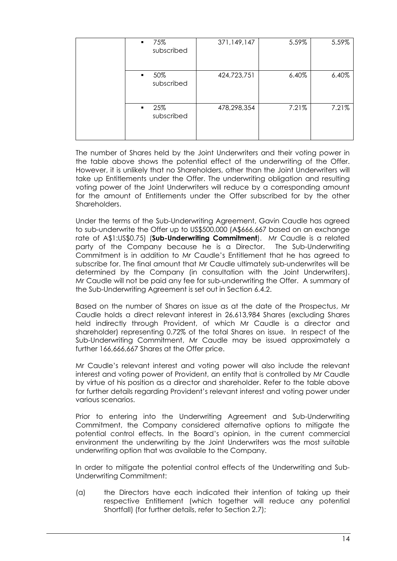| 75%<br>$\blacksquare$<br>subscribed | 371,149,147 | 5.59% | 5.59% |
|-------------------------------------|-------------|-------|-------|
| 50%<br>$\blacksquare$<br>subscribed | 424,723,751 | 6.40% | 6.40% |
| 25%<br>$\blacksquare$<br>subscribed | 478,298,354 | 7.21% | 7.21% |

The number of Shares held by the Joint Underwriters and their voting power in the table above shows the potential effect of the underwriting of the Offer. However, it is unlikely that no Shareholders, other than the Joint Underwriters will take up Entitlements under the Offer. The underwriting obligation and resulting voting power of the Joint Underwriters will reduce by a corresponding amount for the amount of Entitlements under the Offer subscribed for by the other Shareholders.

Under the terms of the Sub-Underwriting Agreement, Gavin Caudle has agreed to sub-underwrite the Offer up to US\$500,000 (A\$666,667 based on an exchange rate of A\$1:US\$0.75) (**Sub-Underwriting Commitment**). Mr Caudle is a related party of the Company because he is a Director. The Sub-Underwriting Commitment is in addition to Mr Caudle's Entitlement that he has agreed to subscribe for. The final amount that Mr Caudle ultimately sub-underwrites will be determined by the Company (in consultation with the Joint Underwriters). Mr Caudle will not be paid any fee for sub-underwriting the Offer. A summary of the Sub-Underwriting Agreement is set out in Section [6.4.2.](#page-52-0)

Based on the number of Shares on issue as at the date of the Prospectus, Mr Caudle holds a direct relevant interest in 26,613,984 Shares (excluding Shares held indirectly through Provident, of which Mr Caudle is a director and shareholder) representing 0.72% of the total Shares on issue. In respect of the Sub-Underwriting Commitment, Mr Caudle may be issued approximately a further 166,666,667 Shares at the Offer price.

Mr Caudle's relevant interest and voting power will also include the relevant interest and voting power of Provident, an entity that is controlled by Mr Caudle by virtue of his position as a director and shareholder. Refer to the table above for further details regarding Provident's relevant interest and voting power under various scenarios.

Prior to entering into the Underwriting Agreement and Sub-Underwriting Commitment, the Company considered alternative options to mitigate the potential control effects. In the Board's opinion, in the current commercial environment the underwriting by the Joint Underwriters was the most suitable underwriting option that was available to the Company.

In order to mitigate the potential control effects of the Underwriting and Sub-Underwriting Commitment:

(a) the Directors have each indicated their intention of taking up their respective Entitlement (which together will reduce any potential Shortfall) (for further details, refer to Section [2.7\)](#page-20-1);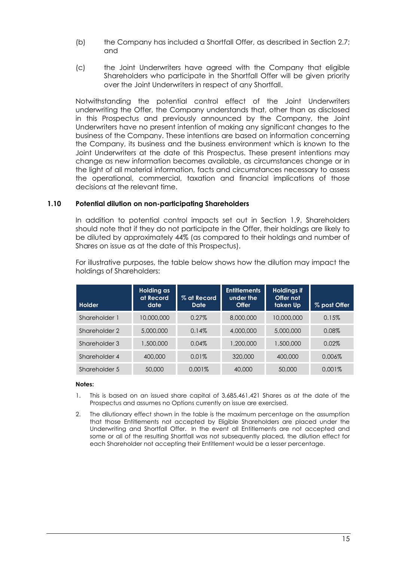- (b) the Company has included a Shortfall Offer, as described in Section [2.7;](#page-20-1) and
- (c) the Joint Underwriters have agreed with the Company that eligible Shareholders who participate in the Shortfall Offer will be given priority over the Joint Underwriters in respect of any Shortfall.

Notwithstanding the potential control effect of the Joint Underwriters underwriting the Offer, the Company understands that, other than as disclosed in this Prospectus and previously announced by the Company, the Joint Underwriters have no present intention of making any significant changes to the business of the Company. These intentions are based on information concerning the Company, its business and the business environment which is known to the Joint Underwriters at the date of this Prospectus. These present intentions may change as new information becomes available, as circumstances change or in the light of all material information, facts and circumstances necessary to assess the operational, commercial, taxation and financial implications of those decisions at the relevant time.

#### **1.10 Potential dilution on non-participating Shareholders**

In addition to potential control impacts set out in Section [1.9,](#page-11-0) Shareholders should note that if they do not participate in the Offer, their holdings are likely to be diluted by approximately 44% (as compared to their holdings and number of Shares on issue as at the date of this Prospectus).

For illustrative purposes, the table below shows how the dilution may impact the holdings of Shareholders:

| <b>Holder</b> | Holding as<br>at Record<br>date | % at Record<br>Date | <b>Entitlements</b><br>under the<br><b>Offer</b> | <b>Holdings if</b><br>Offer not<br>taken Up | % post Offer |
|---------------|---------------------------------|---------------------|--------------------------------------------------|---------------------------------------------|--------------|
| Shareholder 1 | 10,000,000                      | 0.27%               | 8,000,000                                        | 10,000,000                                  | 0.15%        |
| Shareholder 2 | 5,000,000                       | 0.14%               | 4,000,000                                        | 5,000,000                                   | $0.08\%$     |
| Shareholder 3 | 1,500,000                       | 0.04%               | 1,200,000                                        | 1,500,000                                   | 0.02%        |
| Shareholder 4 | 400,000                         | 0.01%               | 320,000                                          | 400,000                                     | $0.006\%$    |
| Shareholder 5 | 50,000                          | 0.001%              | 40,000                                           | 50,000                                      | $0.001\%$    |

#### **Notes:**

- 1. This is based on an issued share capital of 3,685,461,421 Shares as at the date of the Prospectus and assumes no Options currently on issue are exercised.
- 2. The dilutionary effect shown in the table is the maximum percentage on the assumption that those Entitlements not accepted by Eligible Shareholders are placed under the Underwriting and Shortfall Offer. In the event all Entitlements are not accepted and some or all of the resulting Shortfall was not subsequently placed, the dilution effect for each Shareholder not accepting their Entitlement would be a lesser percentage.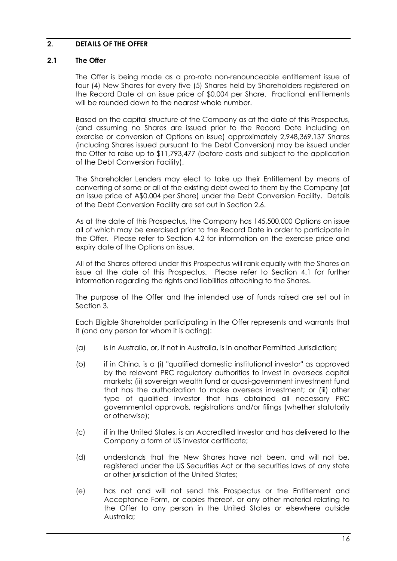# <span id="page-16-0"></span>**2. DETAILS OF THE OFFER**

#### **2.1 The Offer**

The Offer is being made as a pro-rata non-renounceable entitlement issue of four (4) New Shares for every five (5) Shares held by Shareholders registered on the Record Date at an issue price of \$0.004 per Share. Fractional entitlements will be rounded down to the nearest whole number.

Based on the capital structure of the Company as at the date of this Prospectus, (and assuming no Shares are issued prior to the Record Date including on exercise or conversion of Options on issue) approximately 2,948,369,137 Shares (including Shares issued pursuant to the Debt Conversion) may be issued under the Offer to raise up to \$11,793,477 (before costs and subject to the application of the Debt Conversion Facility).

The Shareholder Lenders may elect to take up their Entitlement by means of converting of some or all of the existing debt owed to them by the Company (at an issue price of A\$0.004 per Share) under the Debt Conversion Facility. Details of the Debt Conversion Facility are set out in Section [2.6.](#page-20-0)

As at the date of this Prospectus, the Company has 145,500,000 Options on issue all of which may be exercised prior to the Record Date in order to participate in the Offer. Please refer to Section [4.2](#page-33-0) for information on the exercise price and expiry date of the Options on issue.

All of the Shares offered under this Prospectus will rank equally with the Shares on issue at the date of this Prospectus. Please refer to Section [4.1](#page-31-1) for further information regarding the rights and liabilities attaching to the Shares.

The purpose of the Offer and the intended use of funds raised are set out in Section [3.](#page-27-0)

Each Eligible Shareholder participating in the Offer represents and warrants that it (and any person for whom it is acting):

- (a) is in Australia, or, if not in Australia, is in another Permitted Jurisdiction;
- (b) if in China, is a (i) "qualified domestic institutional investor" as approved by the relevant PRC regulatory authorities to invest in overseas capital markets; (ii) sovereign wealth fund or quasi-government investment fund that has the authorization to make overseas investment; or (iii) other type of qualified investor that has obtained all necessary PRC governmental approvals, registrations and/or filings (whether statutorily or otherwise);
- (c) if in the United States, is an Accredited Investor and has delivered to the Company a form of US investor certificate;
- (d) understands that the New Shares have not been, and will not be, registered under the US Securities Act or the securities laws of any state or other jurisdiction of the United States;
- (e) has not and will not send this Prospectus or the Entitlement and Acceptance Form, or copies thereof, or any other material relating to the Offer to any person in the United States or elsewhere outside Australia;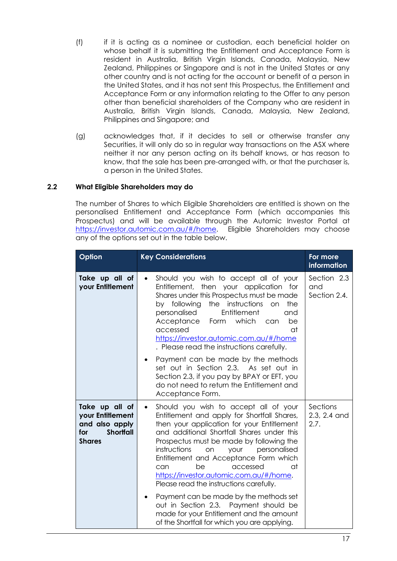- (f) if it is acting as a nominee or custodian, each beneficial holder on whose behalf it is submitting the Entitlement and Acceptance Form is resident in Australia, British Virgin Islands, Canada, Malaysia, New Zealand, Philippines or Singapore and is not in the United States or any other country and is not acting for the account or benefit of a person in the United States, and it has not sent this Prospectus, the Entitlement and Acceptance Form or any information relating to the Offer to any person other than beneficial shareholders of the Company who are resident in Australia, British Virgin Islands, Canada, Malaysia, New Zealand, Philippines and Singapore; and
- (g) acknowledges that, if it decides to sell or otherwise transfer any Securities, it will only do so in regular way transactions on the ASX where neither it nor any person acting on its behalf knows, or has reason to know, that the sale has been pre-arranged with, or that the purchaser is, a person in the United States.

## **2.2 What Eligible Shareholders may do**

The number of Shares to which Eligible Shareholders are entitled is shown on the personalised Entitlement and Acceptance Form (which accompanies this Prospectus) and will be available through the Automic Investor Portal at [https://investor.automic.com.au/#/home.](https://investor.automic.com.au/#/home) Eligible Shareholders may choose any of the options set out in the table below.

| Option                                                                                           | <b>Key Considerations</b>                                                                                                                                                                                                                                                                                                                                                                                                                             | For more<br><i>information</i>     |
|--------------------------------------------------------------------------------------------------|-------------------------------------------------------------------------------------------------------------------------------------------------------------------------------------------------------------------------------------------------------------------------------------------------------------------------------------------------------------------------------------------------------------------------------------------------------|------------------------------------|
| Take up all of<br>your Entitlement                                                               | Should you wish to accept all of your<br>$\bullet$<br>Entitlement, then your application for<br>Shares under this Prospectus must be made<br>instructions<br>by following<br>the<br>the<br>on<br>Entitlement<br>personalised<br>and<br>Acceptance<br>which<br>Form<br>be<br>can<br>accessed<br>at<br>https://investor.automic.com.au/#/home<br>. Please read the instructions carefully.                                                              | Section 2.3<br>and<br>Section 2.4. |
|                                                                                                  | Payment can be made by the methods<br>$\bullet$<br>set out in Section 2.3. As set out in<br>Section 2.3, if you pay by BPAY or EFT, you<br>do not need to return the Entitlement and<br>Acceptance Form.                                                                                                                                                                                                                                              |                                    |
| Take up all of<br>your Entitlement<br>and also apply<br><b>Shortfall</b><br>for<br><b>Shares</b> | Should you wish to accept all of your<br>$\bullet$<br>Entitlement and apply for Shortfall Shares,<br>then your application for your Entitlement<br>and additional Shortfall Shares under this<br>Prospectus must be made by following the<br>instructions<br>your<br>personalised<br>on<br>Entitlement and Acceptance Form which<br>accessed<br>can<br>be<br>αt<br>https://investor.automic.com.au/#/home.<br>Please read the instructions carefully. | Sections<br>2.3, 2.4 and<br>2.7.   |
|                                                                                                  | Payment can be made by the methods set<br>٠<br>out in Section 2.3. Payment should be<br>made for your Entitlement and the amount<br>of the Shortfall for which you are applying.                                                                                                                                                                                                                                                                      |                                    |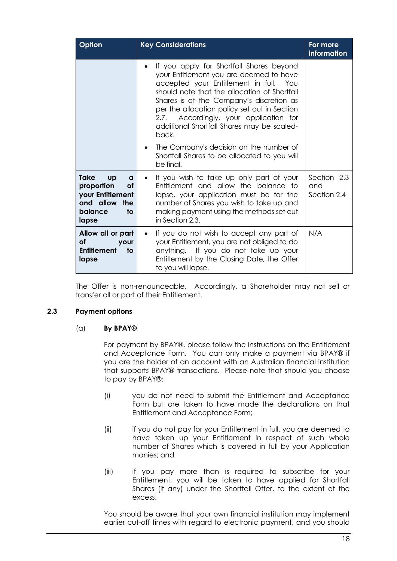| Option                                                                                                       | <b>Key Considerations</b>                                                                                                                                                                                                                                                                                                                                                  | For more<br>information           |
|--------------------------------------------------------------------------------------------------------------|----------------------------------------------------------------------------------------------------------------------------------------------------------------------------------------------------------------------------------------------------------------------------------------------------------------------------------------------------------------------------|-----------------------------------|
|                                                                                                              | If you apply for Shortfall Shares beyond<br>your Entitlement you are deemed to have<br>accepted your Entitlement in full. You<br>should note that the allocation of Shortfall<br>Shares is at the Company's discretion as<br>per the allocation policy set out in Section<br>2.7. Accordingly, your application for<br>additional Shortfall Shares may be scaled-<br>back. |                                   |
|                                                                                                              | The Company's decision on the number of<br>٠<br>Shortfall Shares to be allocated to you will<br>be final.                                                                                                                                                                                                                                                                  |                                   |
| <b>Take</b><br>Up<br>a<br>proportion<br>Οf<br>your Entitlement<br>and allow<br>the<br>balance<br>to<br>lapse | If you wish to take up only part of your<br>Entitlement and allow the balance to<br>lapse, your application must be for the<br>number of Shares you wish to take up and<br>making payment using the methods set out<br>in Section 2.3.                                                                                                                                     | Section 2.3<br>and<br>Section 2.4 |
| Allow all or part<br>οf<br><b>your</b><br>to<br><b>Entitlement</b><br>lapse                                  | If you do not wish to accept any part of<br>your Entitlement, you are not obliged to do<br>anything. If you do not take up your<br>Entitlement by the Closing Date, the Offer<br>to you will lapse.                                                                                                                                                                        | N/A                               |

The Offer is non-renounceable. Accordingly, a Shareholder may not sell or transfer all or part of their Entitlement.

#### <span id="page-18-0"></span>**2.3 Payment options**

#### (a) **By BPAY®**

For payment by BPAY®, please follow the instructions on the Entitlement and Acceptance Form. You can only make a payment via BPAY® if you are the holder of an account with an Australian financial institution that supports BPAY® transactions. Please note that should you choose to pay by BPAY®:

- (i) you do not need to submit the Entitlement and Acceptance Form but are taken to have made the declarations on that Entitlement and Acceptance Form;
- (ii) if you do not pay for your Entitlement in full, you are deemed to have taken up your Entitlement in respect of such whole number of Shares which is covered in full by your Application monies; and
- (iii) if you pay more than is required to subscribe for your Entitlement, you will be taken to have applied for Shortfall Shares (if any) under the Shortfall Offer, to the extent of the excess.

You should be aware that your own financial institution may implement earlier cut-off times with regard to electronic payment, and you should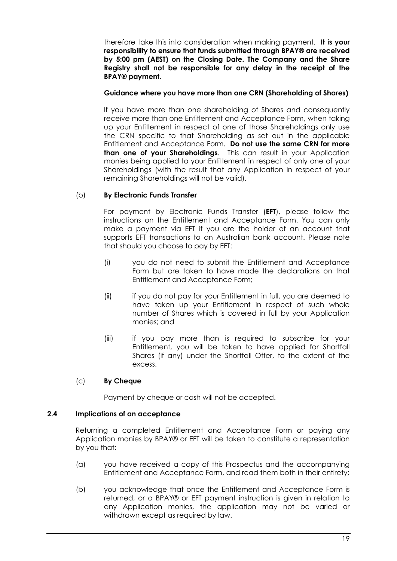therefore take this into consideration when making payment. **It is your responsibility to ensure that funds submitted through BPAY® are received by 5:00 pm (AEST) on the Closing Date. The Company and the Share Registry shall not be responsible for any delay in the receipt of the BPAY® payment.**

#### **Guidance where you have more than one CRN (Shareholding of Shares)**

If you have more than one shareholding of Shares and consequently receive more than one Entitlement and Acceptance Form, when taking up your Entitlement in respect of one of those Shareholdings only use the CRN specific to that Shareholding as set out in the applicable Entitlement and Acceptance Form. **Do not use the same CRN for more than one of your Shareholdings**. This can result in your Application monies being applied to your Entitlement in respect of only one of your Shareholdings (with the result that any Application in respect of your remaining Shareholdings will not be valid).

## (b) **By Electronic Funds Transfer**

For payment by Electronic Funds Transfer (**EFT**), please follow the instructions on the Entitlement and Acceptance Form. You can only make a payment via EFT if you are the holder of an account that supports EFT transactions to an Australian bank account. Please note that should you choose to pay by EFT:

- (i) you do not need to submit the Entitlement and Acceptance Form but are taken to have made the declarations on that Entitlement and Acceptance Form;
- (ii) if you do not pay for your Entitlement in full, you are deemed to have taken up your Entitlement in respect of such whole number of Shares which is covered in full by your Application monies; and
- (iii) if you pay more than is required to subscribe for your Entitlement, you will be taken to have applied for Shortfall Shares (if any) under the Shortfall Offer, to the extent of the excess.

#### (c) **By Cheque**

Payment by cheque or cash will not be accepted.

#### <span id="page-19-0"></span>**2.4 Implications of an acceptance**

Returning a completed Entitlement and Acceptance Form or paying any Application monies by BPAY® or EFT will be taken to constitute a representation by you that:

- (a) you have received a copy of this Prospectus and the accompanying Entitlement and Acceptance Form, and read them both in their entirety;
- (b) you acknowledge that once the Entitlement and Acceptance Form is returned, or a BPAY® or EFT payment instruction is given in relation to any Application monies, the application may not be varied or withdrawn except as required by law.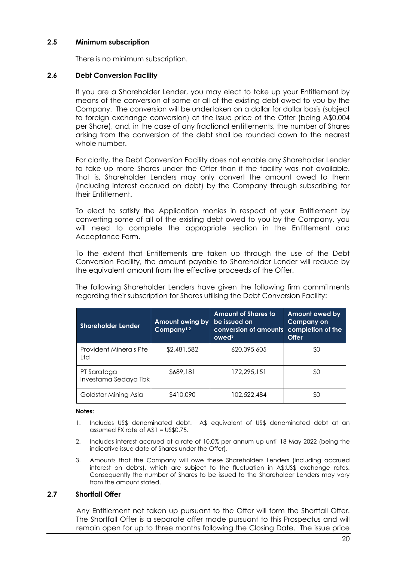#### **2.5 Minimum subscription**

There is no minimum subscription.

#### <span id="page-20-0"></span>**2.6 Debt Conversion Facility**

If you are a Shareholder Lender, you may elect to take up your Entitlement by means of the conversion of some or all of the existing debt owed to you by the Company. The conversion will be undertaken on a dollar for dollar basis (subject to foreign exchange conversion) at the issue price of the Offer (being A\$0.004 per Share), and, in the case of any fractional entitlements, the number of Shares arising from the conversion of the debt shall be rounded down to the nearest whole number.

For clarity, the Debt Conversion Facility does not enable any Shareholder Lender to take up more Shares under the Offer than if the facility was not available. That is, Shareholder Lenders may only convert the amount owed to them (including interest accrued on debt) by the Company through subscribing for their Entitlement.

To elect to satisfy the Application monies in respect of your Entitlement by converting some of all of the existing debt owed to you by the Company, you will need to complete the appropriate section in the Entitlement and Acceptance Form.

To the extent that Entitlements are taken up through the use of the Debt Conversion Facility, the amount payable to Shareholder Lender will reduce by the equivalent amount from the effective proceeds of the Offer.

The following Shareholder Lenders have given the following firm commitments regarding their subscription for Shares utilising the Debt Conversion Facility:

| <b>Shareholder Lender</b>           | Amount owing by<br>Company <sup>1,2</sup> | <b>Amount of Shares to</b><br>be issued on<br>conversion of amounts<br>$1$ owed $3$ | <b>Amount owed by</b><br><b>Company on</b><br>completion of the<br>Offer |
|-------------------------------------|-------------------------------------------|-------------------------------------------------------------------------------------|--------------------------------------------------------------------------|
| Provident Minerals Pte<br>Ltd       | \$2,481,582                               | 620.395.605                                                                         | \$0                                                                      |
| PT Saratoga<br>Investama Sedaya Tbk | \$689,181                                 | 172,295,151                                                                         | \$0                                                                      |
| Goldstar Mining Asia                | \$410,090                                 | 102,522,484                                                                         | \$0                                                                      |

#### **Notes:**

- 1. Includes US\$ denominated debt. A\$ equivalent of US\$ denominated debt at an assumed FX rate of A\$1 = US\$0.75.
- 2. Includes interest accrued at a rate of 10.0% per annum up until 18 May 2022 (being the indicative issue date of Shares under the Offer).
- 3. Amounts that the Company will owe these Shareholders Lenders (including accrued interest on debts), which are subject to the fluctuation in A\$:US\$ exchange rates. Consequently the number of Shares to be issued to the Shareholder Lenders may vary from the amount stated.

#### <span id="page-20-1"></span>**2.7 Shortfall Offer**

Any Entitlement not taken up pursuant to the Offer will form the Shortfall Offer. The Shortfall Offer is a separate offer made pursuant to this Prospectus and will remain open for up to three months following the Closing Date. The issue price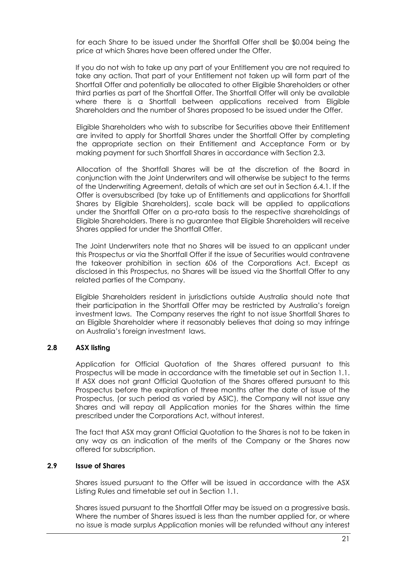for each Share to be issued under the Shortfall Offer shall be \$0.004 being the price at which Shares have been offered under the Offer.

If you do not wish to take up any part of your Entitlement you are not required to take any action. That part of your Entitlement not taken up will form part of the Shortfall Offer and potentially be allocated to other Eligible Shareholders or other third parties as part of the Shortfall Offer. The Shortfall Offer will only be available where there is a Shortfall between applications received from Eligible Shareholders and the number of Shares proposed to be issued under the Offer.

Eligible Shareholders who wish to subscribe for Securities above their Entitlement are invited to apply for Shortfall Shares under the Shortfall Offer by completing the appropriate section on their Entitlement and Acceptance Form or by making payment for such Shortfall Shares in accordance with Section [2.3.](#page-18-0)

Allocation of the Shortfall Shares will be at the discretion of the Board in conjunction with the Joint Underwriters and will otherwise be subject to the terms of the Underwriting Agreement, details of which are set out in Section [6.4.1.](#page-50-0) If the Offer is oversubscribed (by take up of Entitlements and applications for Shortfall Shares by Eligible Shareholders), scale back will be applied to applications under the Shortfall Offer on a pro-rata basis to the respective shareholdings of Eligible Shareholders. There is no guarantee that Eligible Shareholders will receive Shares applied for under the Shortfall Offer.

The Joint Underwriters note that no Shares will be issued to an applicant under this Prospectus or via the Shortfall Offer if the issue of Securities would contravene the takeover prohibition in section 606 of the Corporations Act. Except as disclosed in this Prospectus, no Shares will be issued via the Shortfall Offer to any related parties of the Company.

Eligible Shareholders resident in jurisdictions outside Australia should note that their participation in the Shortfall Offer may be restricted by Australia's foreign investment laws. The Company reserves the right to not issue Shortfall Shares to an Eligible Shareholder where it reasonably believes that doing so may infringe on Australia's foreign investment laws.

#### **2.8 ASX listing**

Application for Official Quotation of the Shares offered pursuant to this Prospectus will be made in accordance with the timetable set out in Section [1.1.](#page-5-1) If ASX does not grant Official Quotation of the Shares offered pursuant to this Prospectus before the expiration of three months after the date of issue of the Prospectus, (or such period as varied by ASIC), the Company will not issue any Shares and will repay all Application monies for the Shares within the time prescribed under the Corporations Act, without interest.

The fact that ASX may grant Official Quotation to the Shares is not to be taken in any way as an indication of the merits of the Company or the Shares now offered for subscription.

#### **2.9 Issue of Shares**

Shares issued pursuant to the Offer will be issued in accordance with the ASX Listing Rules and timetable set out in Section [1.1.](#page-5-1)

Shares issued pursuant to the Shortfall Offer may be issued on a progressive basis. Where the number of Shares issued is less than the number applied for, or where no issue is made surplus Application monies will be refunded without any interest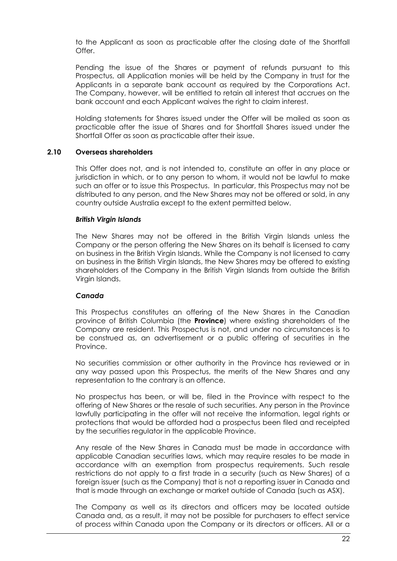to the Applicant as soon as practicable after the closing date of the Shortfall Offer.

Pending the issue of the Shares or payment of refunds pursuant to this Prospectus, all Application monies will be held by the Company in trust for the Applicants in a separate bank account as required by the Corporations Act. The Company, however, will be entitled to retain all interest that accrues on the bank account and each Applicant waives the right to claim interest.

Holding statements for Shares issued under the Offer will be mailed as soon as practicable after the issue of Shares and for Shortfall Shares issued under the Shortfall Offer as soon as practicable after their issue.

#### <span id="page-22-0"></span>**2.10 Overseas shareholders**

This Offer does not, and is not intended to, constitute an offer in any place or jurisdiction in which, or to any person to whom, it would not be lawful to make such an offer or to issue this Prospectus. In particular, this Prospectus may not be distributed to any person, and the New Shares may not be offered or sold, in any country outside Australia except to the extent permitted below.

#### *British Virgin Islands*

The New Shares may not be offered in the British Virgin Islands unless the Company or the person offering the New Shares on its behalf is licensed to carry on business in the British Virgin Islands. While the Company is not licensed to carry on business in the British Virgin Islands, the New Shares may be offered to existing shareholders of the Company in the British Virgin Islands from outside the British Virgin Islands.

#### *Canada*

This Prospectus constitutes an offering of the New Shares in the Canadian province of British Columbia (the **Province**) where existing shareholders of the Company are resident. This Prospectus is not, and under no circumstances is to be construed as, an advertisement or a public offering of securities in the Province.

No securities commission or other authority in the Province has reviewed or in any way passed upon this Prospectus, the merits of the New Shares and any representation to the contrary is an offence.

No prospectus has been, or will be, filed in the Province with respect to the offering of New Shares or the resale of such securities. Any person in the Province lawfully participating in the offer will not receive the information, legal rights or protections that would be afforded had a prospectus been filed and receipted by the securities regulator in the applicable Province.

Any resale of the New Shares in Canada must be made in accordance with applicable Canadian securities laws, which may require resales to be made in accordance with an exemption from prospectus requirements. Such resale restrictions do not apply to a first trade in a security (such as New Shares) of a foreign issuer (such as the Company) that is not a reporting issuer in Canada and that is made through an exchange or market outside of Canada (such as ASX).

The Company as well as its directors and officers may be located outside Canada and, as a result, it may not be possible for purchasers to effect service of process within Canada upon the Company or its directors or officers. All or a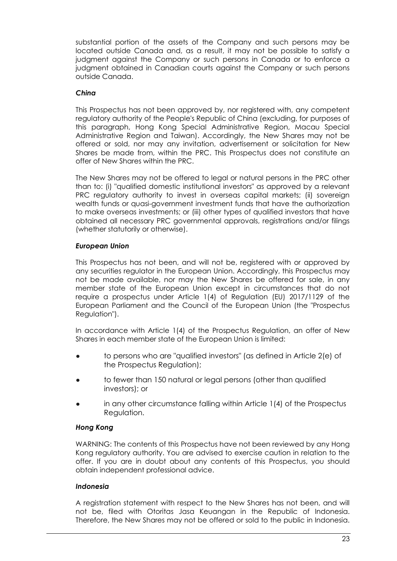substantial portion of the assets of the Company and such persons may be located outside Canada and, as a result, it may not be possible to satisfy a judgment against the Company or such persons in Canada or to enforce a judgment obtained in Canadian courts against the Company or such persons outside Canada.

# *China*

This Prospectus has not been approved by, nor registered with, any competent regulatory authority of the People's Republic of China (excluding, for purposes of this paragraph, Hong Kong Special Administrative Region, Macau Special Administrative Region and Taiwan). Accordingly, the New Shares may not be offered or sold, nor may any invitation, advertisement or solicitation for New Shares be made from, within the PRC. This Prospectus does not constitute an offer of New Shares within the PRC.

The New Shares may not be offered to legal or natural persons in the PRC other than to: (i) "qualified domestic institutional investors" as approved by a relevant PRC regulatory authority to invest in overseas capital markets; (ii) sovereign wealth funds or quasi-government investment funds that have the authorization to make overseas investments; or (iii) other types of qualified investors that have obtained all necessary PRC governmental approvals, registrations and/or filings (whether statutorily or otherwise).

# *European Union*

This Prospectus has not been, and will not be, registered with or approved by any securities regulator in the European Union. Accordingly, this Prospectus may not be made available, nor may the New Shares be offered for sale, in any member state of the European Union except in circumstances that do not require a prospectus under Article 1(4) of Regulation (EU) 2017/1129 of the European Parliament and the Council of the European Union (the "Prospectus Regulation").

In accordance with Article 1(4) of the Prospectus Regulation, an offer of New Shares in each member state of the European Union is limited:

- to persons who are "qualified investors" (as defined in Article 2(e) of the Prospectus Regulation);
- to fewer than 150 natural or legal persons (other than qualified investors); or
- in any other circumstance falling within Article  $1(4)$  of the Prospectus Regulation.

# *Hong Kong*

WARNING: The contents of this Prospectus have not been reviewed by any Hong Kong regulatory authority. You are advised to exercise caution in relation to the offer. If you are in doubt about any contents of this Prospectus, you should obtain independent professional advice.

# *Indonesia*

A registration statement with respect to the New Shares has not been, and will not be, filed with Otoritas Jasa Keuangan in the Republic of Indonesia. Therefore, the New Shares may not be offered or sold to the public in Indonesia.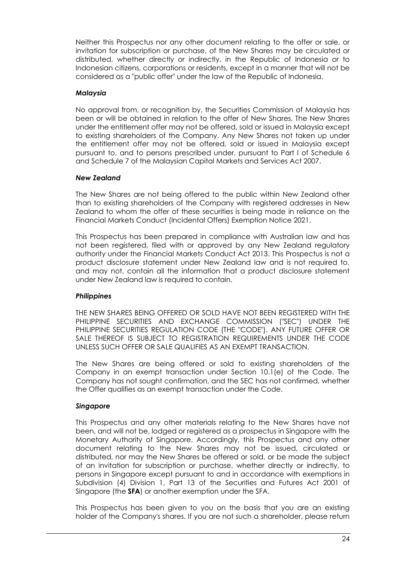Neither this Prospectus nor any other document relating to the offer or sale, or invitation for subscription or purchase, of the New Shares may be circulated or distributed, whether directly or indirectly, in the Republic of Indonesia or to Indonesian citizens, corporations or residents, except in a manner that will not be considered as a "public offer" under the law of the Republic of Indonesia.

#### *Malaysia*

No approval from, or recognition by, the Securities Commission of Malaysia has been or will be obtained in relation to the offer of New Shares. The New Shares under the entitlement offer may not be offered, sold or issued in Malaysia except to existing shareholders of the Company. Any New Shares not taken up under the entitlement offer may not be offered, sold or issued in Malaysia except pursuant to, and to persons prescribed under, pursuant to Part I of Schedule 6 and Schedule 7 of the Malaysian Capital Markets and Services Act 2007.

## *New Zealand*

The New Shares are not being offered to the public within New Zealand other than to existing shareholders of the Company with registered addresses in New Zealand to whom the offer of these securities is being made in reliance on the Financial Markets Conduct (Incidental Offers) Exemption Notice 2021.

This Prospectus has been prepared in compliance with Australian law and has not been registered, filed with or approved by any New Zealand regulatory authority under the Financial Markets Conduct Act 2013. This Prospectus is not a product disclosure statement under New Zealand law and is not required to, and may not, contain all the information that a product disclosure statement under New Zealand law is required to contain.

# *Philippines*

THE NEW SHARES BEING OFFERED OR SOLD HAVE NOT BEEN REGISTERED WITH THE PHILIPPINE SECURITIES AND EXCHANGE COMMISSION ("SEC") UNDER THE PHILIPPINE SECURITIES REGULATION CODE (THE "CODE"). ANY FUTURE OFFER OR SALE THEREOF IS SUBJECT TO REGISTRATION REQUIREMENTS UNDER THE CODE UNLESS SUCH OFFER OR SALE QUALIFIES AS AN EXEMPT TRANSACTION.

The New Shares are being offered or sold to existing shareholders of the Company in an exempt transaction under Section 10.1(e) of the Code. The Company has not sought confirmation, and the SEC has not confirmed, whether the Offer qualifies as an exempt transaction under the Code.

# *Singapore*

This Prospectus and any other materials relating to the New Shares have not been, and will not be, lodged or registered as a prospectus in Singapore with the Monetary Authority of Singapore. Accordingly, this Prospectus and any other document relating to the New Shares may not be issued, circulated or distributed, nor may the New Shares be offered or sold, or be made the subject of an invitation for subscription or purchase, whether directly or indirectly, to persons in Singapore except pursuant to and in accordance with exemptions in Subdivision (4) Division 1, Part 13 of the Securities and Futures Act 2001 of Singapore (the **SFA**) or another exemption under the SFA.

This Prospectus has been given to you on the basis that you are an existing holder of the Company's shares. If you are not such a shareholder, please return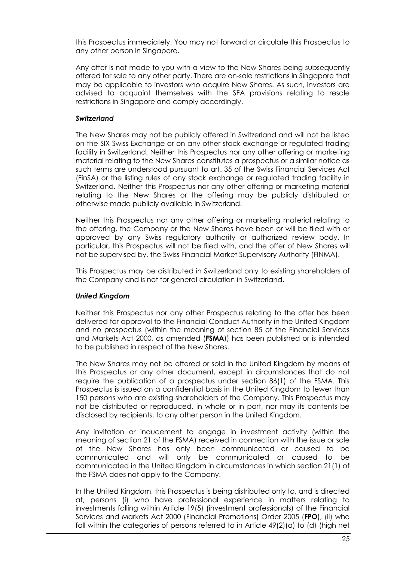this Prospectus immediately. You may not forward or circulate this Prospectus to any other person in Singapore.

Any offer is not made to you with a view to the New Shares being subsequently offered for sale to any other party. There are on-sale restrictions in Singapore that may be applicable to investors who acquire New Shares. As such, investors are advised to acquaint themselves with the SFA provisions relating to resale restrictions in Singapore and comply accordingly.

## *Switzerland*

The New Shares may not be publicly offered in Switzerland and will not be listed on the SIX Swiss Exchange or on any other stock exchange or regulated trading facility in Switzerland. Neither this Prospectus nor any other offering or marketing material relating to the New Shares constitutes a prospectus or a similar notice as such terms are understood pursuant to art. 35 of the Swiss Financial Services Act (FinSA) or the listing rules of any stock exchange or regulated trading facility in Switzerland. Neither this Prospectus nor any other offering or marketing material relating to the New Shares or the offering may be publicly distributed or otherwise made publicly available in Switzerland.

Neither this Prospectus nor any other offering or marketing material relating to the offering, the Company or the New Shares have been or will be filed with or approved by any Swiss regulatory authority or authorized review body. In particular, this Prospectus will not be filed with, and the offer of New Shares will not be supervised by, the Swiss Financial Market Supervisory Authority (FINMA).

This Prospectus may be distributed in Switzerland only to existing shareholders of the Company and is not for general circulation in Switzerland.

#### *United Kingdom*

Neither this Prospectus nor any other Prospectus relating to the offer has been delivered for approval to the Financial Conduct Authority in the United Kingdom and no prospectus (within the meaning of section 85 of the Financial Services and Markets Act 2000, as amended (**FSMA**)) has been published or is intended to be published in respect of the New Shares.

The New Shares may not be offered or sold in the United Kingdom by means of this Prospectus or any other document, except in circumstances that do not require the publication of a prospectus under section 86(1) of the FSMA. This Prospectus is issued on a confidential basis in the United Kingdom to fewer than 150 persons who are existing shareholders of the Company. This Prospectus may not be distributed or reproduced, in whole or in part, nor may its contents be disclosed by recipients, to any other person in the United Kingdom.

Any invitation or inducement to engage in investment activity (within the meaning of section 21 of the FSMA) received in connection with the issue or sale of the New Shares has only been communicated or caused to be communicated and will only be communicated or caused to be communicated in the United Kingdom in circumstances in which section 21(1) of the FSMA does not apply to the Company.

In the United Kingdom, this Prospectus is being distributed only to, and is directed at, persons (i) who have professional experience in matters relating to investments falling within Article 19(5) (investment professionals) of the Financial Services and Markets Act 2000 (Financial Promotions) Order 2005 (**FPO**), (ii) who fall within the categories of persons referred to in Article  $49(2)(a)$  to (d) (high net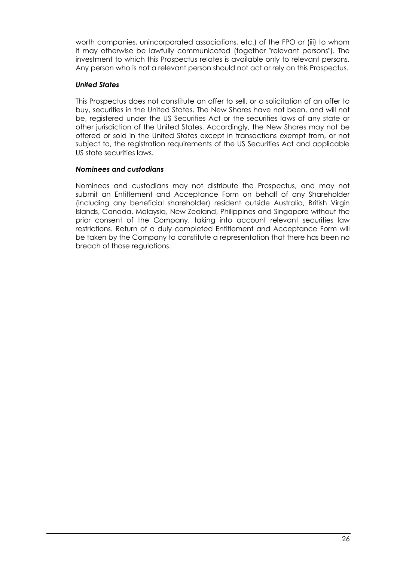worth companies, unincorporated associations, etc.) of the FPO or (iii) to whom it may otherwise be lawfully communicated (together "relevant persons"). The investment to which this Prospectus relates is available only to relevant persons. Any person who is not a relevant person should not act or rely on this Prospectus.

## *United States*

This Prospectus does not constitute an offer to sell, or a solicitation of an offer to buy, securities in the United States. The New Shares have not been, and will not be, registered under the US Securities Act or the securities laws of any state or other jurisdiction of the United States. Accordingly, the New Shares may not be offered or sold in the United States except in transactions exempt from, or not subject to, the registration requirements of the US Securities Act and applicable US state securities laws.

## *Nominees and custodians*

Nominees and custodians may not distribute the Prospectus, and may not submit an Entitlement and Acceptance Form on behalf of any Shareholder (including any beneficial shareholder) resident outside Australia, British Virgin Islands, Canada, Malaysia, New Zealand, Philippines and Singapore without the prior consent of the Company, taking into account relevant securities law restrictions. Return of a duly completed Entitlement and Acceptance Form will be taken by the Company to constitute a representation that there has been no breach of those regulations.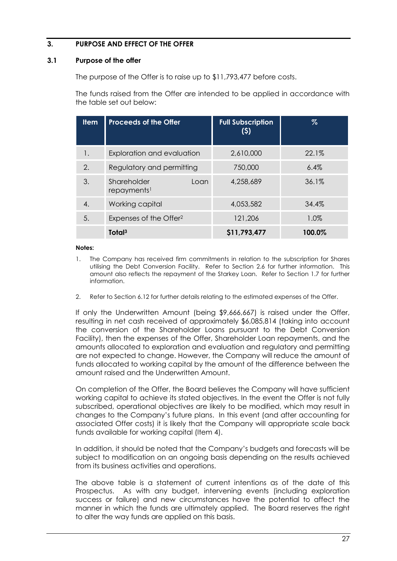# <span id="page-27-0"></span>**3. PURPOSE AND EFFECT OF THE OFFER**

## <span id="page-27-1"></span>**3.1 Purpose of the offer**

The purpose of the Offer is to raise up to \$11,793,477 before costs.

The funds raised from the Offer are intended to be applied in accordance with the table set out below:

| <b>Item</b> | <b>Proceeds of the Offer</b>                   | <b>Full Subscription</b><br>(5) | $\%$   |
|-------------|------------------------------------------------|---------------------------------|--------|
| 1.          | Exploration and evaluation                     | 2,610,000                       | 22.1%  |
| 2.          | Regulatory and permitting                      | 750,000                         | 6.4%   |
| 3.          | Shareholder<br>Loan<br>repayments <sup>1</sup> | 4,258,689                       | 36.1%  |
| 4.          | Working capital                                | 4,053,582                       | 34.4%  |
| 5.          | Expenses of the Offer <sup>2</sup>             | 121,206                         | 1.0%   |
|             | Total <sup>3</sup>                             | \$11,793,477                    | 100.0% |

#### **Notes:**

- 1. The Company has received firm commitments in relation to the subscription for Shares utilising the Debt Conversion Facility. Refer to Section [2.6](#page-20-0) for further information. This amount also reflects the repayment of the Starkey Loan. Refer to Section [1.7](#page-9-0) for further information.
- 2. Refer to Section [6.12](#page-62-0) for further details relating to the estimated expenses of the Offer.

If only the Underwritten Amount (being \$9,666,667) is raised under the Offer, resulting in net cash received of approximately \$6,085,814 (taking into account the conversion of the Shareholder Loans pursuant to the Debt Conversion Facility), then the expenses of the Offer, Shareholder Loan repayments, and the amounts allocated to exploration and evaluation and regulatory and permitting are not expected to change. However, the Company will reduce the amount of funds allocated to working capital by the amount of the difference between the amount raised and the Underwritten Amount.

On completion of the Offer, the Board believes the Company will have sufficient working capital to achieve its stated objectives. In the event the Offer is not fully subscribed, operational objectives are likely to be modified, which may result in changes to the Company's future plans. In this event (and after accounting for associated Offer costs) it is likely that the Company will appropriate scale back funds available for working capital (Item 4).

In addition, it should be noted that the Company's budgets and forecasts will be subject to modification on an ongoing basis depending on the results achieved from its business activities and operations.

The above table is a statement of current intentions as of the date of this Prospectus. As with any budget, intervening events (including exploration success or failure) and new circumstances have the potential to affect the manner in which the funds are ultimately applied. The Board reserves the right to alter the way funds are applied on this basis.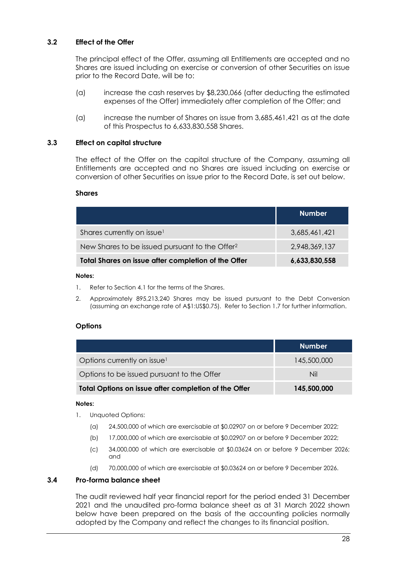# **3.2 Effect of the Offer**

The principal effect of the Offer, assuming all Entitlements are accepted and no Shares are issued including on exercise or conversion of other Securities on issue prior to the Record Date, will be to:

- (a) increase the cash reserves by \$8,230,066 (after deducting the estimated expenses of the Offer) immediately after completion of the Offer; and
- (a) increase the number of Shares on issue from 3,685,461,421 as at the date of this Prospectus to 6,633,830,558 Shares.

#### **3.3 Effect on capital structure**

The effect of the Offer on the capital structure of the Company, assuming all Entitlements are accepted and no Shares are issued including on exercise or conversion of other Securities on issue prior to the Record Date, is set out below.

#### **Shares**

|                                                            | <b>Number</b> |
|------------------------------------------------------------|---------------|
| Shares currently on issue <sup>1</sup>                     | 3,685,461,421 |
| New Shares to be issued pursuant to the Offer <sup>2</sup> | 2,948,369,137 |
| Total Shares on issue after completion of the Offer        | 6,633,830,558 |

#### **Notes:**

- 1. Refer to Section [4.1](#page-31-1) for the terms of the Shares.
- 2. Approximately 895,213,240 Shares may be issued pursuant to the Debt Conversion (assuming an exchange rate of A\$1:US\$0.75). Refer to Section [1.7](#page-9-0) for further information.

#### **Options**

|                                                      | <b>Number</b> |
|------------------------------------------------------|---------------|
| Options currently on issue <sup>1</sup>              | 145,500,000   |
| Options to be issued pursuant to the Offer           | Nil           |
| Total Options on issue after completion of the Offer | 145,500,000   |

#### **Notes:**

- 1. Unquoted Options:
	- (a) 24,500,000 of which are exercisable at \$0.02907 on or before 9 December 2022;
	- (b) 17,000,000 of which are exercisable at \$0.02907 on or before 9 December 2022;
	- (c) 34,000,000 of which are exercisable at \$0.03624 on or before 9 December 2026; and
	- (d) 70,000,000 of which are exercisable at \$0.03624 on or before 9 December 2026.

### **3.4 Pro-forma balance sheet**

The audit reviewed half year financial report for the period ended 31 December 2021 and the unaudited pro-forma balance sheet as at 31 March 2022 shown below have been prepared on the basis of the accounting policies normally adopted by the Company and reflect the changes to its financial position.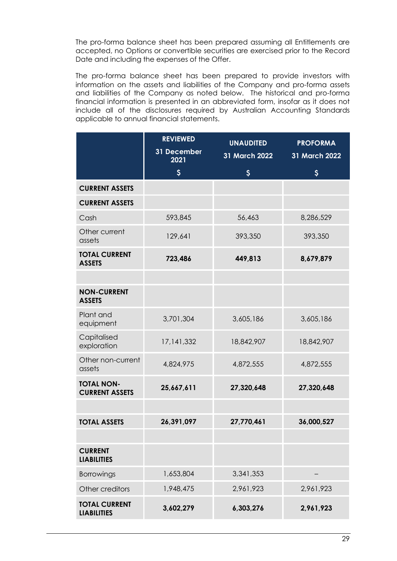The pro-forma balance sheet has been prepared assuming all Entitlements are accepted, no Options or convertible securities are exercised prior to the Record Date and including the expenses of the Offer.

The pro-forma balance sheet has been prepared to provide investors with information on the assets and liabilities of the Company and pro-forma assets and liabilities of the Company as noted below. The historical and pro-forma financial information is presented in an abbreviated form, insofar as it does not include all of the disclosures required by Australian Accounting Standards applicable to annual financial statements.

|                                            | <b>REVIEWED</b><br>31 December<br>2021 | <b>UNAUDITED</b><br>31 March 2022 | <b>PROFORMA</b><br>31 March 2022 |
|--------------------------------------------|----------------------------------------|-----------------------------------|----------------------------------|
|                                            | \$                                     | $\boldsymbol{\mathsf{S}}$         | \$                               |
| <b>CURRENT ASSETS</b>                      |                                        |                                   |                                  |
| <b>CURRENT ASSETS</b>                      |                                        |                                   |                                  |
| Cash                                       | 593,845                                | 56,463                            | 8,286,529                        |
| Other current<br>assets                    | 129,641                                | 393,350                           | 393,350                          |
| <b>TOTAL CURRENT</b><br><b>ASSETS</b>      | 723,486                                | 449,813                           | 8,679,879                        |
|                                            |                                        |                                   |                                  |
| <b>NON-CURRENT</b><br><b>ASSETS</b>        |                                        |                                   |                                  |
| Plant and<br>equipment                     | 3,701,304                              | 3,605,186                         | 3,605,186                        |
| Capitalised<br>exploration                 | 17,141,332                             | 18,842,907                        | 18,842,907                       |
| Other non-current<br>assets                | 4,824,975                              | 4,872,555                         | 4,872,555                        |
| <b>TOTAL NON-</b><br><b>CURRENT ASSETS</b> | 25,667,611                             | 27,320,648                        | 27,320,648                       |
|                                            |                                        |                                   |                                  |
| <b>TOTAL ASSETS</b>                        | 26,391,097                             | 27,770,461                        | 36,000,527                       |
|                                            |                                        |                                   |                                  |
| <b>CURRENT</b><br><b>LIABILITIES</b>       |                                        |                                   |                                  |
| Borrowings                                 | 1,653,804                              | 3,341,353                         |                                  |
| Other creditors                            | 1,948,475                              | 2,961,923                         | 2,961,923                        |
| <b>TOTAL CURRENT</b><br><b>LIABILITIES</b> | 3,602,279                              | 6,303,276                         | 2,961,923                        |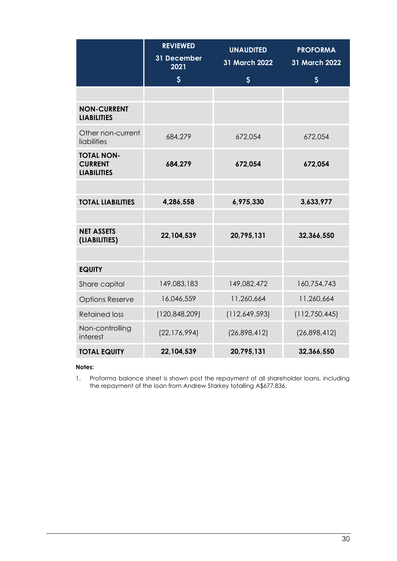|                                                           | <b>REVIEWED</b>     | <b>UNAUDITED</b>          | <b>PROFORMA</b>           |
|-----------------------------------------------------------|---------------------|---------------------------|---------------------------|
|                                                           | 31 December<br>2021 | 31 March 2022             | 31 March 2022             |
|                                                           | $\mathsf{S}$        | $\boldsymbol{\mathsf{S}}$ | $\boldsymbol{\mathsf{S}}$ |
|                                                           |                     |                           |                           |
| <b>NON-CURRENT</b><br><b>LIABILITIES</b>                  |                     |                           |                           |
| Other non-current<br>liabilities                          | 684,279             | 672,054                   | 672,054                   |
| <b>TOTAL NON-</b><br><b>CURRENT</b><br><b>LIABILITIES</b> | 684,279             | 672,054                   | 672,054                   |
|                                                           |                     |                           |                           |
| <b>TOTAL LIABILITIES</b>                                  | 4,286,558           | 6,975,330                 | 3,633,977                 |
|                                                           |                     |                           |                           |
| <b>NET ASSETS</b><br>(LIABILITIES)                        | 22,104,539          | 20,795,131                | 32,366,550                |
|                                                           |                     |                           |                           |
| <b>EQUITY</b>                                             |                     |                           |                           |
| Share capital                                             | 149,083,183         | 149,082,472               | 160,754,743               |
| <b>Options Reserve</b>                                    | 16,046,559          | 11,260,664                | 11,260,664                |
| <b>Retained loss</b>                                      | (120, 848, 209)     | (112,649,593)             | (112,750,445)             |
| Non-controlling<br>interest                               | (22, 176, 994)      | (26,898,412)              | (26,898,412)              |
| <b>TOTAL EQUITY</b>                                       | 22,104,539          | 20,795,131                | 32,366,550                |

#### **Notes:**

1. Proforma balance sheet is shown post the repayment of all shareholder loans, including the repayment of the loan from Andrew Starkey totalling A\$677,836.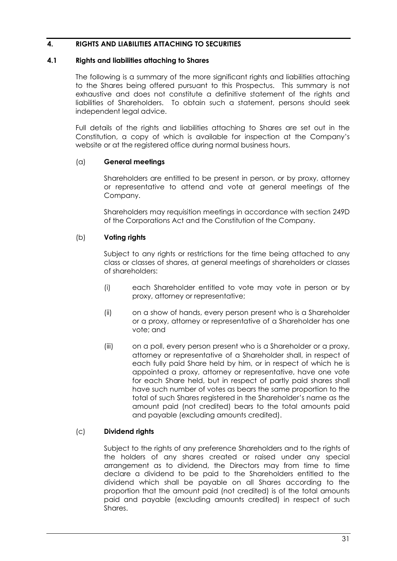# <span id="page-31-0"></span>**4. RIGHTS AND LIABILITIES ATTACHING TO SECURITIES**

#### <span id="page-31-1"></span>**4.1 Rights and liabilities attaching to Shares**

The following is a summary of the more significant rights and liabilities attaching to the Shares being offered pursuant to this Prospectus. This summary is not exhaustive and does not constitute a definitive statement of the rights and liabilities of Shareholders. To obtain such a statement, persons should seek independent legal advice.

Full details of the rights and liabilities attaching to Shares are set out in the Constitution, a copy of which is available for inspection at the Company's website or at the registered office during normal business hours.

#### (a) **General meetings**

Shareholders are entitled to be present in person, or by proxy, attorney or representative to attend and vote at general meetings of the Company.

Shareholders may requisition meetings in accordance with section 249D of the Corporations Act and the Constitution of the Company.

#### (b) **Voting rights**

Subject to any rights or restrictions for the time being attached to any class or classes of shares, at general meetings of shareholders or classes of shareholders:

- (i) each Shareholder entitled to vote may vote in person or by proxy, attorney or representative;
- (ii) on a show of hands, every person present who is a Shareholder or a proxy, attorney or representative of a Shareholder has one vote; and
- (iii) on a poll, every person present who is a Shareholder or a proxy, attorney or representative of a Shareholder shall, in respect of each fully paid Share held by him, or in respect of which he is appointed a proxy, attorney or representative, have one vote for each Share held, but in respect of partly paid shares shall have such number of votes as bears the same proportion to the total of such Shares registered in the Shareholder's name as the amount paid (not credited) bears to the total amounts paid and payable (excluding amounts credited).

#### (c) **Dividend rights**

Subject to the rights of any preference Shareholders and to the rights of the holders of any shares created or raised under any special arrangement as to dividend, the Directors may from time to time declare a dividend to be paid to the Shareholders entitled to the dividend which shall be payable on all Shares according to the proportion that the amount paid (not credited) is of the total amounts paid and payable (excluding amounts credited) in respect of such Shares.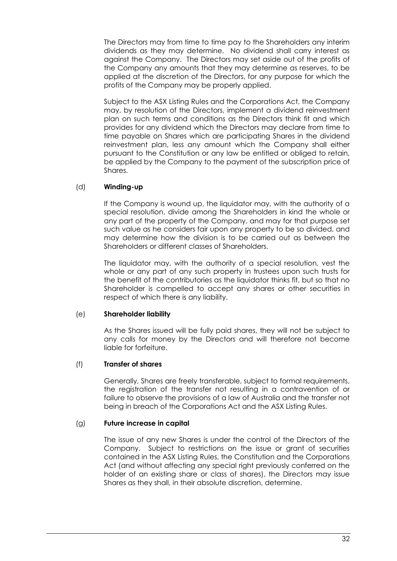The Directors may from time to time pay to the Shareholders any interim dividends as they may determine. No dividend shall carry interest as against the Company. The Directors may set aside out of the profits of the Company any amounts that they may determine as reserves, to be applied at the discretion of the Directors, for any purpose for which the profits of the Company may be properly applied.

Subject to the ASX Listing Rules and the Corporations Act, the Company may, by resolution of the Directors, implement a dividend reinvestment plan on such terms and conditions as the Directors think fit and which provides for any dividend which the Directors may declare from time to time payable on Shares which are participating Shares in the dividend reinvestment plan, less any amount which the Company shall either pursuant to the Constitution or any law be entitled or obliged to retain, be applied by the Company to the payment of the subscription price of Shares.

## (d) **Winding-up**

If the Company is wound up, the liquidator may, with the authority of a special resolution, divide among the Shareholders in kind the whole or any part of the property of the Company, and may for that purpose set such value as he considers fair upon any property to be so divided, and may determine how the division is to be carried out as between the Shareholders or different classes of Shareholders.

The liquidator may, with the authority of a special resolution, vest the whole or any part of any such property in trustees upon such trusts for the benefit of the contributories as the liquidator thinks fit, but so that no Shareholder is compelled to accept any shares or other securities in respect of which there is any liability.

#### (e) **Shareholder liability**

As the Shares issued will be fully paid shares, they will not be subject to any calls for money by the Directors and will therefore not become liable for forfeiture.

#### (f) **Transfer of shares**

Generally, Shares are freely transferable, subject to formal requirements, the registration of the transfer not resulting in a contravention of or failure to observe the provisions of a law of Australia and the transfer not being in breach of the Corporations Act and the ASX Listing Rules.

#### (g) **Future increase in capital**

The issue of any new Shares is under the control of the Directors of the Company. Subject to restrictions on the issue or grant of securities contained in the ASX Listing Rules, the Constitution and the Corporations Act (and without affecting any special right previously conferred on the holder of an existing share or class of shares), the Directors may issue Shares as they shall, in their absolute discretion, determine.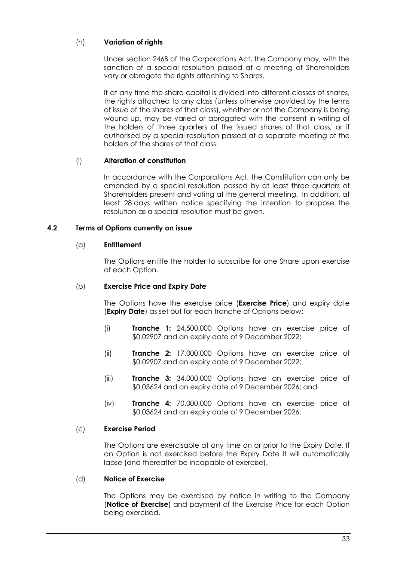# (h) **Variation of rights**

Under section 246B of the Corporations Act, the Company may, with the sanction of a special resolution passed at a meeting of Shareholders vary or abrogate the rights attaching to Shares.

If at any time the share capital is divided into different classes of shares, the rights attached to any class (unless otherwise provided by the terms of issue of the shares of that class), whether or not the Company is being wound up, may be varied or abrogated with the consent in writing of the holders of three quarters of the issued shares of that class, or if authorised by a special resolution passed at a separate meeting of the holders of the shares of that class.

# (i) **Alteration of constitution**

In accordance with the Corporations Act, the Constitution can only be amended by a special resolution passed by at least three quarters of Shareholders present and voting at the general meeting. In addition, at least 28 days written notice specifying the intention to propose the resolution as a special resolution must be given.

# <span id="page-33-0"></span>**4.2 Terms of Options currently on issue**

# (a) **Entitlement**

The Options entitle the holder to subscribe for one Share upon exercise of each Option.

# (b) **Exercise Price and Expiry Date**

The Options have the exercise price (**Exercise Price**) and expiry date (**Expiry Date**) as set out for each tranche of Options below:

- (i) **Tranche 1:** 24,500,000 Options have an exercise price of \$0.02907 and an expiry date of 9 December 2022;
- (ii) **Tranche 2:** 17,000,000 Options have an exercise price of \$0.02907 and an expiry date of 9 December 2022;
- (iii) **Tranche 3:** 34,000,000 Options have an exercise price of \$0.03624 and an expiry date of 9 December 2026; and
- (iv) **Tranche 4:** 70,000,000 Options have an exercise price of \$0.03624 and an expiry date of 9 December 2026.

# (c) **Exercise Period**

The Options are exercisable at any time on or prior to the Expiry Date. If an Option is not exercised before the Expiry Date it will automatically lapse (and thereafter be incapable of exercise).

#### (d) **Notice of Exercise**

The Options may be exercised by notice in writing to the Company (**Notice of Exercise**) and payment of the Exercise Price for each Option being exercised.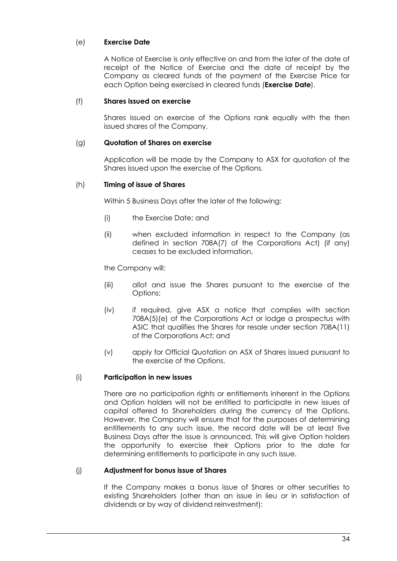# (e) **Exercise Date**

A Notice of Exercise is only effective on and from the later of the date of receipt of the Notice of Exercise and the date of receipt by the Company as cleared funds of the payment of the Exercise Price for each Option being exercised in cleared funds (**Exercise Date**).

## (f) **Shares issued on exercise**

Shares issued on exercise of the Options rank equally with the then issued shares of the Company.

### (g) **Quotation of Shares on exercise**

Application will be made by the Company to ASX for quotation of the Shares issued upon the exercise of the Options.

## (h) **Timing of issue of Shares**

Within 5 Business Days after the later of the following:

- (i) the Exercise Date; and
- (ii) when excluded information in respect to the Company (as defined in section 708A(7) of the Corporations Act) (if any) ceases to be excluded information,

the Company will:

- (iii) allot and issue the Shares pursuant to the exercise of the Options;
- (iv) if required, give ASX a notice that complies with section 708A(5)(e) of the Corporations Act or lodge a prospectus with ASIC that qualifies the Shares for resale under section 708A(11) of the Corporations Act; and
- (v) apply for Official Quotation on ASX of Shares issued pursuant to the exercise of the Options.

# (i) **Participation in new issues**

There are no participation rights or entitlements inherent in the Options and Option holders will not be entitled to participate in new issues of capital offered to Shareholders during the currency of the Options. However, the Company will ensure that for the purposes of determining entitlements to any such issue, the record date will be at least five Business Days after the issue is announced. This will give Option holders the opportunity to exercise their Options prior to the date for determining entitlements to participate in any such issue.

#### (j) **Adjustment for bonus issue of Shares**

If the Company makes a bonus issue of Shares or other securities to existing Shareholders (other than an issue in lieu or in satisfaction of dividends or by way of dividend reinvestment):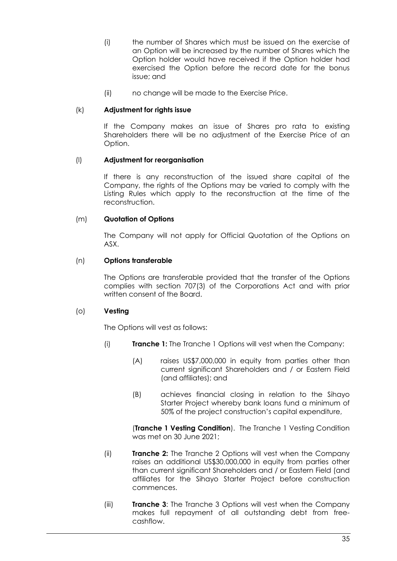- (i) the number of Shares which must be issued on the exercise of an Option will be increased by the number of Shares which the Option holder would have received if the Option holder had exercised the Option before the record date for the bonus issue; and
- (ii) no change will be made to the Exercise Price.

#### (k) **Adjustment for rights issue**

If the Company makes an issue of Shares pro rata to existing Shareholders there will be no adjustment of the Exercise Price of an Option.

## (l) **Adjustment for reorganisation**

If there is any reconstruction of the issued share capital of the Company, the rights of the Options may be varied to comply with the Listing Rules which apply to the reconstruction at the time of the reconstruction.

## (m) **Quotation of Options**

The Company will not apply for Official Quotation of the Options on ASX.

#### (n) **Options transferable**

The Options are transferable provided that the transfer of the Options complies with section 707(3) of the Corporations Act and with prior written consent of the Board.

#### (o) **Vesting**

The Options will vest as follows:

- (i) **Tranche 1:** The Tranche 1 Options will vest when the Company:
	- (A) raises US\$7,000,000 in equity from parties other than current significant Shareholders and / or Eastern Field (and affiliates); and
	- (B) achieves financial closing in relation to the Sihayo Starter Project whereby bank loans fund a minimum of 50% of the project construction's capital expenditure,

(**Tranche 1 Vesting Condition**). The Tranche 1 Vesting Condition was met on 30 June 2021;

- (ii) **Tranche 2:** The Tranche 2 Options will vest when the Company raises an additional US\$30,000,000 in equity from parties other than current significant Shareholders and / or Eastern Field (and affiliates for the Sihayo Starter Project before construction commences.
- (iii) **Tranche 3**: The Tranche 3 Options will vest when the Company makes full repayment of all outstanding debt from freecashflow.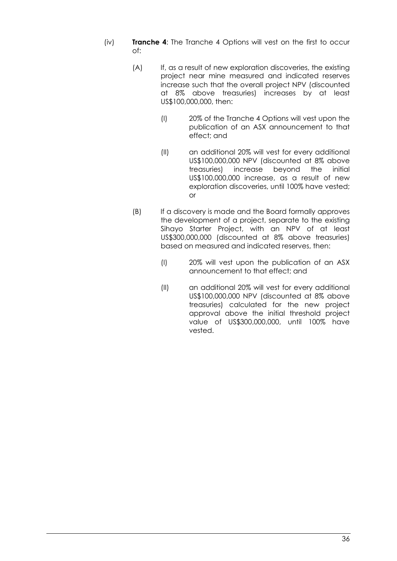- (iv) **Tranche 4**: The Tranche 4 Options will vest on the first to occur of:
	- (A) If, as a result of new exploration discoveries, the existing project near mine measured and indicated reserves increase such that the overall project NPV (discounted at 8% above treasuries) increases by at least US\$100,000,000, then:
		- (I) 20% of the Tranche 4 Options will vest upon the publication of an ASX announcement to that effect; and
		- (II) an additional 20% will vest for every additional US\$100,000,000 NPV (discounted at 8% above treasuries) increase beyond the initial US\$100,000,000 increase, as a result of new exploration discoveries, until 100% have vested; or
	- (B) If a discovery is made and the Board formally approves the development of a project, separate to the existing Sihayo Starter Project, with an NPV of at least US\$300,000,000 (discounted at 8% above treasuries) based on measured and indicated reserves, then:
		- (I) 20% will vest upon the publication of an ASX announcement to that effect; and
		- (II) an additional 20% will vest for every additional US\$100,000,000 NPV (discounted at 8% above treasuries) calculated for the new project approval above the initial threshold project value of US\$300,000,000, until 100% have vested.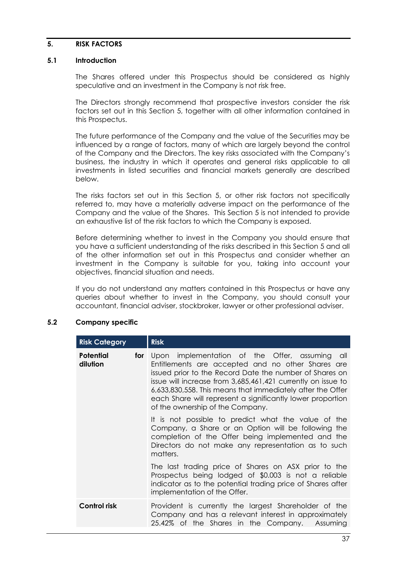#### <span id="page-37-0"></span>**5. RISK FACTORS**

#### **5.1 Introduction**

The Shares offered under this Prospectus should be considered as highly speculative and an investment in the Company is not risk free.

The Directors strongly recommend that prospective investors consider the risk factors set out in this Section [5,](#page-37-0) together with all other information contained in this Prospectus.

The future performance of the Company and the value of the Securities may be influenced by a range of factors, many of which are largely beyond the control of the Company and the Directors. The key risks associated with the Company's business, the industry in which it operates and general risks applicable to all investments in listed securities and financial markets generally are described below.

The risks factors set out in this Section [5,](#page-37-0) or other risk factors not specifically referred to, may have a materially adverse impact on the performance of the Company and the value of the Shares. This Section [5](#page-37-0) is not intended to provide an exhaustive list of the risk factors to which the Company is exposed.

Before determining whether to invest in the Company you should ensure that you have a sufficient understanding of the risks described in this Section 5 and all of the other information set out in this Prospectus and consider whether an investment in the Company is suitable for you, taking into account your objectives, financial situation and needs.

If you do not understand any matters contained in this Prospectus or have any queries about whether to invest in the Company, you should consult your accountant, financial adviser, stockbroker, lawyer or other professional adviser.

#### <span id="page-37-1"></span>**5.2 Company specific**

| <b>Risk Category</b>                | <b>Risk</b>                                                                                                                                                                                                                                                                                                                                                                                    |
|-------------------------------------|------------------------------------------------------------------------------------------------------------------------------------------------------------------------------------------------------------------------------------------------------------------------------------------------------------------------------------------------------------------------------------------------|
| <b>Potential</b><br>for<br>dilution | Upon implementation of the Offer, assuming all<br>Entitlements are accepted and no other Shares are<br>issued prior to the Record Date the number of Shares on<br>issue will increase from 3,685,461,421 currently on issue to<br>6,633,830,558. This means that immediately after the Offer<br>each Share will represent a significantly lower proportion<br>of the ownership of the Company. |
|                                     | It is not possible to predict what the value of the<br>Company, a Share or an Option will be following the<br>completion of the Offer being implemented and the<br>Directors do not make any representation as to such<br>matters.                                                                                                                                                             |
|                                     | The last trading price of Shares on ASX prior to the<br>Prospectus being lodged of \$0.003 is not a reliable<br>indicator as to the potential trading price of Shares after<br>implementation of the Offer.                                                                                                                                                                                    |
| <b>Control risk</b>                 | Provident is currently the largest Shareholder of the<br>Company and has a relevant interest in approximately<br>25.42% of the Shares in the Company. Assuming                                                                                                                                                                                                                                 |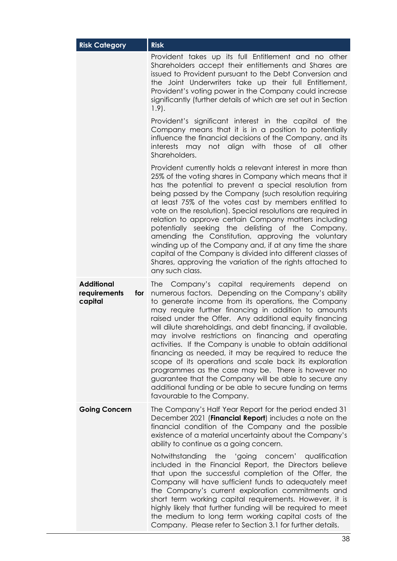| <b>Risk Category</b>                                | <b>Risk</b>                                                                                                                                                                                                                                                                                                                                                                                                                                                                                                                                                                                                                                                                                                                                                                                                    |
|-----------------------------------------------------|----------------------------------------------------------------------------------------------------------------------------------------------------------------------------------------------------------------------------------------------------------------------------------------------------------------------------------------------------------------------------------------------------------------------------------------------------------------------------------------------------------------------------------------------------------------------------------------------------------------------------------------------------------------------------------------------------------------------------------------------------------------------------------------------------------------|
|                                                     | Provident takes up its full Entitlement and no other<br>Shareholders accept their entitlements and Shares are<br>issued to Provident pursuant to the Debt Conversion and<br>the Joint Underwriters take up their full Entitlement,<br>Provident's voting power in the Company could increase<br>significantly (further details of which are set out in Section<br>$1.9$ .                                                                                                                                                                                                                                                                                                                                                                                                                                      |
|                                                     | Provident's significant interest in the capital of the<br>Company means that it is in a position to potentially<br>influence the financial decisions of the Company, and its<br>interests may not align with those of all other<br>Shareholders.                                                                                                                                                                                                                                                                                                                                                                                                                                                                                                                                                               |
|                                                     | Provident currently holds a relevant interest in more than<br>25% of the voting shares in Company which means that it<br>has the potential to prevent a special resolution from<br>being passed by the Company (such resolution requiring<br>at least 75% of the votes cast by members entitled to<br>vote on the resolution). Special resolutions are required in<br>relation to approve certain Company matters including<br>potentially seeking the delisting of the Company,<br>amending the Constitution, approving the voluntary<br>winding up of the Company and, if at any time the share<br>capital of the Company is divided into different classes of<br>Shares, approving the variation of the rights attached to<br>any such class.                                                               |
| <b>Additional</b><br>requirements<br>for<br>capital | Company's capital requirements depend<br><b>The</b><br>on on<br>numerous factors. Depending on the Company's ability<br>to generate income from its operations, the Company<br>may require further financing in addition to amounts<br>raised under the Offer. Any additional equity financing<br>will dilute shareholdings, and debt financing, if available,<br>may involve restrictions on financing and operating<br>activities. If the Company is unable to obtain additional<br>financing as needed, it may be required to reduce the<br>scope of its operations and scale back its exploration<br>programmes as the case may be. There is however no<br>guarantee that the Company will be able to secure any<br>additional funding or be able to secure funding on terms<br>favourable to the Company. |
| <b>Going Concern</b>                                | The Company's Half Year Report for the period ended 31<br>December 2021 (Financial Report) includes a note on the<br>financial condition of the Company and the possible<br>existence of a material uncertainty about the Company's<br>ability to continue as a going concern.                                                                                                                                                                                                                                                                                                                                                                                                                                                                                                                                 |
|                                                     | Notwithstanding the 'going concern' qualification<br>included in the Financial Report, the Directors believe<br>that upon the successful completion of the Offer, the<br>Company will have sufficient funds to adequately meet<br>the Company's current exploration commitments and<br>short term working capital requirements. However, it is<br>highly likely that further funding will be required to meet<br>the medium to long term working capital costs of the<br>Company. Please refer to Section 3.1 for further details.                                                                                                                                                                                                                                                                             |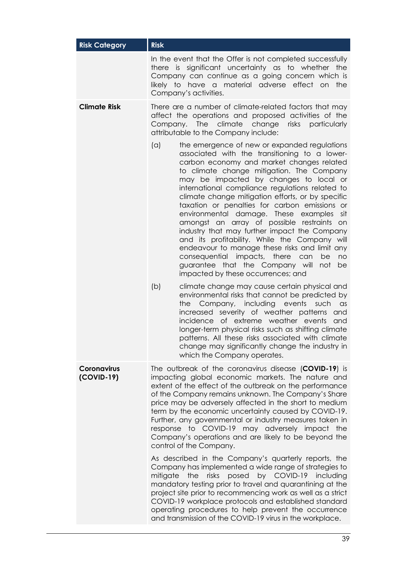| <b>Risk Category</b>             | <b>Risk</b>                                                                                                                                                                                                                                                                                                                                                                                                                                                                                                                                                                                                                                                                                                                                                                                                                                                                                                                                                                                                  |
|----------------------------------|--------------------------------------------------------------------------------------------------------------------------------------------------------------------------------------------------------------------------------------------------------------------------------------------------------------------------------------------------------------------------------------------------------------------------------------------------------------------------------------------------------------------------------------------------------------------------------------------------------------------------------------------------------------------------------------------------------------------------------------------------------------------------------------------------------------------------------------------------------------------------------------------------------------------------------------------------------------------------------------------------------------|
|                                  | In the event that the Offer is not completed successfully<br>there is significant uncertainty as to whether the<br>Company can continue as a going concern which is<br>likely to have a material adverse effect on the<br>Company's activities.                                                                                                                                                                                                                                                                                                                                                                                                                                                                                                                                                                                                                                                                                                                                                              |
| <b>Climate Risk</b>              | There are a number of climate-related factors that may<br>affect the operations and proposed activities of the<br>Company. The climate<br>change<br>risks<br>particularly<br>attributable to the Company include:                                                                                                                                                                                                                                                                                                                                                                                                                                                                                                                                                                                                                                                                                                                                                                                            |
|                                  | (a)<br>the emergence of new or expanded regulations<br>associated with the transitioning to a lower-<br>carbon economy and market changes related<br>to climate change mitigation. The Company<br>may be impacted by changes to local or<br>international compliance regulations related to<br>climate change mitigation efforts, or by specific<br>taxation or penalties for carbon emissions or<br>environmental damage. These examples sit<br>amongst an array of possible restraints on<br>industry that may further impact the Company<br>and its profitability. While the Company will<br>endeavour to manage these risks and limit any<br>consequential impacts, there<br>can<br>be<br>no<br>guarantee that the Company will<br>not<br>be<br>impacted by these occurrences; and<br>(b)<br>climate change may cause certain physical and<br>environmental risks that cannot be predicted by<br>Company, including events<br>the<br>such<br>$\alpha$ s<br>increased severity of weather patterns<br>and |
|                                  | incidence of extreme weather events<br>and<br>longer-term physical risks such as shifting climate<br>patterns. All these risks associated with climate<br>change may significantly change the industry in<br>which the Company operates.                                                                                                                                                                                                                                                                                                                                                                                                                                                                                                                                                                                                                                                                                                                                                                     |
| <b>Coronavirus</b><br>(COVID-19) | The outbreak of the coronavirus disease (COVID-19) is<br>impacting global economic markets. The nature and<br>extent of the effect of the outbreak on the performance<br>of the Company remains unknown. The Company's Share<br>price may be adversely affected in the short to medium<br>term by the economic uncertainty caused by COVID-19.<br>Further, any governmental or industry measures taken in<br>response to COVID-19 may adversely impact<br>the<br>Company's operations and are likely to be beyond the<br>control of the Company.                                                                                                                                                                                                                                                                                                                                                                                                                                                             |
|                                  | As described in the Company's quarterly reports, the<br>Company has implemented a wide range of strategies to<br>posed by COVID-19 including<br>mitigate<br>the<br>risks<br>mandatory testing prior to travel and quarantining at the<br>project site prior to recommencing work as well as a strict<br>COVID-19 workplace protocols and established standard<br>operating procedures to help prevent the occurrence<br>and transmission of the COVID-19 virus in the workplace.                                                                                                                                                                                                                                                                                                                                                                                                                                                                                                                             |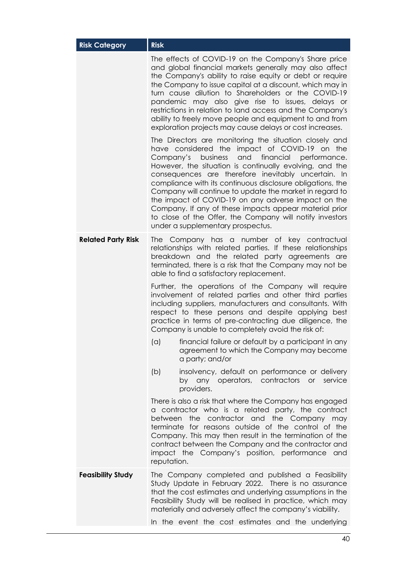| <b>Risk Category</b>      | <b>Risk</b>                                                                                                                                                                                                                                                                                                                                                                                                                                                                                                                                                                                                                 |
|---------------------------|-----------------------------------------------------------------------------------------------------------------------------------------------------------------------------------------------------------------------------------------------------------------------------------------------------------------------------------------------------------------------------------------------------------------------------------------------------------------------------------------------------------------------------------------------------------------------------------------------------------------------------|
|                           | The effects of COVID-19 on the Company's Share price<br>and global financial markets generally may also affect<br>the Company's ability to raise equity or debt or require<br>the Company to issue capital at a discount, which may in<br>turn cause dilution to Shareholders or the COVID-19<br>pandemic may also give rise to issues, delays or<br>restrictions in relation to land access and the Company's<br>ability to freely move people and equipment to and from<br>exploration projects may cause delays or cost increases.                                                                                       |
|                           | The Directors are monitoring the situation closely and<br>have considered the impact of COVID-19 on the<br>Company's<br>and financial performance.<br>business<br>However, the situation is continually evolving, and the<br>consequences are therefore inevitably uncertain. In<br>compliance with its continuous disclosure obligations, the<br>Company will continue to update the market in regard to<br>the impact of COVID-19 on any adverse impact on the<br>Company. If any of these impacts appear material prior<br>to close of the Offer, the Company will notify investors<br>under a supplementary prospectus. |
| <b>Related Party Risk</b> | The Company has a number of key contractual<br>relationships with related parties. If these relationships<br>breakdown and the related party agreements are<br>terminated, there is a risk that the Company may not be<br>able to find a satisfactory replacement.                                                                                                                                                                                                                                                                                                                                                          |
|                           | Further, the operations of the Company will require<br>involvement of related parties and other third parties<br>including suppliers, manufacturers and consultants. With<br>respect to these persons and despite applying best<br>practice in terms of pre-contracting due diligence, the<br>Company is unable to completely avoid the risk of:                                                                                                                                                                                                                                                                            |
|                           | financial failure or default by a participant in any<br>(a)<br>agreement to which the Company may become<br>a party; and/or                                                                                                                                                                                                                                                                                                                                                                                                                                                                                                 |
|                           | (b)<br>insolvency, default on performance or delivery<br>by any operators, contractors<br>or<br>service<br>providers.                                                                                                                                                                                                                                                                                                                                                                                                                                                                                                       |
|                           | There is also a risk that where the Company has engaged<br>a contractor who is a related party, the contract<br>between the contractor and the Company may<br>terminate for reasons outside of the control of the<br>Company. This may then result in the termination of the<br>contract between the Company and the contractor and<br>impact the Company's position, performance and<br>reputation.                                                                                                                                                                                                                        |
| <b>Feasibility Study</b>  | The Company completed and published a Feasibility<br>Study Update in February 2022. There is no assurance<br>that the cost estimates and underlying assumptions in the<br>Feasibility Study will be realised in practice, which may<br>materially and adversely affect the company's viability.                                                                                                                                                                                                                                                                                                                             |
|                           | In the event the cost estimates and the underlying                                                                                                                                                                                                                                                                                                                                                                                                                                                                                                                                                                          |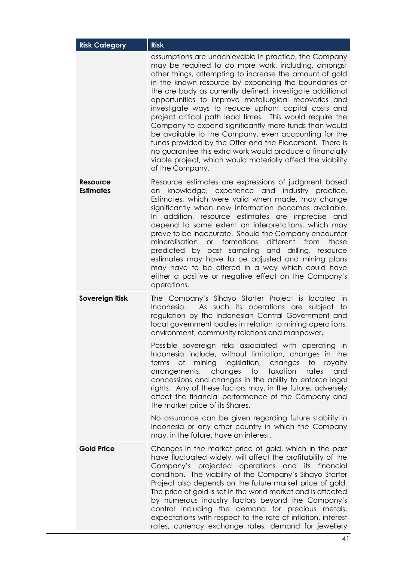| <b>Risk Category</b>                | <b>Risk</b>                                                                                                                                                                                                                                                                                                                                                                                                                                                                                                                                                                                                                                                                                                                                                                                         |  |  |
|-------------------------------------|-----------------------------------------------------------------------------------------------------------------------------------------------------------------------------------------------------------------------------------------------------------------------------------------------------------------------------------------------------------------------------------------------------------------------------------------------------------------------------------------------------------------------------------------------------------------------------------------------------------------------------------------------------------------------------------------------------------------------------------------------------------------------------------------------------|--|--|
|                                     | assumptions are unachievable in practice, the Company<br>may be required to do more work, including, amongst<br>other things, attempting to increase the amount of gold<br>in the known resource by expanding the boundaries of<br>the ore body as currently defined, investigate additional<br>opportunities to improve metallurgical recoveries and<br>investigate ways to reduce upfront capital costs and<br>project critical path lead times. This would require the<br>Company to expend significantly more funds than would<br>be available to the Company, even accounting for the<br>funds provided by the Offer and the Placement. There is<br>no guarantee this extra work would produce a financially<br>viable project, which would materially affect the viability<br>of the Company. |  |  |
| <b>Resource</b><br><b>Estimates</b> | Resource estimates are expressions of judgment based<br>knowledge, experience and industry practice.<br>on.<br>Estimates, which were valid when made, may change<br>significantly when new information becomes available.<br>In addition, resource estimates are imprecise and<br>depend to some extent on interpretations, which may<br>prove to be inaccurate. Should the Company encounter<br>mineralisation or formations<br>different<br>from<br>those<br>predicted by past sampling and drilling, resource<br>estimates may have to be adjusted and mining plans<br>may have to be altered in a way which could have<br>either a positive or negative effect on the Company's<br>operations.                                                                                                  |  |  |
| <b>Sovereign Risk</b>               | The Company's Sihayo Starter Project is located in<br>As such its operations are subject to<br>Indonesia.<br>regulation by the Indonesian Central Government and<br>local government bodies in relation to mining operations,<br>environment, community relations and manpower.<br>Possible sovereign risks associated with operating in<br>Indonesia include, without limitation, changes in the                                                                                                                                                                                                                                                                                                                                                                                                   |  |  |
|                                     | of mining legislation, changes<br>to royalty<br>terms<br>taxation<br>changes<br>to<br>and<br>arrangements,<br>rates<br>concessions and changes in the ability to enforce legal<br>rights. Any of these factors may, in the future, adversely<br>affect the financial performance of the Company and<br>the market price of its Shares.                                                                                                                                                                                                                                                                                                                                                                                                                                                              |  |  |
|                                     | No assurance can be given regarding future stability in<br>Indonesia or any other country in which the Company<br>may, in the future, have an interest.                                                                                                                                                                                                                                                                                                                                                                                                                                                                                                                                                                                                                                             |  |  |
| <b>Gold Price</b>                   | Changes in the market price of gold, which in the past<br>have fluctuated widely, will affect the profitability of the<br>Company's projected operations and its financial<br>condition. The viability of the Company's Sihayo Starter<br>Project also depends on the future market price of gold.<br>The price of gold is set in the world market and is affected<br>by numerous industry factors beyond the Company's<br>control including the demand for precious metals,<br>expectations with respect to the rate of inflation, interest<br>rates, currency exchange rates, demand for jewellery                                                                                                                                                                                                |  |  |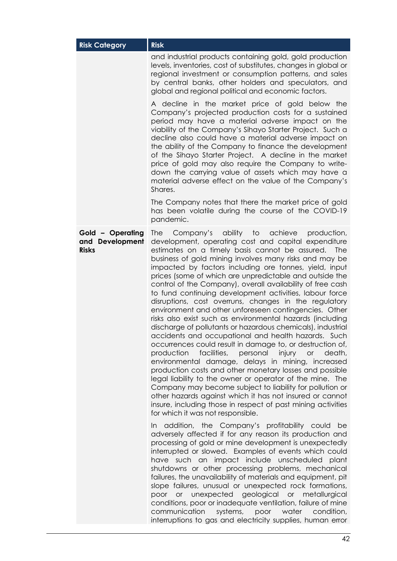| <b>Risk Category</b>                                | <b>Risk</b>                                                                                                                                                                                                                                                                                                                                                                                                                                                                                                                                                                                                                                                                                                                                                                                                                                                                                                                                                                                                                                                                                                                                                                                                                                                                                                             |  |  |
|-----------------------------------------------------|-------------------------------------------------------------------------------------------------------------------------------------------------------------------------------------------------------------------------------------------------------------------------------------------------------------------------------------------------------------------------------------------------------------------------------------------------------------------------------------------------------------------------------------------------------------------------------------------------------------------------------------------------------------------------------------------------------------------------------------------------------------------------------------------------------------------------------------------------------------------------------------------------------------------------------------------------------------------------------------------------------------------------------------------------------------------------------------------------------------------------------------------------------------------------------------------------------------------------------------------------------------------------------------------------------------------------|--|--|
|                                                     | and industrial products containing gold, gold production<br>levels, inventories, cost of substitutes, changes in global or<br>regional investment or consumption patterns, and sales<br>by central banks, other holders and speculators, and<br>global and regional political and economic factors.                                                                                                                                                                                                                                                                                                                                                                                                                                                                                                                                                                                                                                                                                                                                                                                                                                                                                                                                                                                                                     |  |  |
|                                                     | A decline in the market price of gold below the<br>Company's projected production costs for a sustained<br>period may have a material adverse impact on the<br>viability of the Company's Sihayo Starter Project. Such a<br>decline also could have a material adverse impact on<br>the ability of the Company to finance the development<br>of the Sihayo Starter Project. A decline in the market<br>price of gold may also require the Company to write-<br>down the carrying value of assets which may have a<br>material adverse effect on the value of the Company's<br>Shares.                                                                                                                                                                                                                                                                                                                                                                                                                                                                                                                                                                                                                                                                                                                                   |  |  |
|                                                     | The Company notes that there the market price of gold<br>has been volatile during the course of the COVID-19<br>pandemic.                                                                                                                                                                                                                                                                                                                                                                                                                                                                                                                                                                                                                                                                                                                                                                                                                                                                                                                                                                                                                                                                                                                                                                                               |  |  |
| Gold - Operating<br>and Development<br><b>Risks</b> | <b>The</b><br>Company's ability to<br>achieve production,<br>development, operating cost and capital expenditure<br>estimates on a timely basis cannot be assured.<br>The<br>business of gold mining involves many risks and may be<br>impacted by factors including ore tonnes, yield, input<br>prices (some of which are unpredictable and outside the<br>control of the Company), overall availability of free cash<br>to fund continuing development activities, labour force<br>disruptions, cost overruns, changes in the regulatory<br>environment and other unforeseen contingencies. Other<br>risks also exist such as environmental hazards (including<br>discharge of pollutants or hazardous chemicals), industrial<br>accidents and occupational and health hazards. Such<br>occurrences could result in damage to, or destruction of,<br>production<br>facilities, personal injury or<br>death,<br>environmental damage, delays in mining, increased<br>production costs and other monetary losses and possible<br>legal liability to the owner or operator of the mine. The<br>Company may become subject to liability for pollution or<br>other hazards against which it has not insured or cannot<br>insure, including those in respect of past mining activities<br>for which it was not responsible. |  |  |
|                                                     | addition, the Company's profitability could<br>In.<br>be<br>adversely affected if for any reason its production and<br>processing of gold or mine development is unexpectedly<br>interrupted or slowed. Examples of events which could<br>have such an impact include unscheduled plant<br>shutdowns or other processing problems, mechanical<br>failures, the unavailability of materials and equipment, pit<br>slope failures, unusual or unexpected rock formations,<br>poor or unexpected geological or metallurgical<br>conditions, poor or inadequate ventilation, failure of mine<br>communication systems, poor water condition,<br>interruptions to gas and electricity supplies, human error                                                                                                                                                                                                                                                                                                                                                                                                                                                                                                                                                                                                                  |  |  |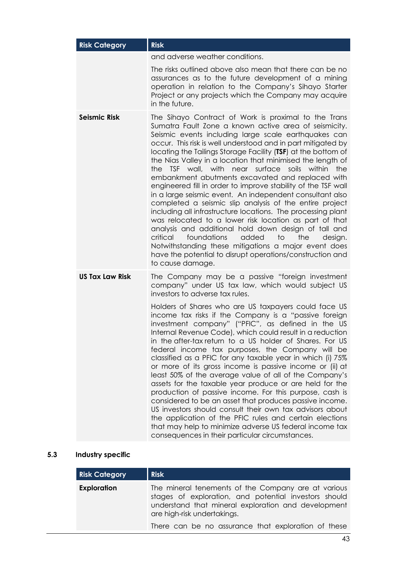| <b>Risk Category</b>   | <b>Risk</b>                                                                                                                                                                                                                                                                                                                                                                                                                                                                                                                                                                                                                                                                                                                                                                                                                                                                                                                                                                                                                                                    |  |  |
|------------------------|----------------------------------------------------------------------------------------------------------------------------------------------------------------------------------------------------------------------------------------------------------------------------------------------------------------------------------------------------------------------------------------------------------------------------------------------------------------------------------------------------------------------------------------------------------------------------------------------------------------------------------------------------------------------------------------------------------------------------------------------------------------------------------------------------------------------------------------------------------------------------------------------------------------------------------------------------------------------------------------------------------------------------------------------------------------|--|--|
|                        | and adverse weather conditions.                                                                                                                                                                                                                                                                                                                                                                                                                                                                                                                                                                                                                                                                                                                                                                                                                                                                                                                                                                                                                                |  |  |
|                        | The risks outlined above also mean that there can be no<br>assurances as to the future development of a mining<br>operation in relation to the Company's Sihayo Starter<br>Project or any projects which the Company may acquire<br>in the future.                                                                                                                                                                                                                                                                                                                                                                                                                                                                                                                                                                                                                                                                                                                                                                                                             |  |  |
| <b>Seismic Risk</b>    | The Sihayo Contract of Work is proximal to the Trans<br>Sumatra Fault Zone a known active area of seismicity.<br>Seismic events including large scale earthquakes can<br>occur. This risk is well understood and in part mitigated by<br>locating the Tailings Storage Facility (TSF) at the bottom of<br>the Nias Valley in a location that minimised the length of<br>the TSF wall, with near surface soils within<br>the<br>embankment abutments excavated and replaced with<br>engineered fill in order to improve stability of the TSF wall<br>in a large seismic event. An independent consultant also<br>completed a seismic slip analysis of the entire project<br>including all infrastructure locations. The processing plant<br>was relocated to a lower risk location as part of that<br>analysis and additional hold down design of tall and<br>foundations<br>added<br>critical<br>the<br>to<br>design.<br>Notwithstanding these mitigations a major event does<br>have the potential to disrupt operations/construction and<br>to cause damage. |  |  |
| <b>US Tax Law Risk</b> | The Company may be a passive "foreign investment<br>company" under US tax law, which would subject US<br>investors to adverse tax rules.                                                                                                                                                                                                                                                                                                                                                                                                                                                                                                                                                                                                                                                                                                                                                                                                                                                                                                                       |  |  |
|                        | Holders of Shares who are US taxpayers could face US<br>income tax risks if the Company is a "passive foreign<br>investment company" ("PFIC", as defined in the US<br>Internal Revenue Code), which could result in a reduction<br>in the after-tax return to a US holder of Shares. For US<br>federal income tax purposes, the Company will be<br>classified as a PFIC for any taxable year in which (i) 75%<br>or more of its gross income is passive income or (ii) at<br>least 50% of the average value of all of the Company's<br>assets for the taxable year produce or are held for the<br>production of passive income. For this purpose, cash is<br>considered to be an asset that produces passive income.<br>US investors should consult their own tax advisors about<br>the application of the PFIC rules and certain elections<br>that may help to minimize adverse US federal income tax<br>consequences in their particular circumstances.                                                                                                      |  |  |

# <span id="page-43-0"></span>**5.3 Industry specific**

| <b>Risk Category</b> | <b>Risk</b>                                                                                                                                                                                                                                               |
|----------------------|-----------------------------------------------------------------------------------------------------------------------------------------------------------------------------------------------------------------------------------------------------------|
| <b>Exploration</b>   | The mineral tenements of the Company are at various<br>stages of exploration, and potential investors should<br>understand that mineral exploration and development<br>are high-risk undertakings.<br>There can be no assurance that exploration of these |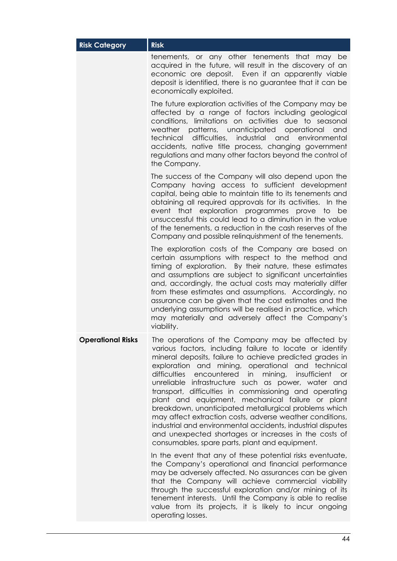| <b>Risk Category</b>     | <b>Risk</b>                                                                                                                                                                                                                                                                                                                                                                                                                                                                                                                                                                                                                                                                                                                                                   |  |  |
|--------------------------|---------------------------------------------------------------------------------------------------------------------------------------------------------------------------------------------------------------------------------------------------------------------------------------------------------------------------------------------------------------------------------------------------------------------------------------------------------------------------------------------------------------------------------------------------------------------------------------------------------------------------------------------------------------------------------------------------------------------------------------------------------------|--|--|
|                          | tenements, or any other tenements that may be<br>acquired in the future, will result in the discovery of an<br>economic ore deposit. Even if an apparently viable<br>deposit is identified, there is no guarantee that it can be<br>economically exploited.                                                                                                                                                                                                                                                                                                                                                                                                                                                                                                   |  |  |
|                          | The future exploration activities of the Company may be<br>affected by a range of factors including geological<br>conditions, limitations on activities due to seasonal<br>weather patterns, unanticipated operational<br>and<br>technical difficulties, industrial and environmental<br>accidents, native title process, changing government<br>regulations and many other factors beyond the control of<br>the Company.                                                                                                                                                                                                                                                                                                                                     |  |  |
|                          | The success of the Company will also depend upon the<br>Company having access to sufficient development<br>capital, being able to maintain title to its tenements and<br>obtaining all required approvals for its activities. In the<br>event that exploration programmes prove to be<br>unsuccessful this could lead to a diminution in the value<br>of the tenements, a reduction in the cash reserves of the<br>Company and possible relinquishment of the tenements.                                                                                                                                                                                                                                                                                      |  |  |
|                          | The exploration costs of the Company are based on<br>certain assumptions with respect to the method and<br>timing of exploration. By their nature, these estimates<br>and assumptions are subject to significant uncertainties<br>and, accordingly, the actual costs may materially differ<br>from these estimates and assumptions. Accordingly, no<br>assurance can be given that the cost estimates and the<br>underlying assumptions will be realised in practice, which<br>may materially and adversely affect the Company's<br>viability.                                                                                                                                                                                                                |  |  |
| <b>Operational Risks</b> | The operations of the Company may be affected by<br>various factors, including failure to locate or identify<br>mineral deposits, failure to achieve predicted grades in<br>exploration and mining, operational and technical<br>difficulties encountered in mining,<br>insufficient<br>or<br>unreliable infrastructure such as power, water and<br>transport, difficulties in commissioning and operating<br>plant and equipment, mechanical failure or plant<br>breakdown, unanticipated metallurgical problems which<br>may affect extraction costs, adverse weather conditions,<br>industrial and environmental accidents, industrial disputes<br>and unexpected shortages or increases in the costs of<br>consumables, spare parts, plant and equipment. |  |  |
|                          | In the event that any of these potential risks eventuate,<br>the Company's operational and financial performance<br>may be adversely affected. No assurances can be given<br>that the Company will achieve commercial viability<br>through the successful exploration and/or mining of its<br>tenement interests. Until the Company is able to realise<br>value from its projects, it is likely to incur ongoing<br>operating losses.                                                                                                                                                                                                                                                                                                                         |  |  |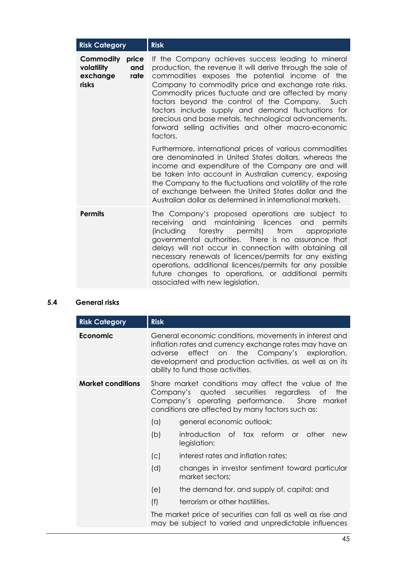| <b>Risk Category</b>                                                 | <b>Risk</b>                                                                                                                                                                                                                                                                                                                                                                                                                                                                                                            |  |
|----------------------------------------------------------------------|------------------------------------------------------------------------------------------------------------------------------------------------------------------------------------------------------------------------------------------------------------------------------------------------------------------------------------------------------------------------------------------------------------------------------------------------------------------------------------------------------------------------|--|
| Commodity<br>price<br>volatility<br>and<br>exchange<br>rate<br>risks | If the Company achieves success leading to mineral<br>production, the revenue it will derive through the sale of<br>commodities exposes the potential income of the<br>Company to commodity price and exchange rate risks.<br>Commodity prices fluctuate and are affected by many<br>factors beyond the control of the Company. Such<br>factors include supply and demand fluctuations for<br>precious and base metals, technological advancements,<br>forward selling activities and other macro-economic<br>factors. |  |
|                                                                      | Furthermore, international prices of various commodities<br>are denominated in United States dollars, whereas the<br>income and expenditure of the Company are and will<br>be taken into account in Australian currency, exposing<br>the Company to the fluctuations and volatility of the rate<br>of exchange between the United States dollar and the<br>Australian dollar as determined in international markets.                                                                                                   |  |
| <b>Permits</b>                                                       | The Company's proposed operations are subject to<br>receiving and maintaining licences and permits<br>forestry permits) from<br><i>(including</i><br>appropriate<br>governmental authorities. There is no assurance that<br>delays will not occur in connection with obtaining all<br>necessary renewals of licences/permits for any existing<br>operations, additional licences/permits for any possible<br>future changes to operations, or additional permits<br>associated with new legislation.                   |  |

# <span id="page-45-0"></span>**5.4 General risks**

| <b>Risk Category</b>     | <b>Risk</b>                                                                                                                                                                                                                                                           |  |  |
|--------------------------|-----------------------------------------------------------------------------------------------------------------------------------------------------------------------------------------------------------------------------------------------------------------------|--|--|
| <b>Economic</b>          | General economic conditions, movements in interest and<br>inflation rates and currency exchange rates may have an<br>effect on the Company's exploration,<br>adverse<br>development and production activities, as well as on its<br>ability to fund those activities. |  |  |
| <b>Market conditions</b> | Share market conditions may affect the value of the<br>quoted securities regardless of<br>Company's<br>the<br>Company's operating performance.<br>Share<br>market<br>conditions are affected by many factors such as:                                                 |  |  |
|                          | general economic outlook;<br>(a)                                                                                                                                                                                                                                      |  |  |
|                          | (b)<br>introduction of tax reform<br>other<br>$\alpha$<br>new<br>legislation;                                                                                                                                                                                         |  |  |
|                          | interest rates and inflation rates;<br>(C)                                                                                                                                                                                                                            |  |  |
|                          | (d)<br>changes in investor sentiment toward particular<br>market sectors;                                                                                                                                                                                             |  |  |
|                          | the demand for, and supply of, capital; and<br>(e)                                                                                                                                                                                                                    |  |  |
|                          | (f)<br>terrorism or other hostilities.                                                                                                                                                                                                                                |  |  |
|                          | The market price of securities can fall as well as rise and<br>may be subject to varied and unpredictable influences                                                                                                                                                  |  |  |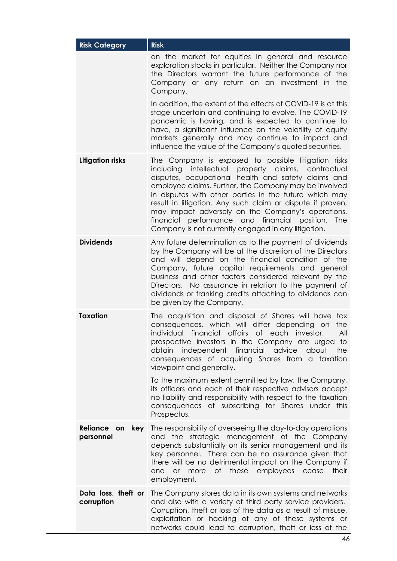| <b>Risk Category</b>              | <b>Risk</b>                                                                                                                                                                                                                                                                                                                                                                                                                                                                                                                            |  |  |
|-----------------------------------|----------------------------------------------------------------------------------------------------------------------------------------------------------------------------------------------------------------------------------------------------------------------------------------------------------------------------------------------------------------------------------------------------------------------------------------------------------------------------------------------------------------------------------------|--|--|
|                                   | on the market for equities in general and resource<br>exploration stocks in particular. Neither the Company nor<br>the Directors warrant the future performance of the<br>Company or any return on an investment in the<br>Company.                                                                                                                                                                                                                                                                                                    |  |  |
|                                   | In addition, the extent of the effects of COVID-19 is at this<br>stage uncertain and continuing to evolve. The COVID-19<br>pandemic is having, and is expected to continue to<br>have, a significant influence on the volatility of equity<br>markets generally and may continue to impact and<br>influence the value of the Company's quoted securities.                                                                                                                                                                              |  |  |
| <b>Litigation risks</b>           | The Company is exposed to possible litigation risks<br>intellectual<br>property claims,<br>contractual<br>including<br>disputes, occupational health and safety claims and<br>employee claims. Further, the Company may be involved<br>in disputes with other parties in the future which may<br>result in litigation. Any such claim or dispute if proven,<br>may impact adversely on the Company's operations,<br>financial performance and financial position.<br><b>The</b><br>Company is not currently engaged in any litigation. |  |  |
| <b>Dividends</b>                  | Any future determination as to the payment of dividends<br>by the Company will be at the discretion of the Directors<br>and will depend on the financial condition of the<br>Company, future capital requirements and general<br>business and other factors considered relevant by the<br>Directors. No assurance in relation to the payment of<br>dividends or franking credits attaching to dividends can<br>be given by the Company.                                                                                                |  |  |
| Taxation                          | The acquisition and disposal of Shares will have tax<br>consequences, which will differ depending on<br>the<br>individual financial affairs of each investor.<br>All<br>prospective investors in the Company are urged to<br>obtain independent financial advice about<br>the<br>consequences of acquiring Shares from a taxation<br>viewpoint and generally.                                                                                                                                                                          |  |  |
|                                   | To the maximum extent permitted by law, the Company,<br>its officers and each of their respective advisors accept<br>no liability and responsibility with respect to the taxation<br>consequences of subscribing for Shares under this<br>Prospectus.                                                                                                                                                                                                                                                                                  |  |  |
| Reliance on<br>key<br>personnel   | The responsibility of overseeing the day-to-day operations<br>strategic management of the Company<br>and the<br>depends substantially on its senior management and its<br>key personnel. There can be no assurance given that<br>there will be no detrimental impact on the Company if<br>or more of these employees cease<br>their<br>one<br>employment.                                                                                                                                                                              |  |  |
| Data loss, theft or<br>corruption | The Company stores data in its own systems and networks<br>and also with a variety of third party service providers.<br>Corruption, theft or loss of the data as a result of misuse,<br>exploitation or hacking of any of these systems or<br>networks could lead to corruption, theft or loss of the                                                                                                                                                                                                                                  |  |  |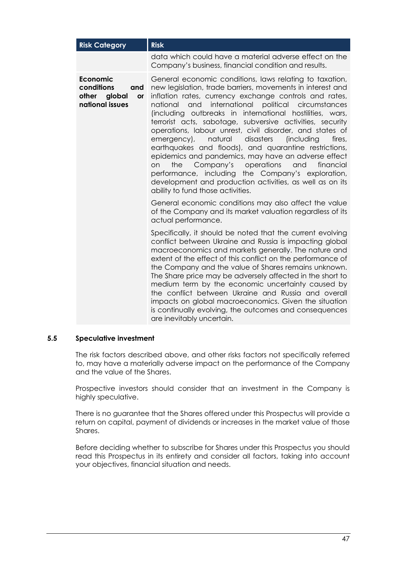| <b>Risk Category</b>                                                                    | <b>Risk</b>                                                                                                                                                                                                                                                                                                                                                                                                                                                                                                                                                                                                                                                                                                                                                                                                                    |  |  |
|-----------------------------------------------------------------------------------------|--------------------------------------------------------------------------------------------------------------------------------------------------------------------------------------------------------------------------------------------------------------------------------------------------------------------------------------------------------------------------------------------------------------------------------------------------------------------------------------------------------------------------------------------------------------------------------------------------------------------------------------------------------------------------------------------------------------------------------------------------------------------------------------------------------------------------------|--|--|
|                                                                                         | data which could have a material adverse effect on the<br>Company's business, financial condition and results.                                                                                                                                                                                                                                                                                                                                                                                                                                                                                                                                                                                                                                                                                                                 |  |  |
| <b>Economic</b><br>conditions<br>and<br>other<br>global<br><b>or</b><br>national issues | General economic conditions, laws relating to taxation,<br>new legislation, trade barriers, movements in interest and<br>inflation rates, currency exchange controls and rates,<br>and<br>international political circumstances<br>national<br>(including outbreaks in international hostilities, wars,<br>terrorist acts, sabotage, subversive activities, security<br>operations, labour unrest, civil disorder, and states of<br>disasters<br>emergency),<br>natural<br>(including<br>fires,<br>earthquakes and floods), and quarantine restrictions,<br>epidemics and pandemics, may have an adverse effect<br>Company's operations<br>and<br>on<br>the<br>financial<br>performance, including the Company's exploration,<br>development and production activities, as well as on its<br>ability to fund those activities. |  |  |
|                                                                                         | General economic conditions may also affect the value<br>of the Company and its market valuation regardless of its<br>actual performance.                                                                                                                                                                                                                                                                                                                                                                                                                                                                                                                                                                                                                                                                                      |  |  |
|                                                                                         | Specifically, it should be noted that the current evolving<br>conflict between Ukraine and Russia is impacting global<br>macroeconomics and markets generally. The nature and<br>extent of the effect of this conflict on the performance of<br>the Company and the value of Shares remains unknown.<br>The Share price may be adversely affected in the short to<br>medium term by the economic uncertainty caused by<br>the conflict between Ukraine and Russia and overall<br>impacts on global macroeconomics. Given the situation<br>is continually evolving, the outcomes and consequences<br>are inevitably uncertain.                                                                                                                                                                                                  |  |  |

#### **5.5 Speculative investment**

The risk factors described above, and other risks factors not specifically referred to, may have a materially adverse impact on the performance of the Company and the value of the Shares.

Prospective investors should consider that an investment in the Company is highly speculative.

There is no guarantee that the Shares offered under this Prospectus will provide a return on capital, payment of dividends or increases in the market value of those Shares.

Before deciding whether to subscribe for Shares under this Prospectus you should read this Prospectus in its entirety and consider all factors, taking into account your objectives, financial situation and needs.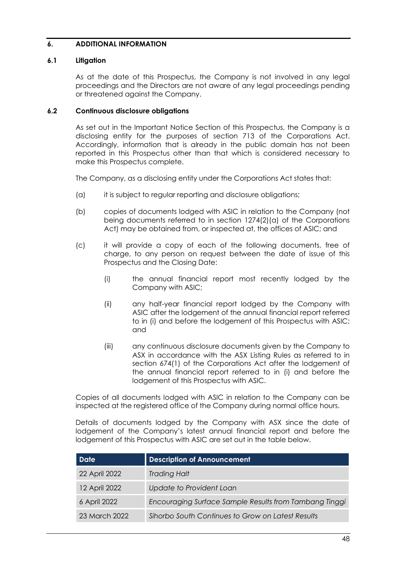# <span id="page-48-1"></span>**6. ADDITIONAL INFORMATION**

#### **6.1 Litigation**

As at the date of this Prospectus, the Company is not involved in any legal proceedings and the Directors are not aware of any legal proceedings pending or threatened against the Company.

#### <span id="page-48-0"></span>**6.2 Continuous disclosure obligations**

As set out in the Important Notice Section of this Prospectus, the Company is a disclosing entity for the purposes of section 713 of the Corporations Act. Accordingly, information that is already in the public domain has not been reported in this Prospectus other than that which is considered necessary to make this Prospectus complete.

The Company, as a disclosing entity under the Corporations Act states that:

- (a) it is subject to regular reporting and disclosure obligations;
- (b) copies of documents lodged with ASIC in relation to the Company (not being documents referred to in section 1274(2)(a) of the Corporations Act) may be obtained from, or inspected at, the offices of ASIC; and
- (c) it will provide a copy of each of the following documents, free of charge, to any person on request between the date of issue of this Prospectus and the Closing Date:
	- (i) the annual financial report most recently lodged by the Company with ASIC;
	- (ii) any half-year financial report lodged by the Company with ASIC after the lodgement of the annual financial report referred to in (i) and before the lodgement of this Prospectus with ASIC; and
	- (iii) any continuous disclosure documents given by the Company to ASX in accordance with the ASX Listing Rules as referred to in section 674(1) of the Corporations Act after the lodgement of the annual financial report referred to in (i) and before the lodgement of this Prospectus with ASIC.

Copies of all documents lodged with ASIC in relation to the Company can be inspected at the registered office of the Company during normal office hours.

Details of documents lodged by the Company with ASX since the date of lodgement of the Company's latest annual financial report and before the lodgement of this Prospectus with ASIC are set out in the table below.

| <b>Date</b>   | <b>Description of Announcement</b>                     |  |
|---------------|--------------------------------------------------------|--|
| 22 April 2022 | <b>Trading Halt</b>                                    |  |
| 12 April 2022 | Update to Provident Loan                               |  |
| 6 April 2022  | Encouraging Surface Sample Results from Tambang Tinggi |  |
| 23 March 2022 | Sihorbo South Continues to Grow on Latest Results      |  |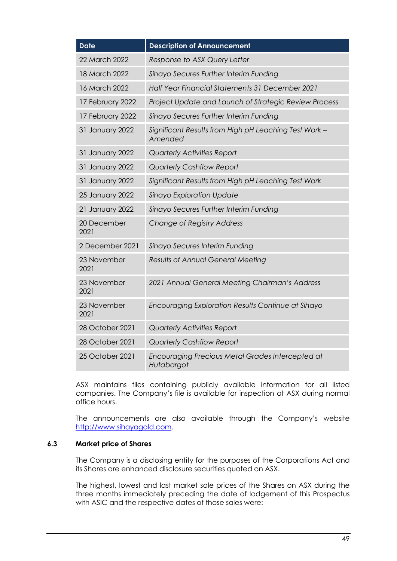| <b>Date</b>         | <b>Description of Announcement</b>                               |  |  |
|---------------------|------------------------------------------------------------------|--|--|
| 22 March 2022       | Response to ASX Query Letter                                     |  |  |
| 18 March 2022       | Sihayo Secures Further Interim Funding                           |  |  |
| 16 March 2022       | Half Year Financial Statements 31 December 2021                  |  |  |
| 17 February 2022    | Project Update and Launch of Strategic Review Process            |  |  |
| 17 February 2022    | Sihayo Secures Further Interim Funding                           |  |  |
| 31 January 2022     | Significant Results from High pH Leaching Test Work -<br>Amended |  |  |
| 31 January 2022     | <b>Quarterly Activities Report</b>                               |  |  |
| 31 January 2022     | <b>Quarterly Cashflow Report</b>                                 |  |  |
| 31 January 2022     | Significant Results from High pH Leaching Test Work              |  |  |
| 25 January 2022     | Sihayo Exploration Update                                        |  |  |
| 21 January 2022     | Sihayo Secures Further Interim Funding                           |  |  |
| 20 December<br>2021 | Change of Registry Address                                       |  |  |
| 2 December 2021     | Sihayo Secures Interim Funding                                   |  |  |
| 23 November<br>2021 | Results of Annual General Meeting                                |  |  |
| 23 November<br>2021 | 2021 Annual General Meeting Chairman's Address                   |  |  |
| 23 November<br>2021 | Encouraging Exploration Results Continue at Sihayo               |  |  |
| 28 October 2021     | <b>Quarterly Activities Report</b>                               |  |  |
| 28 October 2021     | <b>Quarterly Cashflow Report</b>                                 |  |  |
| 25 October 2021     | Encouraging Precious Metal Grades Intercepted at<br>Hutabargot   |  |  |

ASX maintains files containing publicly available information for all listed companies. The Company's file is available for inspection at ASX during normal office hours.

The announcements are also available through the Company's website [http://www.sihayogold.com.](http://www.sihayogold.com/)

#### **6.3 Market price of Shares**

The Company is a disclosing entity for the purposes of the Corporations Act and its Shares are enhanced disclosure securities quoted on ASX.

The highest, lowest and last market sale prices of the Shares on ASX during the three months immediately preceding the date of lodgement of this Prospectus with ASIC and the respective dates of those sales were: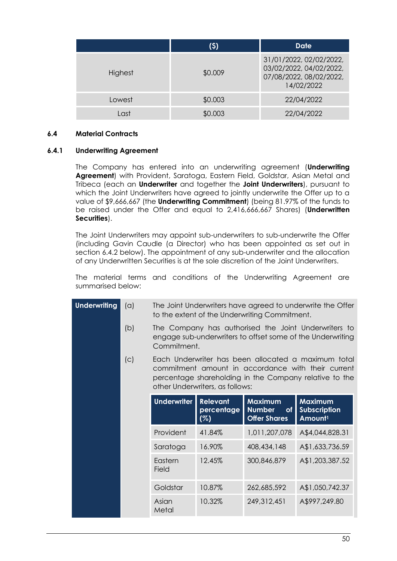|         | (\$)    | Date                                                                                        |
|---------|---------|---------------------------------------------------------------------------------------------|
| Highest | \$0.009 | 31/01/2022, 02/02/2022,<br>03/02/2022, 04/02/2022,<br>07/08/2022, 08/02/2022,<br>14/02/2022 |
| Lowest  | \$0.003 | 22/04/2022                                                                                  |
| Last    | \$0.003 | 22/04/2022                                                                                  |

#### **6.4 Material Contracts**

## <span id="page-50-0"></span>**6.4.1 Underwriting Agreement**

The Company has entered into an underwriting agreement (**Underwriting Agreement**) with Provident, Saratoga, Eastern Field, Goldstar, Asian Metal and Tribeca (each an **Underwriter** and together the **Joint Underwriters**), pursuant to which the Joint Underwriters have agreed to jointly underwrite the Offer up to a value of \$9,666,667 (the **Underwriting Commitment**) (being 81.97% of the funds to be raised under the Offer and equal to 2,416,666,667 Shares) (**Underwritten Securities**).

The Joint Underwriters may appoint sub-underwriters to sub-underwrite the Offer (including Gavin Caudle (a Director) who has been appointed as set out in section [6.4.2](#page-52-0) below). The appointment of any sub-underwriter and the allocation of any Underwritten Securities is at the sole discretion of the Joint Underwriters.

The material terms and conditions of the Underwriting Agreement are summarised below:

| <b>Underwriting</b> | (a) | The Joint Underwriters have agreed to underwrite the Offer<br>to the extent of the Underwriting Commitment.                                                                                            |                                                                     |                                                              |                 |  |  |
|---------------------|-----|--------------------------------------------------------------------------------------------------------------------------------------------------------------------------------------------------------|---------------------------------------------------------------------|--------------------------------------------------------------|-----------------|--|--|
|                     | (b) | The Company has authorised the Joint Underwriters to<br>engage sub-underwriters to offset some of the Underwriting<br>Commitment.                                                                      |                                                                     |                                                              |                 |  |  |
|                     | (c) | Each Underwriter has been allocated a maximum total<br>commitment amount in accordance with their current<br>percentage shareholding in the Company relative to the<br>other Underwriters, as follows: |                                                                     |                                                              |                 |  |  |
|                     |     | <b>Underwriter</b>                                                                                                                                                                                     | <b>Maximum</b><br><b>Number</b><br><b>of</b><br><b>Offer Shares</b> | <b>Maximum</b><br><b>Subscription</b><br>Amount <sup>1</sup> |                 |  |  |
|                     |     | Provident                                                                                                                                                                                              | 41.84%                                                              | 1,011,207,078                                                | A\$4,044,828.31 |  |  |
|                     |     | Saratoga                                                                                                                                                                                               | 16.90%                                                              | 408,434,148                                                  | A\$1,633,736.59 |  |  |
|                     |     | Eastern<br>Field                                                                                                                                                                                       | 12.45%                                                              | 300,846,879                                                  | A\$1,203,387.52 |  |  |
|                     |     | Goldstar                                                                                                                                                                                               | 10.87%                                                              | 262,685,592                                                  | A\$1,050,742.37 |  |  |
|                     |     | Asian<br>Metal                                                                                                                                                                                         | 10.32%                                                              | 249,312,451                                                  | A\$997,249.80   |  |  |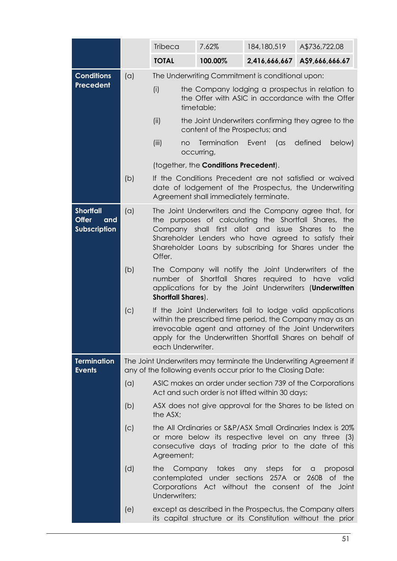|                                                                |     | <b>Tribeca</b>                                                                                                                                                                                         | 7.62%                                                                                 | 184, 180, 519                                                                                         | A\$736,722.08                                                                                                                                                                                                                                  |  |  |  |
|----------------------------------------------------------------|-----|--------------------------------------------------------------------------------------------------------------------------------------------------------------------------------------------------------|---------------------------------------------------------------------------------------|-------------------------------------------------------------------------------------------------------|------------------------------------------------------------------------------------------------------------------------------------------------------------------------------------------------------------------------------------------------|--|--|--|
|                                                                |     | <b>TOTAL</b>                                                                                                                                                                                           | 100.00%                                                                               | 2,416,666,667                                                                                         | A\$9,666,666.67                                                                                                                                                                                                                                |  |  |  |
| <b>Conditions</b>                                              | (a) |                                                                                                                                                                                                        |                                                                                       | The Underwriting Commitment is conditional upon:                                                      |                                                                                                                                                                                                                                                |  |  |  |
| Precedent                                                      |     | (i)                                                                                                                                                                                                    | timetable;                                                                            |                                                                                                       | the Company lodging a prospectus in relation to<br>the Offer with ASIC in accordance with the Offer                                                                                                                                            |  |  |  |
|                                                                |     | (ii)                                                                                                                                                                                                   | the Joint Underwriters confirming they agree to the<br>content of the Prospectus; and |                                                                                                       |                                                                                                                                                                                                                                                |  |  |  |
|                                                                |     | (iii)<br>no                                                                                                                                                                                            | Termination<br>occurring,                                                             | Event<br>as (as                                                                                       | defined<br>below)                                                                                                                                                                                                                              |  |  |  |
|                                                                |     |                                                                                                                                                                                                        | (together, the Conditions Precedent).                                                 |                                                                                                       |                                                                                                                                                                                                                                                |  |  |  |
|                                                                | (b) |                                                                                                                                                                                                        | Agreement shall immediately terminate.                                                |                                                                                                       | If the Conditions Precedent are not satisfied or waived<br>date of lodgement of the Prospectus, the Underwriting                                                                                                                               |  |  |  |
| <b>Shortfall</b><br><b>Offer</b><br>and<br><b>Subscription</b> | (a) | Offer.                                                                                                                                                                                                 |                                                                                       | Company shall first allot and issue Shares to                                                         | The Joint Underwriters and the Company agree that, for<br>the purposes of calculating the Shortfall Shares, the<br>the<br>Shareholder Lenders who have agreed to satisfy their<br>Shareholder Loans by subscribing for Shares under the        |  |  |  |
|                                                                | (b) | The Company will notify the Joint Underwriters of the<br>number of Shortfall Shares<br>required to have valid<br>applications for by the Joint Underwriters (Underwritten<br><b>Shortfall Shares).</b> |                                                                                       |                                                                                                       |                                                                                                                                                                                                                                                |  |  |  |
|                                                                | (c) | each Underwriter.                                                                                                                                                                                      |                                                                                       |                                                                                                       | If the Joint Underwriters fail to lodge valid applications<br>within the prescribed time period, the Company may as an<br>irrevocable agent and attorney of the Joint Underwriters<br>apply for the Underwritten Shortfall Shares on behalf of |  |  |  |
| <b>Termination</b><br><b>Events</b>                            |     |                                                                                                                                                                                                        |                                                                                       | any of the following events occur prior to the Closing Date:                                          | The Joint Underwriters may terminate the Underwriting Agreement if                                                                                                                                                                             |  |  |  |
|                                                                | (a) |                                                                                                                                                                                                        |                                                                                       | Act and such order is not lifted within 30 days;                                                      | ASIC makes an order under section 739 of the Corporations                                                                                                                                                                                      |  |  |  |
|                                                                | (b) | the ASX;                                                                                                                                                                                               |                                                                                       |                                                                                                       | ASX does not give approval for the Shares to be listed on                                                                                                                                                                                      |  |  |  |
|                                                                | (c) | the All Ordinaries or S&P/ASX Small Ordinaries Index is 20%<br>or more below its respective level on any three (3)<br>consecutive days of trading prior to the date of this<br>Agreement;              |                                                                                       |                                                                                                       |                                                                                                                                                                                                                                                |  |  |  |
|                                                                | (d) | the<br>Underwriters;                                                                                                                                                                                   | Company takes                                                                         | any steps for a<br>contemplated under sections 257A or<br>Corporations Act without the consent of the | proposal<br>260B of the<br>Joint                                                                                                                                                                                                               |  |  |  |
|                                                                | (e) |                                                                                                                                                                                                        |                                                                                       |                                                                                                       | except as described in the Prospectus, the Company alters<br>its capital structure or its Constitution without the prior                                                                                                                       |  |  |  |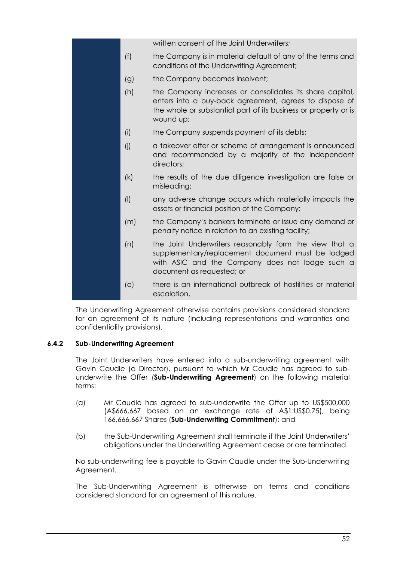|           | written consent of the Joint Underwriters;                                                                                                                                                         |
|-----------|----------------------------------------------------------------------------------------------------------------------------------------------------------------------------------------------------|
| (f)       | the Company is in material default of any of the terms and<br>conditions of the Underwriting Agreement;                                                                                            |
| (g)       | the Company becomes insolvent;                                                                                                                                                                     |
| (h)       | the Company increases or consolidates its share capital,<br>enters into a buy-back agreement, agrees to dispose of<br>the whole or substantial part of its business or property or is<br>wound up; |
| (i)       | the Company suspends payment of its debts;                                                                                                                                                         |
| (j)       | a takeover offer or scheme of arrangement is announced<br>and recommended by a majority of the independent<br>directors:                                                                           |
| (k)       | the results of the due diligence investigation are false or<br>misleading;                                                                                                                         |
| $($ l $)$ | any adverse change occurs which materially impacts the<br>assets or financial position of the Company;                                                                                             |
| (m)       | the Company's bankers terminate or issue any demand or<br>penalty notice in relation to an existing facility;                                                                                      |
| (n)       | the Joint Underwriters reasonably form the view that a<br>supplementary/replacement document must be lodged<br>with ASIC and the Company does not lodge such a<br>document as requested; or        |
| (O)       | there is an international outbreak of hostilities or material<br>escalation.                                                                                                                       |

The Underwriting Agreement otherwise contains provisions considered standard for an agreement of its nature (including representations and warranties and confidentiality provisions).

# <span id="page-52-0"></span>**6.4.2 Sub-Underwriting Agreement**

The Joint Underwriters have entered into a sub-underwriting agreement with Gavin Caudle (a Director), pursuant to which Mr Caudle has agreed to subunderwrite the Offer (**Sub-Underwriting Agreement**) on the following material terms:

- (a) Mr Caudle has agreed to sub-underwrite the Offer up to US\$500,000 (A\$666,667 based on an exchange rate of A\$1:US\$0.75), being 166,666,667 Shares (**Sub-Underwriting Commitment**); and
- (b) the Sub-Underwriting Agreement shall terminate if the Joint Underwriters' obligations under the Underwriting Agreement cease or are terminated.

No sub-underwriting fee is payable to Gavin Caudle under the Sub-Underwriting Agreement.

The Sub-Underwriting Agreement is otherwise on terms and conditions considered standard for an agreement of this nature.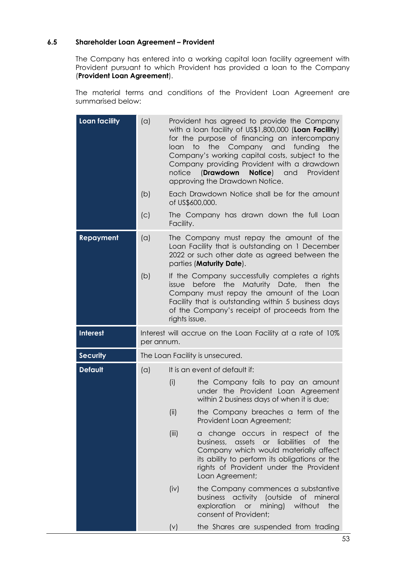#### **6.5 Shareholder Loan Agreement – Provident**

The Company has entered into a working capital loan facility agreement with Provident pursuant to which Provident has provided a loan to the Company (**Provident Loan Agreement**).

The material terms and conditions of the Provident Loan Agreement are summarised below:

| <b>Loan facility</b> | (a)        | Provident has agreed to provide the Company<br>with a loan facility of US\$1,800,000 (Loan Facility)<br>for the purpose of financing an intercompany<br>the<br>to<br>Company and<br>funding<br>loan<br>the<br>Company's working capital costs, subject to the<br>Company providing Provident with a drawdown<br><b>Notice</b> ) and<br>notice<br>(Drawdown<br>Provident<br>approving the Drawdown Notice. |                                                                                                                                                                                                                                              |  |
|----------------------|------------|-----------------------------------------------------------------------------------------------------------------------------------------------------------------------------------------------------------------------------------------------------------------------------------------------------------------------------------------------------------------------------------------------------------|----------------------------------------------------------------------------------------------------------------------------------------------------------------------------------------------------------------------------------------------|--|
|                      | (b)        | of US\$600,000.                                                                                                                                                                                                                                                                                                                                                                                           | Each Drawdown Notice shall be for the amount                                                                                                                                                                                                 |  |
|                      | (C)        | Facility.                                                                                                                                                                                                                                                                                                                                                                                                 | The Company has drawn down the full Loan                                                                                                                                                                                                     |  |
| Repayment            | (a)        |                                                                                                                                                                                                                                                                                                                                                                                                           | The Company must repay the amount of the<br>Loan Facility that is outstanding on 1 December<br>2022 or such other date as agreed between the<br>parties (Maturity Date).                                                                     |  |
|                      | (b)        | issue<br>rights issue.                                                                                                                                                                                                                                                                                                                                                                                    | If the Company successfully completes a rights<br>before the Maturity Date, then<br>the<br>Company must repay the amount of the Loan<br>Facility that is outstanding within 5 business days<br>of the Company's receipt of proceeds from the |  |
| <b>Interest</b>      | per annum. |                                                                                                                                                                                                                                                                                                                                                                                                           | Interest will accrue on the Loan Facility at a rate of 10%                                                                                                                                                                                   |  |
| <b>Security</b>      |            |                                                                                                                                                                                                                                                                                                                                                                                                           | The Loan Facility is unsecured.                                                                                                                                                                                                              |  |
|                      |            |                                                                                                                                                                                                                                                                                                                                                                                                           |                                                                                                                                                                                                                                              |  |
| <b>Default</b>       | (a)        |                                                                                                                                                                                                                                                                                                                                                                                                           | It is an event of default if:                                                                                                                                                                                                                |  |
|                      |            | (i)                                                                                                                                                                                                                                                                                                                                                                                                       | the Company fails to pay an amount<br>under the Provident Loan Agreement<br>within 2 business days of when it is due;                                                                                                                        |  |
|                      |            | (ii)                                                                                                                                                                                                                                                                                                                                                                                                      | the Company breaches a term of the<br>Provident Loan Agreement;                                                                                                                                                                              |  |
|                      |            | (iii)                                                                                                                                                                                                                                                                                                                                                                                                     | a change occurs in respect of the<br>business, assets or liabilities<br>of<br>the<br>Company which would materially affect<br>its ability to perform its obligations or the<br>rights of Provident under the Provident<br>Loan Agreement;    |  |
|                      |            | (iv)                                                                                                                                                                                                                                                                                                                                                                                                      | the Company commences a substantive<br>business activity (outside of mineral<br>exploration or mining)<br>without<br>the<br>consent of Provident;                                                                                            |  |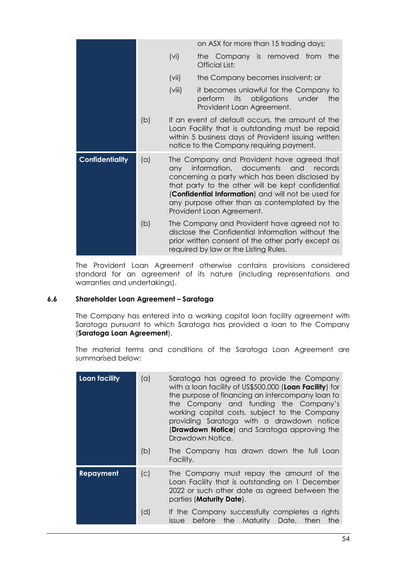|                        |     |        | on ASX for more than 15 trading days;                                                                                                                                                                                                                                                                                        |
|------------------------|-----|--------|------------------------------------------------------------------------------------------------------------------------------------------------------------------------------------------------------------------------------------------------------------------------------------------------------------------------------|
|                        |     | (vi)   | the Company is removed from<br>the<br>Official List;                                                                                                                                                                                                                                                                         |
|                        |     | (vii)  | the Company becomes insolvent; or                                                                                                                                                                                                                                                                                            |
|                        |     | (viii) | it becomes unlawful for the Company to<br>its obligations<br>under<br>perform<br>the<br>Provident Loan Agreement.                                                                                                                                                                                                            |
|                        | (b) |        | If an event of default occurs, the amount of the<br>Loan Facility that is outstanding must be repaid<br>within 5 business days of Provident issuing written<br>notice to the Company requiring payment.                                                                                                                      |
| <b>Confidentiality</b> | (a) | any    | The Company and Provident have agreed that<br>information, documents and records<br>concerning a party which has been disclosed by<br>that party to the other will be kept confidential<br>(Confidential Information) and will not be used for<br>any purpose other than as contemplated by the<br>Provident Loan Agreement. |
|                        | (b) |        | The Company and Provident have agreed not to<br>disclose the Confidential Information without the<br>prior written consent of the other party except as<br>required by law or the Listing Rules.                                                                                                                             |

The Provident Loan Agreement otherwise contains provisions considered standard for an agreement of its nature (including representations and warranties and undertakings).

#### **6.6 Shareholder Loan Agreement – Saratoga**

The Company has entered into a working capital loan facility agreement with Saratoga pursuant to which Saratoga has provided a loan to the Company (**Saratoga Loan Agreement**).

The material terms and conditions of the Saratoga Loan Agreement are summarised below:

| Loan facility    | (a) | Saratoga has agreed to provide the Company<br>with a loan facility of US\$500,000 (Loan Facility) for<br>the purpose of financing an intercompany loan to<br>the Company and funding the Company's<br>working capital costs, subject to the Company<br>providing Saratoga with a drawdown notice<br><b>(Drawdown Notice)</b> and Saratoga approving the<br>Drawdown Notice. |
|------------------|-----|-----------------------------------------------------------------------------------------------------------------------------------------------------------------------------------------------------------------------------------------------------------------------------------------------------------------------------------------------------------------------------|
|                  | (b) | The Company has drawn down the full Loan<br>Facility.                                                                                                                                                                                                                                                                                                                       |
| <b>Repayment</b> | (c) | The Company must repay the amount of the<br>Loan Facility that is outstanding on 1 December<br>2022 or such other date as agreed between the<br>parties (Maturity Date).                                                                                                                                                                                                    |
|                  | (d) | If the Company successfully completes a rights<br>before the Maturity Date, then<br>the<br><i>issue</i>                                                                                                                                                                                                                                                                     |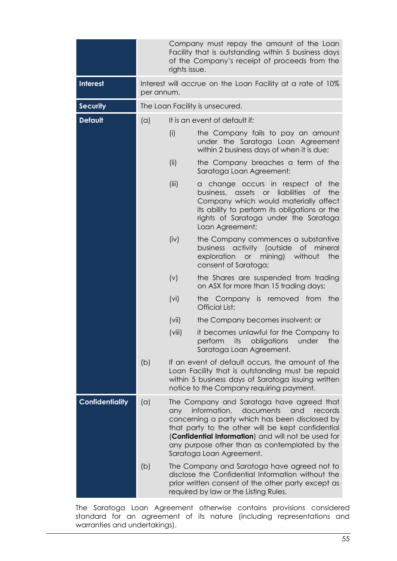|                        |     | Company must repay the amount of the Loan<br>Facility that is outstanding within 5 business days<br>of the Company's receipt of proceeds from the<br>rights issue.                                                                                                                                                                         |                                                                                                                                                                                                                                                                         |  |
|------------------------|-----|--------------------------------------------------------------------------------------------------------------------------------------------------------------------------------------------------------------------------------------------------------------------------------------------------------------------------------------------|-------------------------------------------------------------------------------------------------------------------------------------------------------------------------------------------------------------------------------------------------------------------------|--|
| <b>Interest</b>        |     | Interest will accrue on the Loan Facility at a rate of 10%<br>per annum.                                                                                                                                                                                                                                                                   |                                                                                                                                                                                                                                                                         |  |
| <b>Security</b>        |     |                                                                                                                                                                                                                                                                                                                                            | The Loan Facility is unsecured.                                                                                                                                                                                                                                         |  |
| <b>Default</b>         | (a) |                                                                                                                                                                                                                                                                                                                                            | It is an event of default if:                                                                                                                                                                                                                                           |  |
|                        |     | (i)                                                                                                                                                                                                                                                                                                                                        | the Company fails to pay an amount<br>under the Saratoga Loan Agreement<br>within 2 business days of when it is due;                                                                                                                                                    |  |
|                        |     | (ii)                                                                                                                                                                                                                                                                                                                                       | the Company breaches a term of the<br>Saratoga Loan Agreement;                                                                                                                                                                                                          |  |
|                        |     | (iii)                                                                                                                                                                                                                                                                                                                                      | change occurs in respect of<br>the<br>a<br>liabilities<br>business, assets<br><b>of</b><br>the<br>$\overline{or}$<br>Company which would materially affect<br>its ability to perform its obligations or the<br>rights of Saratoga under the Saratoga<br>Loan Agreement; |  |
|                        |     | (iv)                                                                                                                                                                                                                                                                                                                                       | the Company commences a substantive<br>business activity (outside<br>of mineral<br>or mining)<br>without<br>exploration<br>the<br>consent of Saratoga;                                                                                                                  |  |
|                        |     | (v)                                                                                                                                                                                                                                                                                                                                        | the Shares are suspended from trading<br>on ASX for more than 15 trading days;                                                                                                                                                                                          |  |
|                        |     | (vi)                                                                                                                                                                                                                                                                                                                                       | the Company is removed from the<br>Official List;                                                                                                                                                                                                                       |  |
|                        |     | (vii)                                                                                                                                                                                                                                                                                                                                      | the Company becomes insolvent; or                                                                                                                                                                                                                                       |  |
|                        |     | (viii)                                                                                                                                                                                                                                                                                                                                     | it becomes unlawful for the Company to<br>perform<br>its<br>obligations<br>under<br>the<br>Saratoga Loan Agreement.                                                                                                                                                     |  |
|                        | (b) |                                                                                                                                                                                                                                                                                                                                            | If an event of default occurs, the amount of the<br>Loan Facility that is outstanding must be repaid<br>within 5 business days of Saratoga issuing written<br>notice to the Company requiring payment.                                                                  |  |
| <b>Confidentiality</b> | (a) | The Company and Saratoga have agreed that<br>information,<br>documents<br>and<br>records<br>any<br>concerning a party which has been disclosed by<br>that party to the other will be kept confidential<br>(Confidential Information) and will not be used for<br>any purpose other than as contemplated by the<br>Saratoga Loan Agreement. |                                                                                                                                                                                                                                                                         |  |
|                        | (b) |                                                                                                                                                                                                                                                                                                                                            | The Company and Saratoga have agreed not to<br>disclose the Confidential Information without the<br>prior written consent of the other party except as<br>required by law or the Listing Rules.                                                                         |  |

The Saratoga Loan Agreement otherwise contains provisions considered standard for an agreement of its nature (including representations and warranties and undertakings).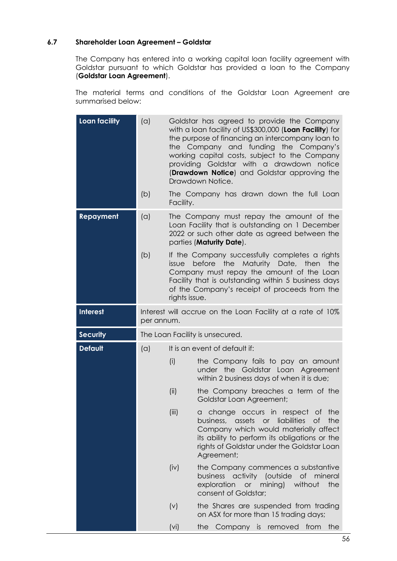## **6.7 Shareholder Loan Agreement – Goldstar**

The Company has entered into a working capital loan facility agreement with Goldstar pursuant to which Goldstar has provided a loan to the Company (**Goldstar Loan Agreement**).

The material terms and conditions of the Goldstar Loan Agreement are summarised below:

| <b>Loan facility</b> | (a)        |                                                            | Goldstar has agreed to provide the Company<br>with a loan facility of US\$300,000 (Loan Facility) for<br>the purpose of financing an intercompany loan to<br>the Company and funding the Company's<br>working capital costs, subject to the Company<br>providing Goldstar with a drawdown notice<br>(Drawdown Notice) and Goldstar approving the<br>Drawdown Notice. |  |
|----------------------|------------|------------------------------------------------------------|----------------------------------------------------------------------------------------------------------------------------------------------------------------------------------------------------------------------------------------------------------------------------------------------------------------------------------------------------------------------|--|
|                      | (b)        | Facility.                                                  | The Company has drawn down the full Loan                                                                                                                                                                                                                                                                                                                             |  |
| <b>Repayment</b>     | (a)        |                                                            | The Company must repay the amount of the<br>Loan Facility that is outstanding on 1 December<br>2022 or such other date as agreed between the<br>parties (Maturity Date).                                                                                                                                                                                             |  |
|                      | (b)        | issue<br>rights issue.                                     | If the Company successfully completes a rights<br>before the Maturity Date, then<br>the<br>Company must repay the amount of the Loan<br>Facility that is outstanding within 5 business days<br>of the Company's receipt of proceeds from the                                                                                                                         |  |
| <b>Interest</b>      | per annum. | Interest will accrue on the Loan Facility at a rate of 10% |                                                                                                                                                                                                                                                                                                                                                                      |  |
| <b>Security</b>      |            | The Loan Facility is unsecured.                            |                                                                                                                                                                                                                                                                                                                                                                      |  |
| <b>Default</b>       | (a)        | It is an event of default if:                              |                                                                                                                                                                                                                                                                                                                                                                      |  |
|                      |            | (i)                                                        | the Company fails to pay an amount<br>under the Goldstar Loan Agreement<br>within 2 business days of when it is due;                                                                                                                                                                                                                                                 |  |
|                      |            | (ii)                                                       | the Company breaches a term of the<br>Goldstar Loan Agreement;                                                                                                                                                                                                                                                                                                       |  |
|                      |            | (iii)                                                      | a change occurs in respect of the<br>business, assets or liabilities of<br>the<br>Company which would materially affect<br>its ability to perform its obligations or the<br>rights of Goldstar under the Goldstar Loan<br>Agreement;                                                                                                                                 |  |
|                      |            | (iv)                                                       | the Company commences a substantive<br>business activity (outside of mineral<br>exploration or mining) without<br>the<br>consent of Goldstar;                                                                                                                                                                                                                        |  |
|                      |            | (v)                                                        | the Shares are suspended from trading<br>on ASX for more than 15 trading days;                                                                                                                                                                                                                                                                                       |  |
|                      |            |                                                            |                                                                                                                                                                                                                                                                                                                                                                      |  |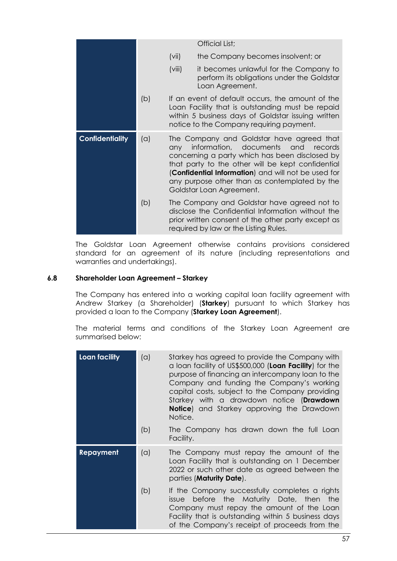|                        |     |        | Official List;                                                                                                                                                                                                                                                                                                                       |
|------------------------|-----|--------|--------------------------------------------------------------------------------------------------------------------------------------------------------------------------------------------------------------------------------------------------------------------------------------------------------------------------------------|
|                        |     | (vii)  | the Company becomes insolvent; or                                                                                                                                                                                                                                                                                                    |
|                        |     | (viii) | it becomes unlawful for the Company to<br>perform its obligations under the Goldstar<br>Loan Agreement.                                                                                                                                                                                                                              |
|                        | (b) |        | If an event of default occurs, the amount of the<br>Loan Facility that is outstanding must be repaid<br>within 5 business days of Goldstar issuing written<br>notice to the Company requiring payment.                                                                                                                               |
| <b>Confidentiality</b> | (a) | any    | The Company and Goldstar have agreed that<br>information, documents<br>and and<br>records<br>concerning a party which has been disclosed by<br>that party to the other will be kept confidential<br>(Confidential Information) and will not be used for<br>any purpose other than as contemplated by the<br>Goldstar Loan Agreement. |
|                        | (b) |        | The Company and Goldstar have agreed not to<br>disclose the Confidential Information without the<br>prior written consent of the other party except as<br>required by law or the Listing Rules.                                                                                                                                      |

The Goldstar Loan Agreement otherwise contains provisions considered standard for an agreement of its nature (including representations and warranties and undertakings).

#### **6.8 Shareholder Loan Agreement – Starkey**

The Company has entered into a working capital loan facility agreement with Andrew Starkey (a Shareholder) (**Starkey**) pursuant to which Starkey has provided a loan to the Company (**Starkey Loan Agreement**).

The material terms and conditions of the Starkey Loan Agreement are summarised below:

| Loan facility | (a) | Starkey has agreed to provide the Company with<br>a loan facility of US\$500,000 (Loan Facility) for the<br>purpose of financing an intercompany loan to the<br>Company and funding the Company's working<br>capital costs, subject to the Company providing<br>Starkey with a drawdown notice (Drawdown<br>Notice) and Starkey approving the Drawdown<br>Notice. |
|---------------|-----|-------------------------------------------------------------------------------------------------------------------------------------------------------------------------------------------------------------------------------------------------------------------------------------------------------------------------------------------------------------------|
|               | (b) | The Company has drawn down the full Loan<br>Facility.                                                                                                                                                                                                                                                                                                             |
| Repayment     | (a) | The Company must repay the amount of the<br>Loan Facility that is outstanding on 1 December<br>2022 or such other date as agreed between the<br>parties ( <b>Maturity Date</b> ).                                                                                                                                                                                 |
|               | (b) | If the Company successfully completes a rights<br>before the Maturity Date, then the<br><i>issue</i><br>Company must repay the amount of the Loan<br>Facility that is outstanding within 5 business days<br>of the Company's receipt of proceeds from the                                                                                                         |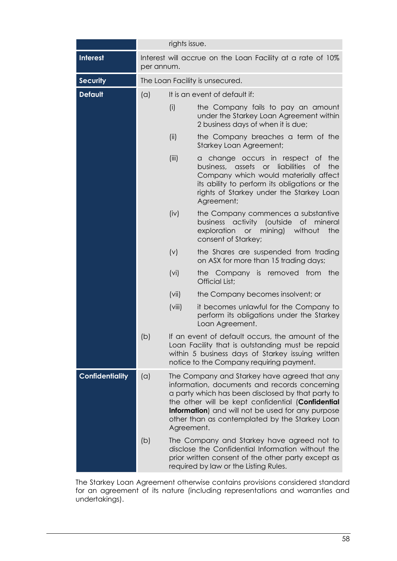|                        |                                 |                                                                                                                                                                                                                                                                                                                              | rights issue.                                                                                                                                                                                                                                  |  |  |
|------------------------|---------------------------------|------------------------------------------------------------------------------------------------------------------------------------------------------------------------------------------------------------------------------------------------------------------------------------------------------------------------------|------------------------------------------------------------------------------------------------------------------------------------------------------------------------------------------------------------------------------------------------|--|--|
| <b>Interest</b>        | per annum.                      |                                                                                                                                                                                                                                                                                                                              | Interest will accrue on the Loan Facility at a rate of 10%                                                                                                                                                                                     |  |  |
| <b>Security</b>        | The Loan Facility is unsecured. |                                                                                                                                                                                                                                                                                                                              |                                                                                                                                                                                                                                                |  |  |
| <b>Default</b>         | (a)                             |                                                                                                                                                                                                                                                                                                                              | It is an event of default if:                                                                                                                                                                                                                  |  |  |
|                        |                                 | (i)                                                                                                                                                                                                                                                                                                                          | the Company fails to pay an amount<br>under the Starkey Loan Agreement within<br>2 business days of when it is due;                                                                                                                            |  |  |
|                        |                                 | (ii)                                                                                                                                                                                                                                                                                                                         | the Company breaches a term of the<br><b>Starkey Loan Agreement;</b>                                                                                                                                                                           |  |  |
|                        |                                 | (iii)                                                                                                                                                                                                                                                                                                                        | a change occurs in respect of<br>the<br>assets<br>or liabilities<br>the<br>business,<br>of<br>Company which would materially affect<br>its ability to perform its obligations or the<br>rights of Starkey under the Starkey Loan<br>Agreement; |  |  |
|                        |                                 | (iv)                                                                                                                                                                                                                                                                                                                         | the Company commences a substantive<br>business activity (outside<br>of<br>mineral<br>exploration<br>or mining) without<br>the<br>consent of Starkey;                                                                                          |  |  |
|                        |                                 | (v)                                                                                                                                                                                                                                                                                                                          | the Shares are suspended from trading<br>on ASX for more than 15 trading days;                                                                                                                                                                 |  |  |
|                        |                                 | (vi)                                                                                                                                                                                                                                                                                                                         | the Company is removed from the<br>Official List;                                                                                                                                                                                              |  |  |
|                        |                                 | (vii)                                                                                                                                                                                                                                                                                                                        | the Company becomes insolvent; or                                                                                                                                                                                                              |  |  |
|                        |                                 | (viii)                                                                                                                                                                                                                                                                                                                       | it becomes unlawful for the Company to<br>perform its obligations under the Starkey<br>Loan Agreement.                                                                                                                                         |  |  |
|                        | (b)                             |                                                                                                                                                                                                                                                                                                                              | If an event of default occurs, the amount of the<br>Loan Facility that is outstanding must be repaid<br>within 5 business days of Starkey issuing written<br>notice to the Company requiring payment.                                          |  |  |
| <b>Confidentiality</b> | (a)                             | The Company and Starkey have agreed that any<br>information, documents and records concerning<br>a party which has been disclosed by that party to<br>the other will be kept confidential (Confidential<br>Information) and will not be used for any purpose<br>other than as contemplated by the Starkey Loan<br>Agreement. |                                                                                                                                                                                                                                                |  |  |
|                        | (b)                             |                                                                                                                                                                                                                                                                                                                              | The Company and Starkey have agreed not to<br>disclose the Confidential Information without the<br>prior written consent of the other party except as<br>required by law or the Listing Rules.                                                 |  |  |

The Starkey Loan Agreement otherwise contains provisions considered standard for an agreement of its nature (including representations and warranties and undertakings).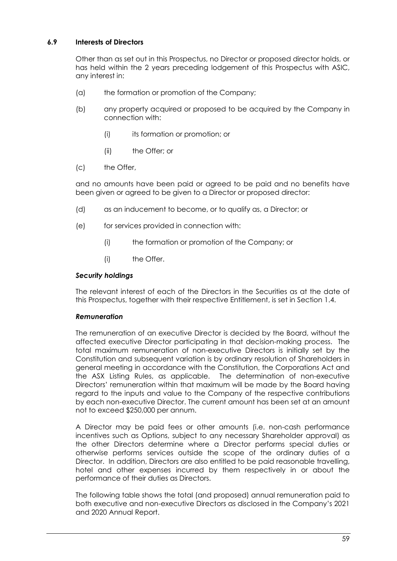# **6.9 Interests of Directors**

Other than as set out in this Prospectus, no Director or proposed director holds, or has held within the 2 years preceding lodgement of this Prospectus with ASIC, any interest in:

- (a) the formation or promotion of the Company;
- (b) any property acquired or proposed to be acquired by the Company in connection with:
	- (i) its formation or promotion; or
	- (ii) the Offer; or
- (c) the Offer,

and no amounts have been paid or agreed to be paid and no benefits have been given or agreed to be given to a Director or proposed director:

- (d) as an inducement to become, or to qualify as, a Director; or
- (e) for services provided in connection with:
	- (i) the formation or promotion of the Company; or
	- (i) the Offer.

## *Security holdings*

The relevant interest of each of the Directors in the Securities as at the date of this Prospectus, together with their respective Entitlement, is set in Section [1.4.](#page-8-1)

#### *Remuneration*

The remuneration of an executive Director is decided by the Board, without the affected executive Director participating in that decision-making process. The total maximum remuneration of non-executive Directors is initially set by the Constitution and subsequent variation is by ordinary resolution of Shareholders in general meeting in accordance with the Constitution, the Corporations Act and the ASX Listing Rules, as applicable. The determination of non-executive Directors' remuneration within that maximum will be made by the Board having regard to the inputs and value to the Company of the respective contributions by each non-executive Director. The current amount has been set at an amount not to exceed \$250,000 per annum.

A Director may be paid fees or other amounts (i.e. non-cash performance incentives such as Options, subject to any necessary Shareholder approval) as the other Directors determine where a Director performs special duties or otherwise performs services outside the scope of the ordinary duties of a Director. In addition, Directors are also entitled to be paid reasonable travelling, hotel and other expenses incurred by them respectively in or about the performance of their duties as Directors.

The following table shows the total (and proposed) annual remuneration paid to both executive and non-executive Directors as disclosed in the Company's 2021 and 2020 Annual Report.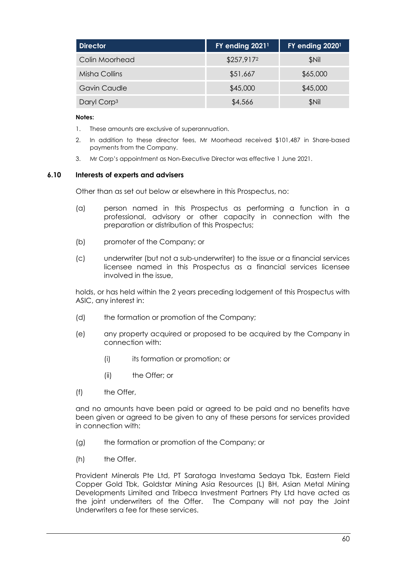| <b>Director</b>         | FY ending 20211 | FY ending 20201 |
|-------------------------|-----------------|-----------------|
| Colin Moorhead          | \$257,9172      | <b>SNil</b>     |
| Misha Collins           | \$51,667        | \$65,000        |
| <b>Gavin Caudle</b>     | \$45,000        | \$45,000        |
| Daryl Corp <sup>3</sup> | \$4,566         | \$Nil           |

#### **Notes:**

- 1. These amounts are exclusive of superannuation.
- 2. In addition to these director fees, Mr Moorhead received \$101,487 in Share-based payments from the Company.
- 3. Mr Corp's appointment as Non-Executive Director was effective 1 June 2021.

#### **6.10 Interests of experts and advisers**

Other than as set out below or elsewhere in this Prospectus, no:

- (a) person named in this Prospectus as performing a function in a professional, advisory or other capacity in connection with the preparation or distribution of this Prospectus;
- (b) promoter of the Company; or
- (c) underwriter (but not a sub-underwriter) to the issue or a financial services licensee named in this Prospectus as a financial services licensee involved in the issue,

holds, or has held within the 2 years preceding lodgement of this Prospectus with ASIC, any interest in:

- (d) the formation or promotion of the Company;
- (e) any property acquired or proposed to be acquired by the Company in connection with:
	- (i) its formation or promotion; or
	- (ii) the Offer; or
- (f) the Offer,

and no amounts have been paid or agreed to be paid and no benefits have been given or agreed to be given to any of these persons for services provided in connection with:

- (g) the formation or promotion of the Company; or
- (h) the Offer.

Provident Minerals Pte Ltd, PT Saratoga Investama Sedaya Tbk, Eastern Field Copper Gold Tbk, Goldstar Mining Asia Resources (L) BH, Asian Metal Mining Developments Limited and Tribeca Investment Partners Pty Ltd have acted as the joint underwriters of the Offer. The Company will not pay the Joint Underwriters a fee for these services.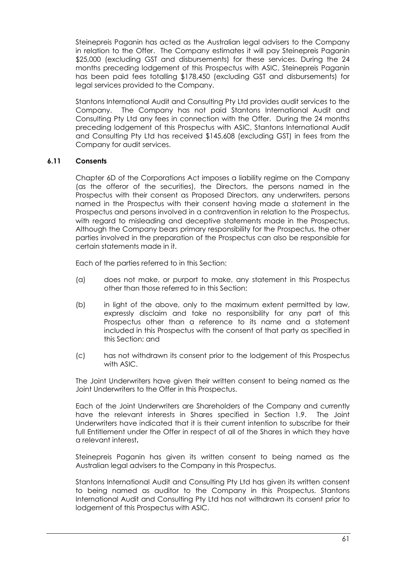Steinepreis Paganin has acted as the Australian legal advisers to the Company in relation to the Offer. The Company estimates it will pay Steinepreis Paganin \$25,000 (excluding GST and disbursements) for these services. During the 24 months preceding lodgement of this Prospectus with ASIC, Steinepreis Paganin has been paid fees totalling \$178,450 (excluding GST and disbursements) for legal services provided to the Company.

Stantons International Audit and Consulting Pty Ltd provides audit services to the Company. The Company has not paid Stantons International Audit and Consulting Pty Ltd any fees in connection with the Offer. During the 24 months preceding lodgement of this Prospectus with ASIC, Stantons International Audit and Consulting Pty Ltd has received \$145,608 (excluding GST) in fees from the Company for audit services.

## **6.11 Consents**

Chapter 6D of the Corporations Act imposes a liability regime on the Company (as the offeror of the securities), the Directors, the persons named in the Prospectus with their consent as Proposed Directors, any underwriters, persons named in the Prospectus with their consent having made a statement in the Prospectus and persons involved in a contravention in relation to the Prospectus, with regard to misleading and deceptive statements made in the Prospectus. Although the Company bears primary responsibility for the Prospectus, the other parties involved in the preparation of the Prospectus can also be responsible for certain statements made in it.

Each of the parties referred to in this Section:

- (a) does not make, or purport to make, any statement in this Prospectus other than those referred to in this Section;
- (b) in light of the above, only to the maximum extent permitted by law, expressly disclaim and take no responsibility for any part of this Prospectus other than a reference to its name and a statement included in this Prospectus with the consent of that party as specified in this Section; and
- (c) has not withdrawn its consent prior to the lodgement of this Prospectus with ASIC.

The Joint Underwriters have given their written consent to being named as the Joint Underwriters to the Offer in this Prospectus.

Each of the Joint Underwriters are Shareholders of the Company and currently have the relevant interests in Shares specified in Section [1.9.](#page-11-0) The Joint Underwriters have indicated that it is their current intention to subscribe for their full Entitlement under the Offer in respect of all of the Shares in which they have a relevant interest**.**

Steinepreis Paganin has given its written consent to being named as the Australian legal advisers to the Company in this Prospectus.

Stantons International Audit and Consulting Pty Ltd has given its written consent to being named as auditor to the Company in this Prospectus. Stantons International Audit and Consulting Pty Ltd has not withdrawn its consent prior to lodgement of this Prospectus with ASIC.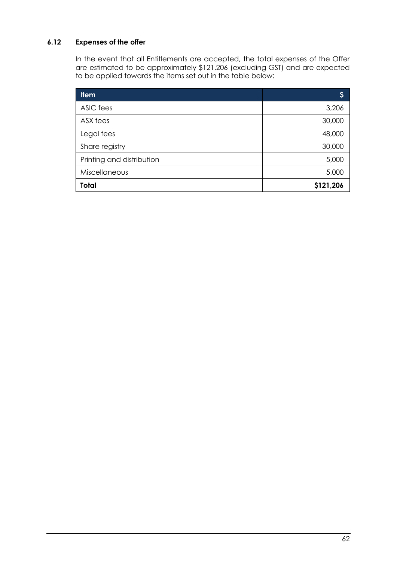# <span id="page-62-0"></span>**6.12 Expenses of the offer**

In the event that all Entitlements are accepted, the total expenses of the Offer are estimated to be approximately \$121,206 (excluding GST) and are expected to be applied towards the items set out in the table below:

| <b>Item</b>               | Ş         |
|---------------------------|-----------|
| ASIC fees                 | 3,206     |
| ASX fees                  | 30,000    |
| Legal fees                | 48,000    |
| Share registry            | 30,000    |
| Printing and distribution | 5,000     |
| Miscellaneous             | 5,000     |
| <b>Total</b>              | \$121,206 |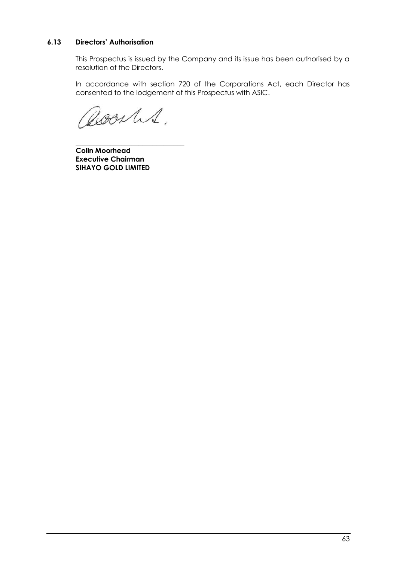# **6.13 Directors' Authorisation**

This Prospectus is issued by the Company and its issue has been authorised by a resolution of the Directors.

In accordance with section 720 of the Corporations Act, each Director has consented to the lodgement of this Prospectus with ASIC.

Doorles.

\_\_\_\_\_\_\_\_\_\_\_\_\_\_\_\_\_\_\_\_\_\_\_\_\_\_\_\_\_\_\_

**Colin Moorhead Executive Chairman SIHAYO GOLD LIMITED**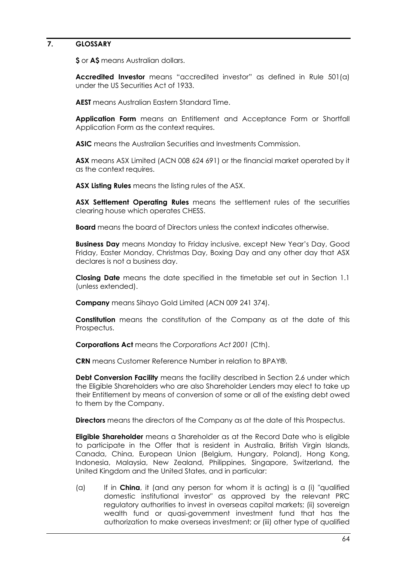#### <span id="page-64-0"></span>**7. GLOSSARY**

**\$** or **A\$** means Australian dollars.

**Accredited Investor** means "accredited investor" as defined in Rule 501(a) under the US Securities Act of 1933.

**AEST** means Australian Eastern Standard Time.

**Application Form** means an Entitlement and Acceptance Form or Shortfall Application Form as the context requires.

**ASIC** means the Australian Securities and Investments Commission.

**ASX** means ASX Limited (ACN 008 624 691) or the financial market operated by it as the context requires.

**ASX Listing Rules** means the listing rules of the ASX.

**ASX Settlement Operating Rules** means the settlement rules of the securities clearing house which operates CHESS.

**Board** means the board of Directors unless the context indicates otherwise.

**Business Day** means Monday to Friday inclusive, except New Year's Day, Good Friday, Easter Monday, Christmas Day, Boxing Day and any other day that ASX declares is not a business day.

**Closing Date** means the date specified in the timetable set out in Section [1.1](#page-5-1) (unless extended).

**Company** means Sihayo Gold Limited (ACN 009 241 374).

**Constitution** means the constitution of the Company as at the date of this Prospectus.

**Corporations Act** means the *Corporations Act 2001* (Cth).

**CRN** means Customer Reference Number in relation to BPAY®.

**Debt Conversion Facility** means the facility described in Section [2.6](#page-20-0) under which the Eligible Shareholders who are also Shareholder Lenders may elect to take up their Entitlement by means of conversion of some or all of the existing debt owed to them by the Company.

**Directors** means the directors of the Company as at the date of this Prospectus.

**Eligible Shareholder** means a Shareholder as at the Record Date who is eligible to participate in the Offer that is resident in Australia, British Virgin Islands, Canada, China, European Union (Belgium, Hungary, Poland), Hong Kong, Indonesia, Malaysia, New Zealand, Philippines, Singapore, Switzerland, the United Kingdom and the United States, and in particular:

(a) If in **China**, it (and any person for whom it is acting) is a (i) "qualified domestic institutional investor" as approved by the relevant PRC regulatory authorities to invest in overseas capital markets; (ii) sovereign wealth fund or quasi-government investment fund that has the authorization to make overseas investment; or (iii) other type of qualified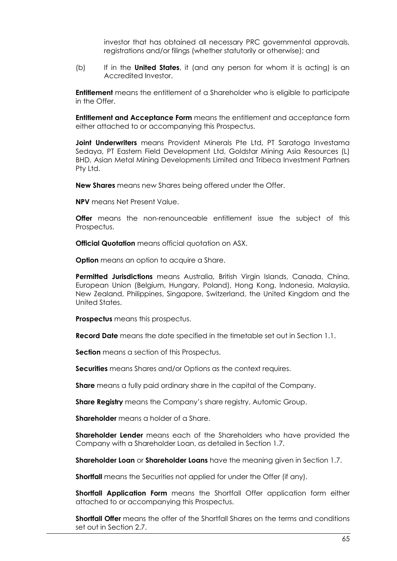investor that has obtained all necessary PRC governmental approvals, registrations and/or filings (whether statutorily or otherwise); and

(b) If in the **United States**, it (and any person for whom it is acting) is an Accredited Investor.

**Entitlement** means the entitlement of a Shareholder who is eligible to participate in the Offer.

**Entitlement and Acceptance Form** means the entitlement and acceptance form either attached to or accompanying this Prospectus.

**Joint Underwriters** means Provident Minerals Pte Ltd, PT Saratoga Investama Sedaya, PT Eastern Field Development Ltd, Goldstar Mining Asia Resources (L) BHD, Asian Metal Mining Developments Limited and Tribeca Investment Partners Pty Ltd.

**New Shares** means new Shares being offered under the Offer.

**NPV** means Net Present Value.

**Offer** means the non-renounceable entitlement issue the subject of this Prospectus.

**Official Quotation** means official quotation on ASX.

**Option** means an option to acquire a Share.

**Permitted Jurisdictions** means Australia, British Virgin Islands, Canada, China, European Union (Belgium, Hungary, Poland), Hong Kong, Indonesia, Malaysia, New Zealand, Philippines, Singapore, Switzerland, the United Kingdom and the United States.

**Prospectus** means this prospectus.

**Record Date** means the date specified in the timetable set out in Section [1.1.](#page-5-1)

**Section** means a section of this Prospectus.

**Securities** means Shares and/or Options as the context requires.

**Share** means a fully paid ordinary share in the capital of the Company.

**Share Registry** means the Company's share registry, Automic Group.

**Shareholder** means a holder of a Share.

**Shareholder Lender** means each of the Shareholders who have provided the Company with a Shareholder Loan, as detailed in Section [1.7.](#page-9-0)

**Shareholder Loan** or **Shareholder Loans** have the meaning given in Section [1.7.](#page-9-0)

**Shortfall** means the Securities not applied for under the Offer (if any).

**Shortfall Application Form** means the Shortfall Offer application form either attached to or accompanying this Prospectus.

**Shortfall Offer** means the offer of the Shortfall Shares on the terms and conditions set out in Section [2.7.](#page-20-1)